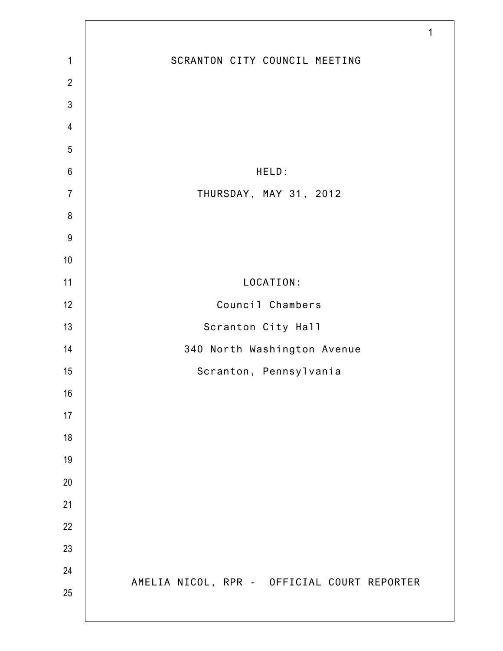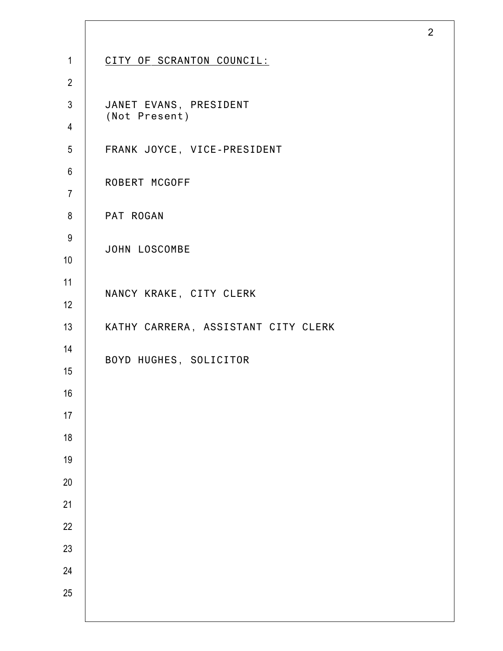| $\mathbf{1}$     | CITY OF SCRANTON COUNCIL:               |
|------------------|-----------------------------------------|
| $\overline{2}$   |                                         |
| $\mathfrak{Z}$   | JANET EVANS, PRESIDENT<br>(Not Present) |
| $\overline{4}$   |                                         |
| $\overline{5}$   | FRANK JOYCE, VICE-PRESIDENT             |
| $6\,$            | ROBERT MCGOFF                           |
| $\overline{7}$   |                                         |
| 8                | PAT ROGAN                               |
| $\boldsymbol{9}$ | JOHN LOSCOMBE                           |
| 10               |                                         |
| 11               | NANCY KRAKE, CITY CLERK                 |
| 12               |                                         |
| 13               | KATHY CARRERA, ASSISTANT CITY CLERK     |
| 14               | BOYD HUGHES, SOLICITOR                  |
| 15               |                                         |
| 16               |                                         |
| 17               |                                         |
| 18               |                                         |
| 19               |                                         |
| $20\,$           |                                         |
| 21               |                                         |
| 22               |                                         |
| 23               |                                         |
| 24               |                                         |
| 25               |                                         |
|                  |                                         |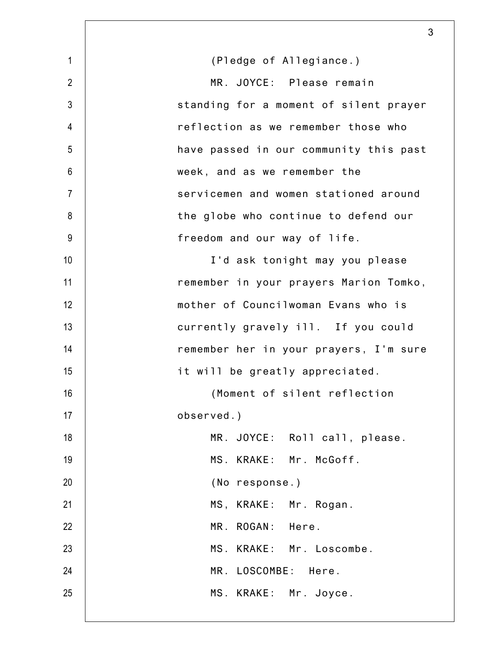|                | 3                                      |
|----------------|----------------------------------------|
| $\mathbf{1}$   | (Pledge of Allegiance.)                |
| $\overline{2}$ | MR. JOYCE: Please remain               |
| $\mathfrak{Z}$ | standing for a moment of silent prayer |
| 4              | reflection as we remember those who    |
| 5              | have passed in our community this past |
| 6              | week, and as we remember the           |
| $\overline{7}$ | servicemen and women stationed around  |
| 8              | the globe who continue to defend our   |
| 9              | freedom and our way of life.           |
| 10             | I'd ask tonight may you please         |
| 11             | remember in your prayers Marion Tomko, |
| 12             | mother of Councilwoman Evans who is    |
| 13             | currently gravely ill. If you could    |
| 14             | remember her in your prayers, I'm sure |
| 15             | it will be greatly appreciated.        |
| 16             | (Moment of silent reflection           |
| 17             | observed.)                             |
| 18             | MR. JOYCE: Roll call, please.          |
| 19             | MS. KRAKE: Mr. McGoff.                 |
| 20             | (No response.)                         |
| 21             | MS, KRAKE: Mr. Rogan.                  |
| 22             | MR. ROGAN: Here.                       |
| 23             | MS. KRAKE: Mr. Loscombe.               |
| 24             | MR. LOSCOMBE: Here.                    |
| 25             | MS. KRAKE: Mr. Joyce.                  |
|                |                                        |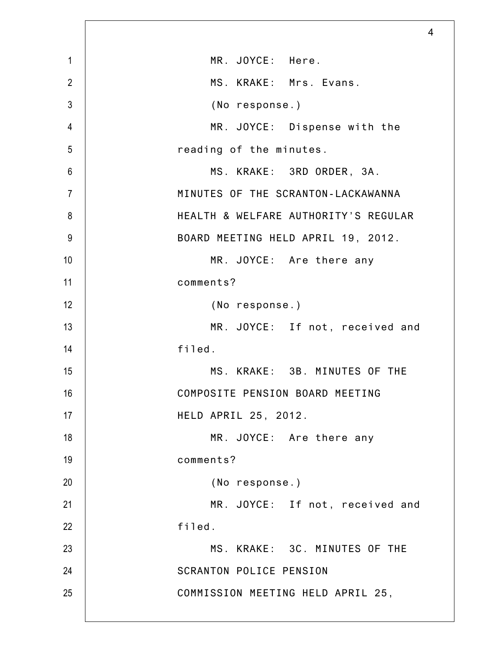|                | 4                                    |
|----------------|--------------------------------------|
| $\mathbf 1$    | MR. JOYCE: Here.                     |
| $\overline{2}$ | MS. KRAKE: Mrs. Evans.               |
| $\mathfrak{Z}$ | (No response.)                       |
| $\overline{4}$ | MR. JOYCE: Dispense with the         |
| 5              | reading of the minutes.              |
| $6\,$          | MS. KRAKE: 3RD ORDER, 3A.            |
| $\overline{7}$ | MINUTES OF THE SCRANTON-LACKAWANNA   |
| 8              | HEALTH & WELFARE AUTHORITY'S REGULAR |
| $9\,$          | BOARD MEETING HELD APRIL 19, 2012.   |
| 10             | MR. JOYCE: Are there any             |
| 11             | comments?                            |
| 12             | (No response.)                       |
| 13             | MR. JOYCE: If not, received and      |
| 14             | filed.                               |
| 15             | MS. KRAKE: 3B. MINUTES OF THE        |
| 16             | COMPOSITE PENSION BOARD MEETING      |
| 17             | HELD APRIL 25, 2012.                 |
| 18             | MR. JOYCE: Are there any             |
| 19             | comments?                            |
| 20             | (No response.)                       |
| 21             | MR. JOYCE: If not, received and      |
| 22             | filed.                               |
| 23             | MS. KRAKE: 3C. MINUTES OF THE        |
| 24             | <b>SCRANTON POLICE PENSION</b>       |
| 25             | COMMISSION MEETING HELD APRIL 25,    |
|                |                                      |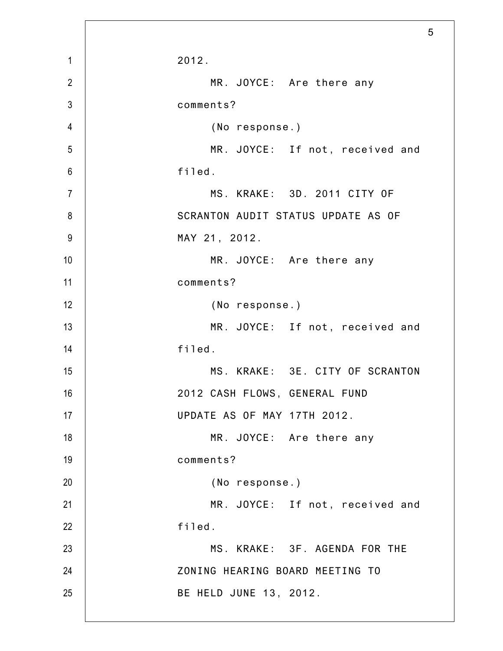|                |                                    | 5 |
|----------------|------------------------------------|---|
| $\mathbf{1}$   | 2012.                              |   |
| $\overline{2}$ | MR. JOYCE: Are there any           |   |
| $\mathfrak{Z}$ | comments?                          |   |
| $\overline{4}$ | (No response.)                     |   |
| 5              | MR. JOYCE: If not, received and    |   |
| $6\,$          | filed.                             |   |
| $\overline{7}$ | MS. KRAKE: 3D. 2011 CITY OF        |   |
| 8              | SCRANTON AUDIT STATUS UPDATE AS OF |   |
| 9              | MAY 21, 2012.                      |   |
| 10             | MR. JOYCE: Are there any           |   |
| 11             | comments?                          |   |
| 12             | (No response.)                     |   |
| 13             | MR. JOYCE: If not, received and    |   |
| 14             | filed.                             |   |
| 15             | MS. KRAKE: 3E. CITY OF SCRANTON    |   |
| 16             | 2012 CASH FLOWS, GENERAL FUND      |   |
| 17             | UPDATE AS OF MAY 17TH 2012.        |   |
| 18             | MR. JOYCE: Are there any           |   |
| 19             | comments?                          |   |
| 20             | (No response.)                     |   |
| 21             | MR. JOYCE: If not, received and    |   |
| 22             | filed.                             |   |
| 23             | MS. KRAKE: 3F. AGENDA FOR THE      |   |
| 24             | ZONING HEARING BOARD MEETING TO    |   |
| 25             | BE HELD JUNE 13, 2012.             |   |
|                |                                    |   |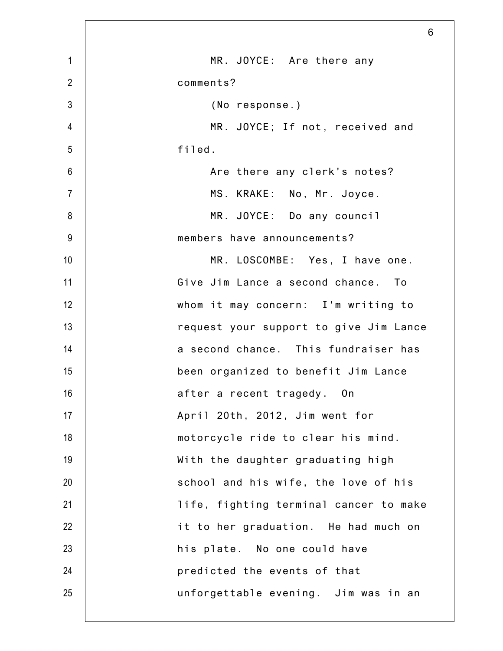| 6                                      |
|----------------------------------------|
| MR. JOYCE: Are there any               |
| comments?                              |
| (No response.)                         |
| MR. JOYCE; If not, received and        |
| filed.                                 |
| Are there any clerk's notes?           |
| MS. KRAKE: No, Mr. Joyce.              |
| MR. JOYCE: Do any council              |
| members have announcements?            |
| MR. LOSCOMBE: Yes, I have one.         |
| Give Jim Lance a second chance. To     |
| whom it may concern: I'm writing to    |
| request your support to give Jim Lance |
| a second chance. This fundraiser has   |
| been organized to benefit Jim Lance    |
| after a recent tragedy. On             |
| April 20th, 2012, Jim went for         |
| motorcycle ride to clear his mind.     |
| With the daughter graduating high      |
| school and his wife, the love of his   |
| life, fighting terminal cancer to make |
| it to her graduation. He had much on   |
| his plate. No one could have           |
| predicted the events of that           |
| unforgettable evening. Jim was in an   |
|                                        |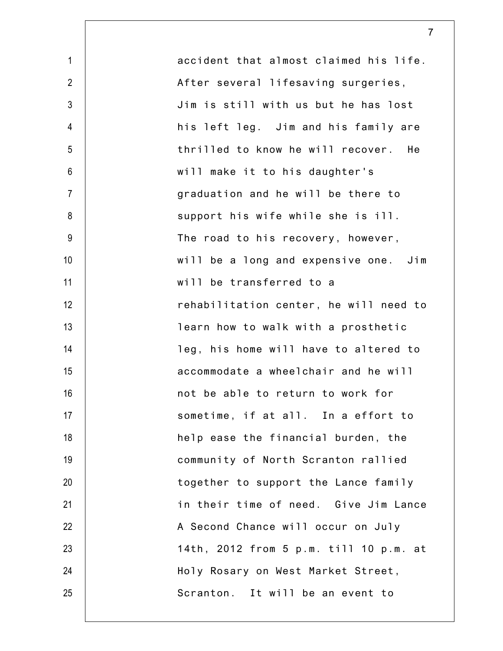1 2 3 4 5 6 7 8 9 10 11 12 13 14 15 16 17 18 19 20 21 22 23 24 25 accident that almost claimed his life. After several lifesaving surgeries, Jim is still with us but he has lost his left leg. Jim and his family are thrilled to know he will recover. He will make it to his daughter's graduation and he will be there to support his wife while she is ill. The road to his recovery, however, will be a long and expensive one. Jim will be transferred to a rehabilitation center, he will need to learn how to walk with a prosthetic leg, his home will have to altered to accommodate a wheelchair and he will not be able to return to work for sometime, if at all. In a effort to help ease the financial burden, the community of North Scranton rallied together to support the Lance family in their time of need. Give Jim Lance A Second Chance will occur on July 14th, 2012 from 5 p.m. till 10 p.m. at Holy Rosary on West Market Street, Scranton. It will be an event to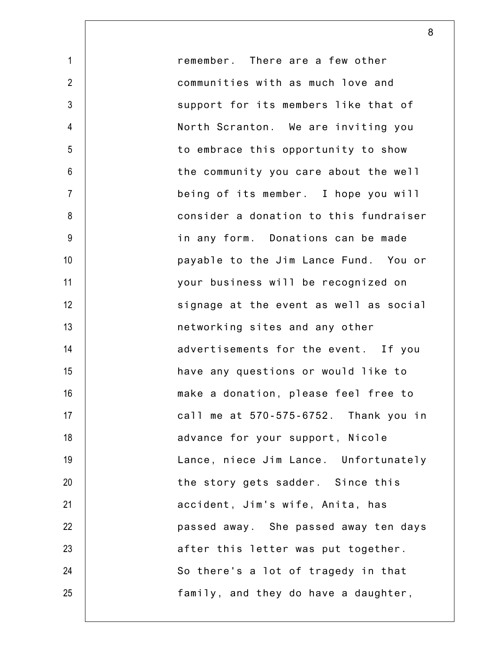remember. There are a few other communities with as much love and support for its members like that of North Scranton. We are inviting you to embrace this opportunity to show the community you care about the well being of its member. I hope you will consider a donation to this fundraiser in any form. Donations can be made payable to the Jim Lance Fund. You or your business will be recognized on signage at the event as well as social networking sites and any other advertisements for the event. If you have any questions or would like to make a donation, please feel free to call me at 570-575-6752. Thank you in advance for your support, Nicole Lance, niece Jim Lance. Unfortunately the story gets sadder. Since this accident, Jim's wife, Anita, has passed away. She passed away ten days after this letter was put together. So there's a lot of tragedy in that family, and they do have a daughter,

1

2

3

4

5

6

7

8

9

10

11

12

13

14

15

16

17

18

19

20

21

22

23

24

25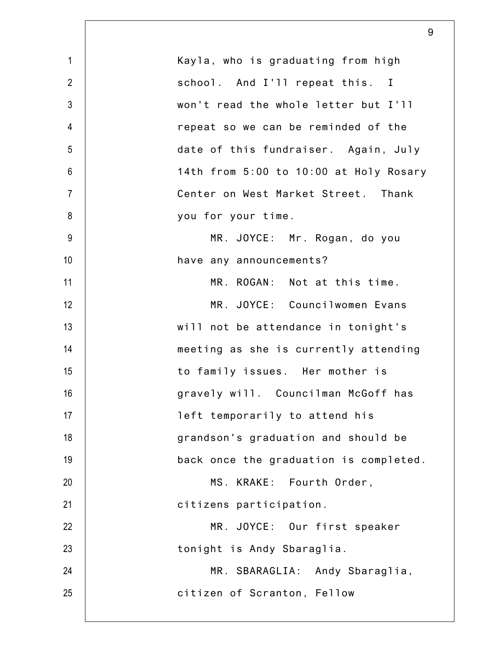|                 | 9                                      |
|-----------------|----------------------------------------|
| $\mathbf{1}$    | Kayla, who is graduating from high     |
| $\overline{2}$  | school. And I'll repeat this. I        |
| 3               | won't read the whole letter but I'll   |
| $\overline{4}$  | repeat so we can be reminded of the    |
| 5               | date of this fundraiser. Again, July   |
| $6\phantom{1}6$ | 14th from 5:00 to 10:00 at Holy Rosary |
| $\overline{7}$  | Center on West Market Street. Thank    |
| 8               | you for your time.                     |
| 9               | MR. JOYCE: Mr. Rogan, do you           |
| 10              | have any announcements?                |
| 11              | MR. ROGAN: Not at this time.           |
| 12              | MR. JOYCE: Councilwomen Evans          |
| 13              | will not be attendance in tonight's    |
| 14              | meeting as she is currently attending  |
| 15              | to family issues. Her mother is        |
| 16              | gravely will. Councilman McGoff has    |
| 17              | left temporarily to attend his         |
| 18              | grandson's graduation and should be    |
| 19              | back once the graduation is completed. |
| 20              | MS. KRAKE: Fourth Order,               |
| 21              | citizens participation.                |
| 22              | MR. JOYCE: Our first speaker           |
| 23              | tonight is Andy Sbaraglia.             |
| 24              | MR. SBARAGLIA: Andy Sbaraglia,         |
| 25              | citizen of Scranton, Fellow            |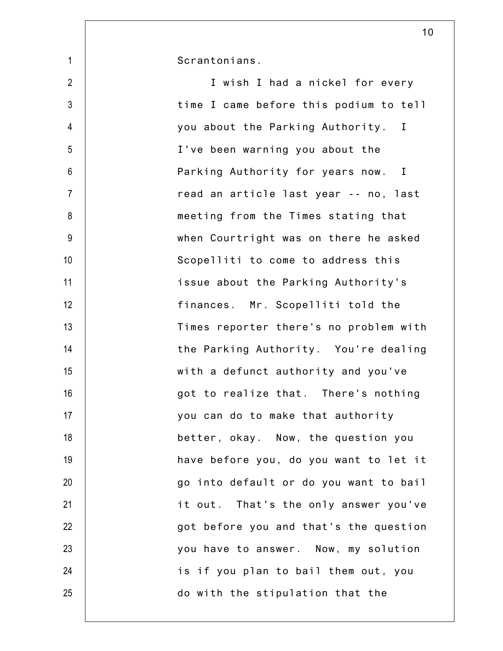Scrantonians.

2 3 4 5 6 7 8 9 10 11 12 13 14 15 16 17 18 19 20 21 22 23 24 25 I wish I had a nickel for every time I came before this podium to tell you about the Parking Authority. I I've been warning you about the Parking Authority for years now. I read an article last year -- no, last meeting from the Times stating that when Courtright was on there he asked Scopelliti to come to address this issue about the Parking Authority's finances. Mr. Scopelliti told the Times reporter there's no problem with the Parking Authority. You're dealing with a defunct authority and you've got to realize that. There's nothing you can do to make that authority better, okay. Now, the question you have before you, do you want to let it go into default or do you want to bail it out. That's the only answer you've got before you and that's the question you have to answer. Now, my solution is if you plan to bail them out, you do with the stipulation that the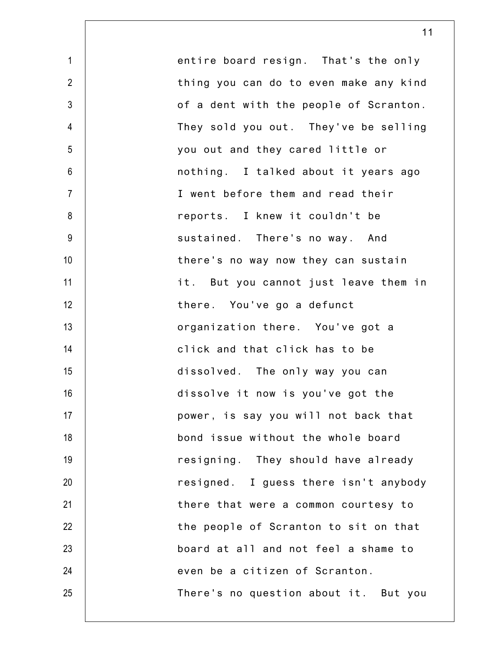| $\mathbf 1$    | entire board resign. That's the only   |
|----------------|----------------------------------------|
| $\overline{2}$ | thing you can do to even make any kind |
| $\mathfrak{Z}$ | of a dent with the people of Scranton. |
| $\overline{4}$ | They sold you out. They've be selling  |
| $\sqrt{5}$     | you out and they cared little or       |
| $\,6\,$        | nothing. I talked about it years ago   |
| $\overline{7}$ | I went before them and read their      |
| 8              | reports. I knew it couldn't be         |
| $9\,$          | sustained. There's no way. And         |
| 10             | there's no way now they can sustain    |
| 11             | it. But you cannot just leave them in  |
| 12             | there. You've go a defunct             |
| 13             | organization there. You've got a       |
| 14             | click and that click has to be         |
| 15             | dissolved. The only way you can        |
| 16             | dissolve it now is you've got the      |
| 17             | power, is say you will not back that   |
| 18             | bond issue without the whole board     |
| 19             | resigning. They should have already    |
| 20             | resigned. I guess there isn't anybody  |
| 21             | there that were a common courtesy to   |
| 22             | the people of Scranton to sit on that  |
| 23             | board at all and not feel a shame to   |
| 24             | even be a citizen of Scranton.         |
| 25             | There's no question about it. But you  |
|                |                                        |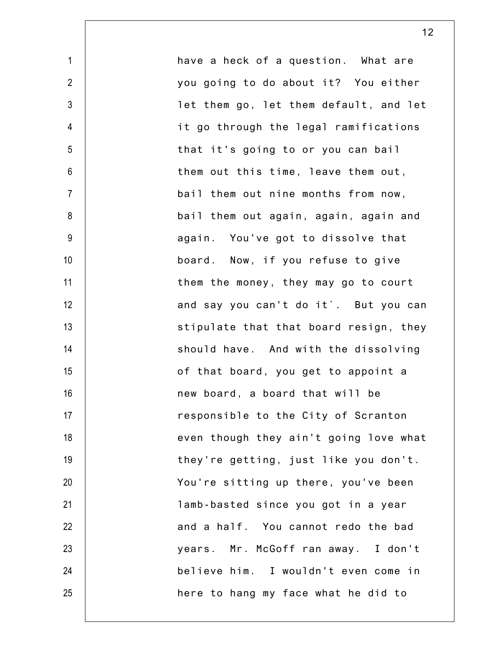1 2 3 4 5 6 7 8 9 10 11 12 13 14 15 16 17 18 19 20 21 22 23 24 25 have a heck of a question. What are you going to do about it? You either let them go, let them default, and let it go through the legal ramifications that it's going to or you can bail them out this time, leave them out, bail them out nine months from now, bail them out again, again, again and again. You've got to dissolve that board. Now, if you refuse to give them the money, they may go to court and say you can't do it`. But you can stipulate that that board resign, they should have. And with the dissolving of that board, you get to appoint a new board, a board that will be responsible to the City of Scranton even though they ain't going love what they're getting, just like you don't. You're sitting up there, you've been lamb-basted since you got in a year and a half. You cannot redo the bad years. Mr. McGoff ran away. I don't believe him. I wouldn't even come in here to hang my face what he did to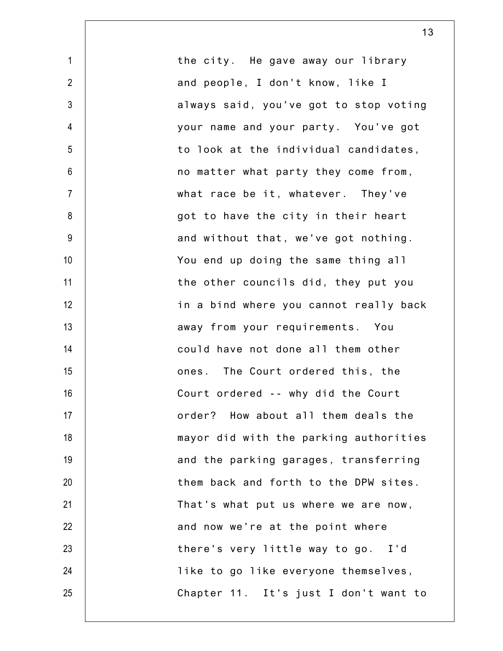1 2 3 4 5 6 7 8 9 10 11 12 13 14 15 16 17 18 19 20 21 22 23 24 25 the city. He gave away our library and people, I don't know, like I always said, you've got to stop voting your name and your party. You've got to look at the individual candidates, no matter what party they come from, what race be it, whatever. They've got to have the city in their heart and without that, we've got nothing. You end up doing the same thing all the other councils did, they put you in a bind where you cannot really back away from your requirements. You could have not done all them other ones. The Court ordered this, the Court ordered -- why did the Court order? How about all them deals the mayor did with the parking authorities and the parking garages, transferring them back and forth to the DPW sites. That's what put us where we are now, and now we're at the point where there's very little way to go. I'd like to go like everyone themselves, Chapter 11. It's just I don't want to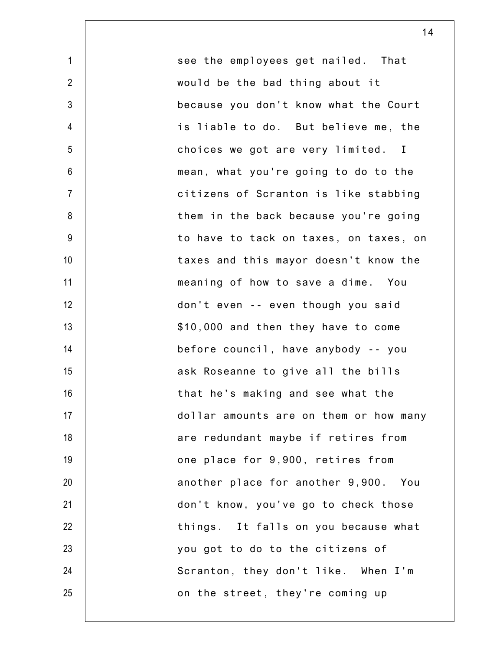see the employees get nailed. That would be the bad thing about it because you don't know what the Court is liable to do. But believe me, the choices we got are very limited. I mean, what you're going to do to the citizens of Scranton is like stabbing them in the back because you're going to have to tack on taxes, on taxes, on taxes and this mayor doesn't know the meaning of how to save a dime. You don't even -- even though you said \$10,000 and then they have to come before council, have anybody -- you ask Roseanne to give all the bills that he's making and see what the dollar amounts are on them or how many are redundant maybe if retires from one place for 9,900, retires from another place for another 9,900. You don't know, you've go to check those things. It falls on you because what you got to do to the citizens of Scranton, they don't like. When I'm on the street, they're coming up

1

2

3

4

5

6

7

8

9

10

11

12

13

14

15

16

17

18

19

20

21

22

23

24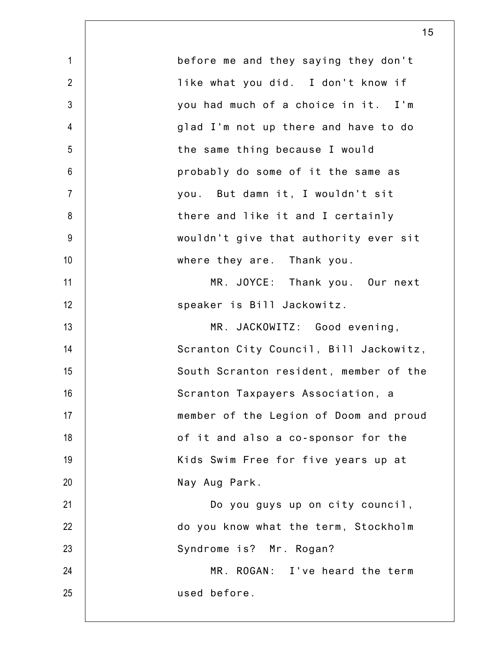| $\mathbf{1}$   | before me and they saying they don't   |
|----------------|----------------------------------------|
| $\overline{2}$ | like what you did. I don't know if     |
| $\mathfrak{Z}$ | you had much of a choice in it. I'm    |
| $\overline{4}$ | glad I'm not up there and have to do   |
| 5              | the same thing because I would         |
| $6\,$          | probably do some of it the same as     |
| $\overline{7}$ | you. But damn it, I wouldn't sit       |
| 8              | there and like it and I certainly      |
| $9\,$          | wouldn't give that authority ever sit  |
| 10             | where they are. Thank you.             |
| 11             | MR. JOYCE: Thank you. Our next         |
| 12             | speaker is Bill Jackowitz.             |
| 13             | MR. JACKOWITZ: Good evening,           |
| 14             | Scranton City Council, Bill Jackowitz, |
| 15             | South Scranton resident, member of the |
| 16             | Scranton Taxpayers Association, a      |
| 17             | member of the Legion of Doom and proud |
| 18             | of it and also a co-sponsor for the    |
| 19             | Kids Swim Free for five years up at    |
| 20             | Nay Aug Park.                          |
| 21             | Do you guys up on city council,        |
| 22             | do you know what the term, Stockholm   |
| 23             | Syndrome is? Mr. Rogan?                |
| 24             | MR. ROGAN: I've heard the term         |
| 25             | used before.                           |
|                |                                        |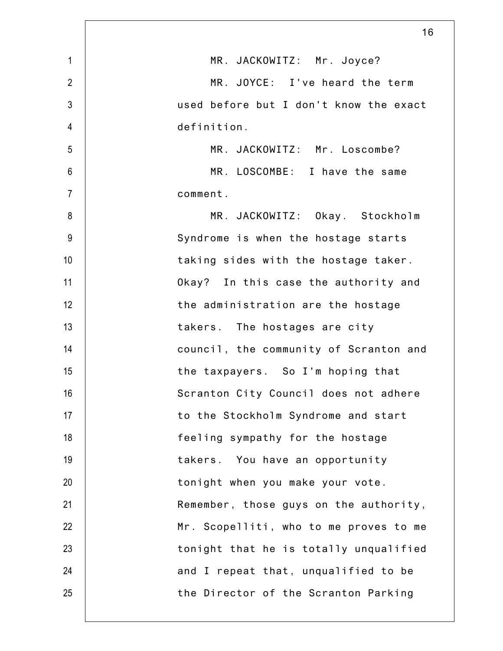|                | 16                                     |
|----------------|----------------------------------------|
| $\mathbf{1}$   | MR. JACKOWITZ: Mr. Joyce?              |
| $\overline{2}$ | MR. JOYCE: I've heard the term         |
| $\mathfrak{Z}$ | used before but I don't know the exact |
| $\overline{4}$ | definition.                            |
| 5              | MR. JACKOWITZ: Mr. Loscombe?           |
| $6\,$          | MR. LOSCOMBE: I have the same          |
| $\overline{7}$ | comment.                               |
| 8              | MR. JACKOWITZ: Okay. Stockholm         |
| 9              | Syndrome is when the hostage starts    |
| 10             | taking sides with the hostage taker.   |
| 11             | Okay? In this case the authority and   |
| 12             | the administration are the hostage     |
| 13             | takers. The hostages are city          |
| 14             | council, the community of Scranton and |
| 15             | the taxpayers. So I'm hoping that      |
| 16             | Scranton City Council does not adhere  |
| 17             | to the Stockholm Syndrome and start    |
| 18             | feeling sympathy for the hostage       |
| 19             | takers. You have an opportunity        |
| 20             | tonight when you make your vote.       |
| 21             | Remember, those guys on the authority, |
| 22             | Mr. Scopelliti, who to me proves to me |
| 23             | tonight that he is totally unqualified |
| 24             | and I repeat that, unqualified to be   |
| 25             | the Director of the Scranton Parking   |
|                |                                        |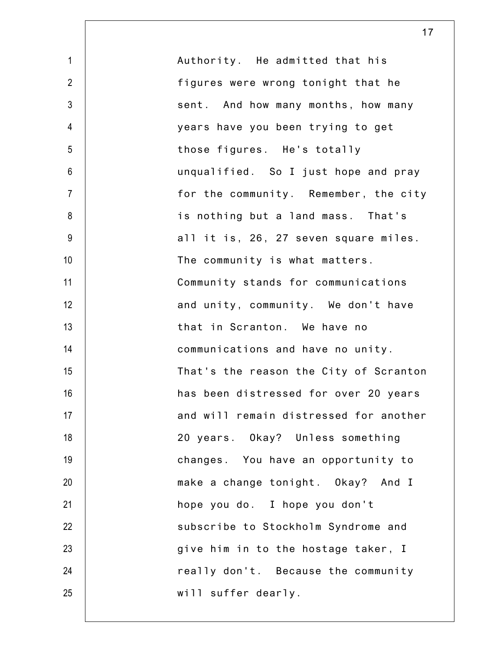| $\mathbf 1$      | Authority. He admitted that his        |
|------------------|----------------------------------------|
| $\overline{2}$   | figures were wrong tonight that he     |
| $\mathfrak{Z}$   | sent. And how many months, how many    |
| $\overline{4}$   | years have you been trying to get      |
| 5                | those figures. He's totally            |
| $6\,$            | unqualified. So I just hope and pray   |
| $\overline{7}$   | for the community. Remember, the city  |
| 8                | is nothing but a land mass. That's     |
| $\boldsymbol{9}$ | all it is, 26, 27 seven square miles.  |
| 10               | The community is what matters.         |
| 11               | Community stands for communications    |
| 12               | and unity, community. We don't have    |
| 13               | that in Scranton. We have no           |
| 14               | communications and have no unity.      |
| 15               | That's the reason the City of Scranton |
| 16               | has been distressed for over 20 years  |
| 17               | and will remain distressed for another |
| 18               | 20 years. Okay? Unless something       |
| 19               | changes. You have an opportunity to    |
| 20               | make a change tonight. Okay? And I     |
| 21               | hope you do. I hope you don't          |
| 22               | subscribe to Stockholm Syndrome and    |
| 23               | give him in to the hostage taker, I    |
| 24               | really don't. Because the community    |
| 25               | will suffer dearly.                    |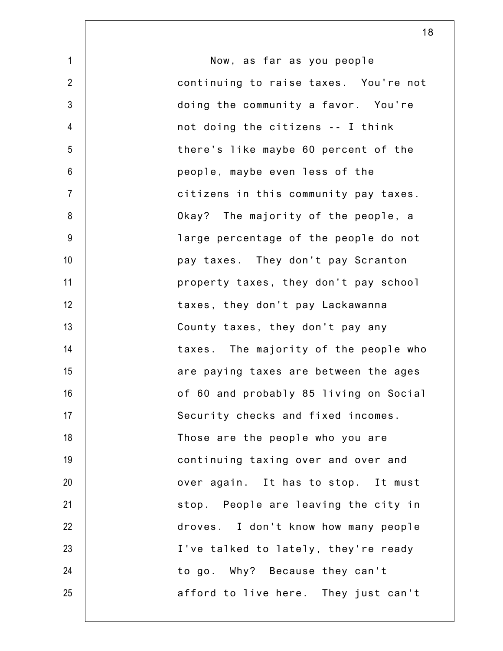| $\mathbf{1}$    | Now, as far as you people              |
|-----------------|----------------------------------------|
| $\overline{2}$  | continuing to raise taxes. You're not  |
| $\mathfrak{Z}$  | doing the community a favor. You're    |
| $\overline{4}$  | not doing the citizens -- I think      |
| 5               | there's like maybe 60 percent of the   |
| 6               | people, maybe even less of the         |
| $\overline{7}$  | citizens in this community pay taxes.  |
| 8               | Okay? The majority of the people, a    |
| $9\,$           | large percentage of the people do not  |
| 10              | pay taxes. They don't pay Scranton     |
| 11              | property taxes, they don't pay school  |
| 12              | taxes, they don't pay Lackawanna       |
| 13              | County taxes, they don't pay any       |
| 14              | taxes. The majority of the people who  |
| 15              | are paying taxes are between the ages  |
| 16              | of 60 and probably 85 living on Social |
| 17 <sup>2</sup> | Security checks and fixed incomes.     |
| 18              | Those are the people who you are       |
| 19              | continuing taxing over and over and    |
| 20              | over again. It has to stop. It must    |
| 21              | stop. People are leaving the city in   |
| 22              | droves. I don't know how many people   |
| 23              | I've talked to lately, they're ready   |
| 24              | to go. Why? Because they can't         |
| 25              | afford to live here. They just can't   |
|                 |                                        |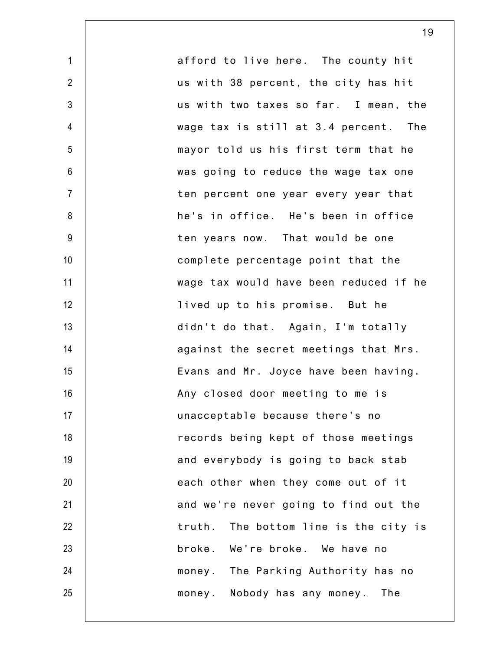1 2 3 4 5 6 7 8 9 10 11 12 13 14 15 16 17 18 19 20 21 22 23 24 25 afford to live here. The county hit us with 38 percent, the city has hit us with two taxes so far. I mean, the wage tax is still at 3.4 percent. The mayor told us his first term that he was going to reduce the wage tax one ten percent one year every year that he's in office. He's been in office ten years now. That would be one complete percentage point that the wage tax would have been reduced if he lived up to his promise. But he didn't do that. Again, I'm totally against the secret meetings that Mrs. Evans and Mr. Joyce have been having. Any closed door meeting to me is unacceptable because there's no records being kept of those meetings and everybody is going to back stab each other when they come out of it and we're never going to find out the truth. The bottom line is the city is broke. We're broke. We have no money. The Parking Authority has no money. Nobody has any money. The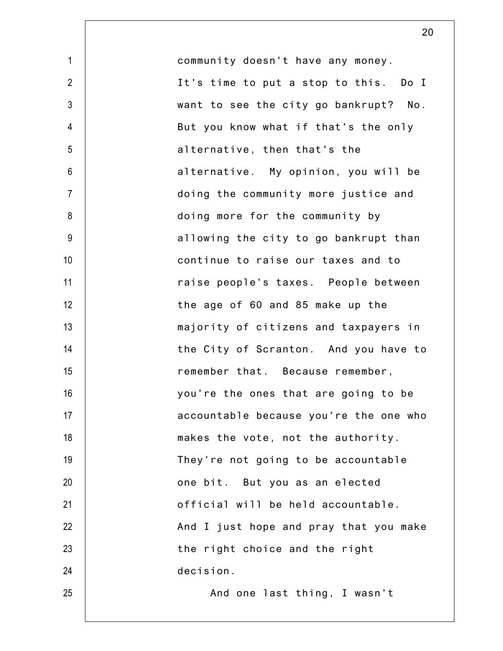1 2 3 4 5 6 7 8 9 10 11 12 13 14 15 16 17 18 19 20 21 22 23 24 25 community doesn't have any money. It's time to put a stop to this. Do I want to see the city go bankrupt? No. But you know what if that's the only alternative, then that's the alternative. My opinion, you will be doing the community more justice and doing more for the community by allowing the city to go bankrupt than continue to raise our taxes and to raise people's taxes. People between the age of 60 and 85 make up the majority of citizens and taxpayers in the City of Scranton. And you have to remember that. Because remember, you're the ones that are going to be accountable because you're the one who makes the vote, not the authority. They're not going to be accountable one bit. But you as an elected official will be held accountable. And I just hope and pray that you make the right choice and the right decision. And one last thing, I wasn't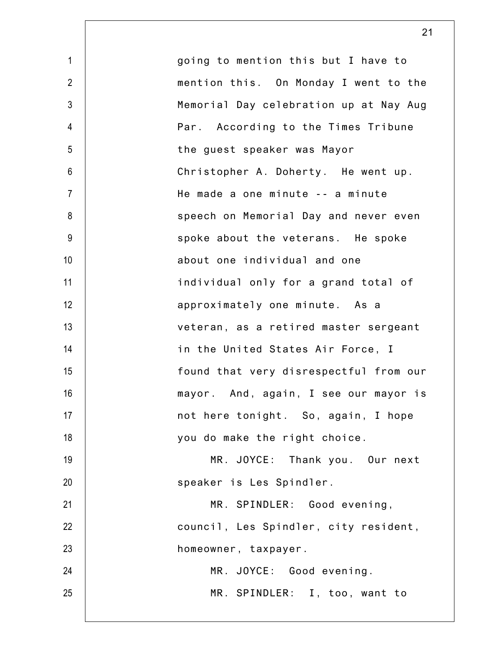1 2 3 4 5 6 7 8 9 10 11 12 13 14 15 16 17 18 19 20 21 22 23 24 25 going to mention this but I have to mention this. On Monday I went to the Memorial Day celebration up at Nay Aug Par. According to the Times Tribune the guest speaker was Mayor Christopher A. Doherty. He went up. He made a one minute -- a minute speech on Memorial Day and never even spoke about the veterans. He spoke about one individual and one individual only for a grand total of approximately one minute. As a veteran, as a retired master sergeant in the United States Air Force, I found that very disrespectful from our mayor. And, again, I see our mayor is not here tonight. So, again, I hope you do make the right choice. MR. JOYCE: Thank you. Our next speaker is Les Spindler. MR. SPINDLER: Good evening, council, Les Spindler, city resident, homeowner, taxpayer. MR. JOYCE: Good evening. MR. SPINDLER: I, too, want to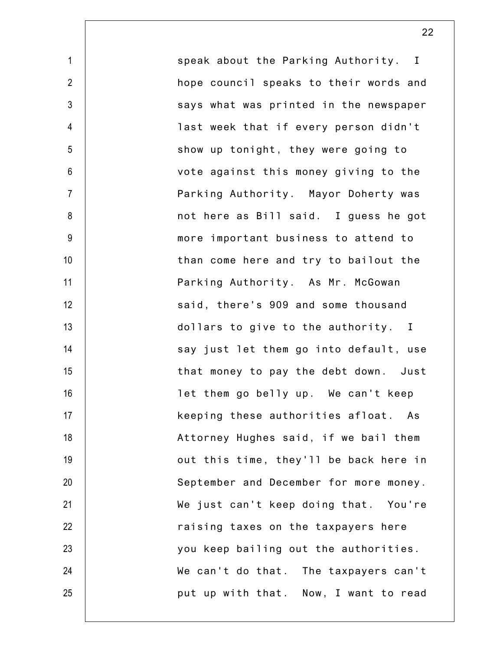speak about the Parking Authority. I hope council speaks to their words and says what was printed in the newspaper last week that if every person didn't show up tonight, they were going to vote against this money giving to the Parking Authority. Mayor Doherty was not here as Bill said. I guess he got more important business to attend to than come here and try to bailout the Parking Authority. As Mr. McGowan said, there's 909 and some thousand dollars to give to the authority. I say just let them go into default, use that money to pay the debt down. Just let them go belly up. We can't keep keeping these authorities afloat. As Attorney Hughes said, if we bail them out this time, they'll be back here in September and December for more money. We just can't keep doing that. You're raising taxes on the taxpayers here you keep bailing out the authorities. We can't do that. The taxpayers can't put up with that. Now, I want to read

1

2

3

4

5

6

7

8

9

10

11

12

13

14

15

16

17

18

19

20

21

22

23

24

25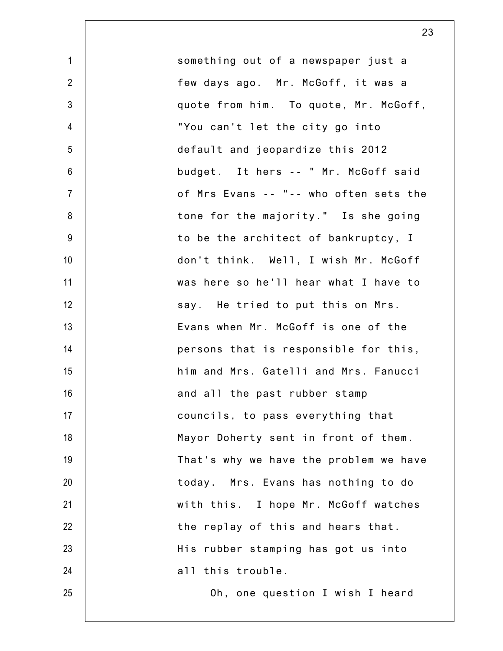| $\mathbf{1}$     | something out of a newspaper just a    |
|------------------|----------------------------------------|
| $\overline{2}$   | few days ago. Mr. McGoff, it was a     |
| $\mathfrak{Z}$   | quote from him. To quote, Mr. McGoff,  |
| $\overline{4}$   | "You can't let the city go into        |
| 5                | default and jeopardize this 2012       |
| $\boldsymbol{6}$ | budget. It hers -- " Mr. McGoff said   |
| $\overline{7}$   | of Mrs Evans -- "-- who often sets the |
| 8                | tone for the majority." Is she going   |
| $9\,$            | to be the architect of bankruptcy, I   |
| 10               | don't think. Well, I wish Mr. McGoff   |
| 11               | was here so he'll hear what I have to  |
| 12               | say. He tried to put this on Mrs.      |
| 13               | Evans when Mr. McGoff is one of the    |
| 14               | persons that is responsible for this,  |
| 15               | him and Mrs. Gatelli and Mrs. Fanucci  |
| 16               | and all the past rubber stamp          |
| 17               | councils, to pass everything that      |
| 18               | Mayor Doherty sent in front of them.   |
| 19               | That's why we have the problem we have |
| 20               | today. Mrs. Evans has nothing to do    |
| 21               | with this. I hope Mr. McGoff watches   |
| 22               | the replay of this and hears that.     |
| 23               | His rubber stamping has got us into    |
| 24               | all this trouble.                      |
| 25               | Oh, one question I wish I heard        |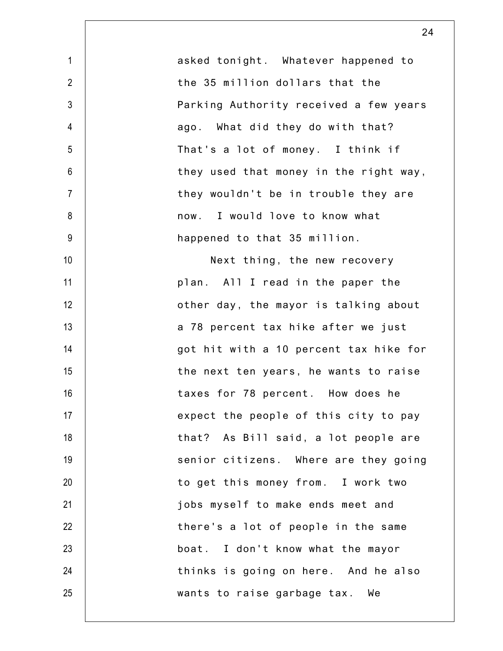| $\mathbf{1}$    | asked tonight. Whatever happened to    |
|-----------------|----------------------------------------|
| $\overline{2}$  | the 35 million dollars that the        |
| $\mathfrak{Z}$  | Parking Authority received a few years |
| 4               | ago. What did they do with that?       |
| 5               | That's a lot of money. I think if      |
| $6\phantom{.}6$ | they used that money in the right way, |
| $\overline{7}$  | they wouldn't be in trouble they are   |
| 8               | now. I would love to know what         |
| 9               | happened to that 35 million.           |
| 10              | Next thing, the new recovery           |
| 11              | plan. All I read in the paper the      |
| 12              | other day, the mayor is talking about  |
| 13              | a 78 percent tax hike after we just    |
| 14              | got hit with a 10 percent tax hike for |
| 15              | the next ten years, he wants to raise  |
| 16              | taxes for 78 percent. How does he      |
| 17              | expect the people of this city to pay  |
| 18              | that? As Bill said, a lot people are   |
| 19              | senior citizens. Where are they going  |
| 20              | to get this money from. I work two     |
| 21              | jobs myself to make ends meet and      |
| 22              | there's a lot of people in the same    |
| 23              | boat. I don't know what the mayor      |
| 24              | thinks is going on here. And he also   |
| 25              | wants to raise garbage tax. We         |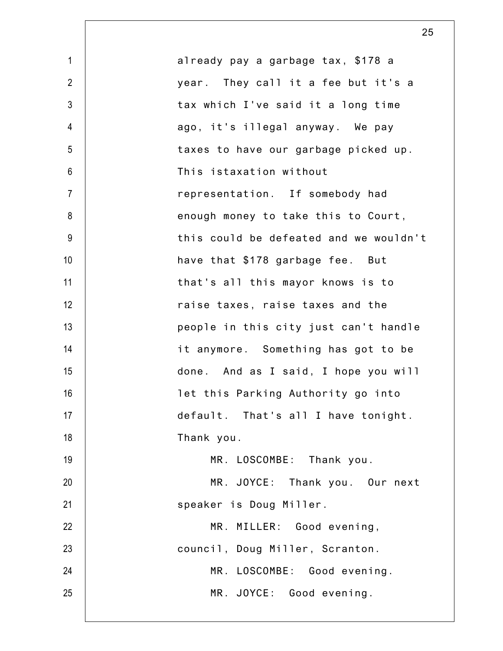| $\mathbf{1}$   | already pay a garbage tax, \$178 a     |
|----------------|----------------------------------------|
| $\overline{2}$ | year. They call it a fee but it's a    |
| $\mathfrak{Z}$ | tax which I've said it a long time     |
| $\overline{4}$ | ago, it's illegal anyway. We pay       |
| 5              | taxes to have our garbage picked up.   |
| $6\,$          | This istaxation without                |
| $\overline{7}$ | representation. If somebody had        |
| 8              | enough money to take this to Court,    |
| $9\,$          | this could be defeated and we wouldn't |
| 10             | have that \$178 garbage fee. But       |
| 11             | that's all this mayor knows is to      |
| 12             | raise taxes, raise taxes and the       |
| 13             | people in this city just can't handle  |
| 14             | it anymore. Something has got to be    |
| 15             | done. And as I said, I hope you will   |
| 16             | let this Parking Authority go into     |
| 17             | default. That's all I have tonight.    |
| 18             | Thank you.                             |
| 19             | MR. LOSCOMBE: Thank you.               |
| 20             | MR. JOYCE: Thank you. Our next         |
| 21             | speaker is Doug Miller.                |
| 22             | MR. MILLER: Good evening,              |
| 23             | council, Doug Miller, Scranton.        |
| 24             | MR. LOSCOMBE: Good evening.            |
| 25             | MR. JOYCE: Good evening.               |
|                |                                        |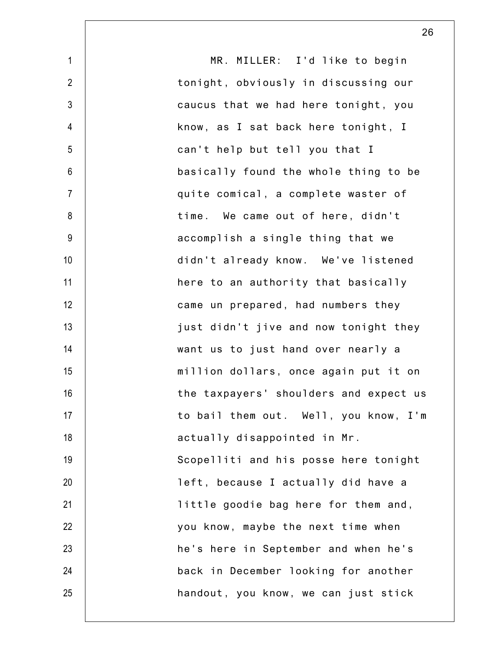1 2 3 4 5 6 7 8 9 10 11 12 13 14 15 16 17 18 19 20 21 22 23 24 25 MR. MILLER: I'd like to begin tonight, obviously in discussing our caucus that we had here tonight, you know, as I sat back here tonight, I can't help but tell you that I basically found the whole thing to be quite comical, a complete waster of time. We came out of here, didn't accomplish a single thing that we didn't already know. We've listened here to an authority that basically came un prepared, had numbers they just didn't jive and now tonight they want us to just hand over nearly a million dollars, once again put it on the taxpayers' shoulders and expect us to bail them out. Well, you know, I'm actually disappointed in Mr. Scopelliti and his posse here tonight left, because I actually did have a little goodie bag here for them and, you know, maybe the next time when he's here in September and when he's back in December looking for another handout, you know, we can just stick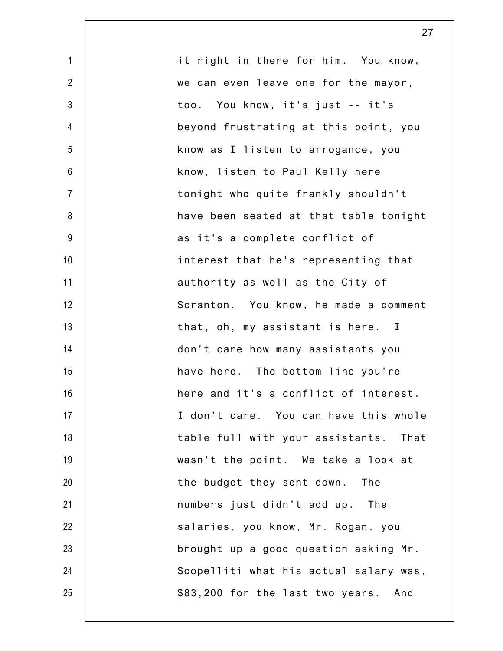| $\mathbf{1}$   | it right in there for him. You know,    |
|----------------|-----------------------------------------|
| $\overline{2}$ | we can even leave one for the mayor,    |
| $\mathfrak{Z}$ | too. You know, it's just -- it's        |
| 4              | beyond frustrating at this point, you   |
| 5              | know as I listen to arrogance, you      |
| 6              | know, listen to Paul Kelly here         |
| $\overline{7}$ | tonight who quite frankly shouldn't     |
| 8              | have been seated at that table tonight  |
| $9\,$          | as it's a complete conflict of          |
| 10             | interest that he's representing that    |
| 11             | authority as well as the City of        |
| 12             | Scranton. You know, he made a comment   |
| 13             | that, oh, my assistant is here. I       |
| 14             | don't care how many assistants you      |
| 15             | have here. The bottom line you're       |
| 16             | here and it's a conflict of interest.   |
| 17             | I don't care. You can have this whole   |
| 18             | table full with your assistants. That   |
| 19             | wasn't the point. We take a look at     |
| 20             | the budget they sent down.<br>The       |
| 21             | numbers just didn't add up. The         |
| 22             | salaries, you know, Mr. Rogan, you      |
| 23             | brought up a good question asking Mr.   |
| 24             | Scopelliti what his actual salary was,  |
| 25             | \$83,200 for the last two years.<br>And |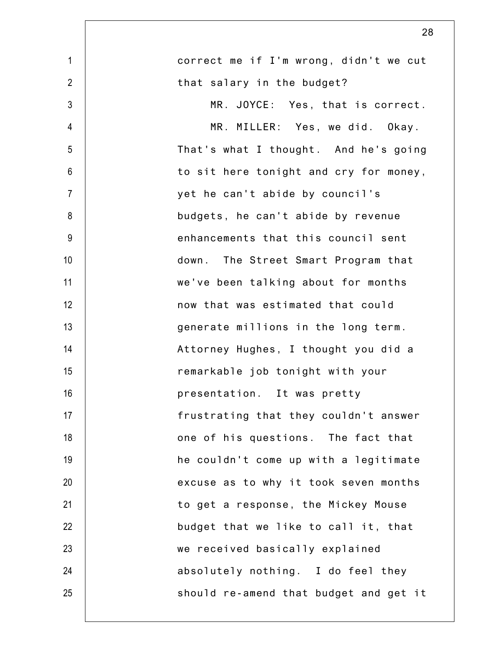| $\mathbf{1}$   | correct me if I'm wrong, didn't we cut |
|----------------|----------------------------------------|
| $\overline{2}$ | that salary in the budget?             |
| 3              | MR. JOYCE: Yes, that is correct.       |
| $\overline{4}$ | MR. MILLER: Yes, we did. Okay.         |
| 5              | That's what I thought. And he's going  |
| $6\,$          | to sit here tonight and cry for money, |
| $\overline{7}$ | yet he can't abide by council's        |
| 8              | budgets, he can't abide by revenue     |
| 9              | enhancements that this council sent    |
| 10             | down. The Street Smart Program that    |
| 11             | we've been talking about for months    |
| 12             | now that was estimated that could      |
| 13             | generate millions in the long term.    |
| 14             | Attorney Hughes, I thought you did a   |
| 15             | remarkable job tonight with your       |
| 16             | presentation. It was pretty            |
| 17             | frustrating that they couldn't answer  |
| 18             | one of his questions. The fact that    |
| 19             | he couldn't come up with a legitimate  |
| 20             | excuse as to why it took seven months  |
| 21             | to get a response, the Mickey Mouse    |
| 22             | budget that we like to call it, that   |
| 23             | we received basically explained        |
| 24             | absolutely nothing. I do feel they     |
| 25             | should re-amend that budget and get it |
|                |                                        |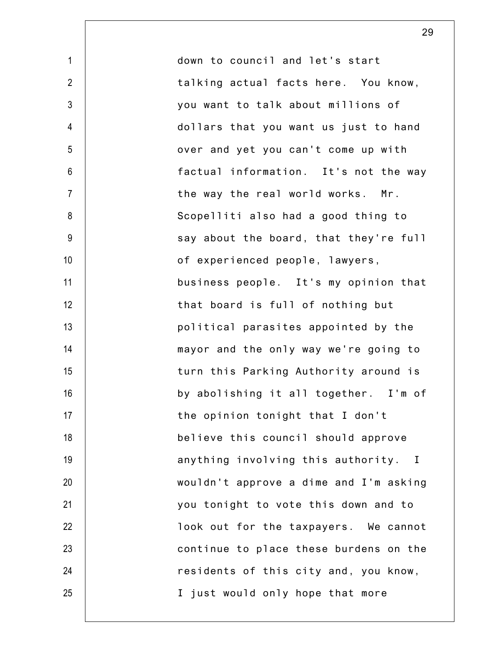1 2 3 4 5 6 7 8 9 10 11 12 13 14 15 16 17 18 19 20 21 22 23 24 25 down to council and let's start talking actual facts here. You know, you want to talk about millions of dollars that you want us just to hand over and yet you can't come up with factual information. It's not the way the way the real world works. Mr. Scopelliti also had a good thing to say about the board, that they're full of experienced people, lawyers, business people. It's my opinion that that board is full of nothing but political parasites appointed by the mayor and the only way we're going to turn this Parking Authority around is by abolishing it all together. I'm of the opinion tonight that I don't believe this council should approve anything involving this authority. I wouldn't approve a dime and I'm asking you tonight to vote this down and to look out for the taxpayers. We cannot continue to place these burdens on the residents of this city and, you know, I just would only hope that more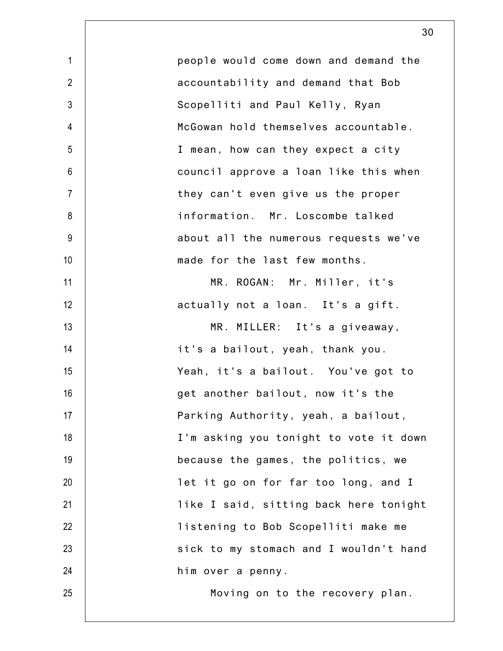| $\mathbf{1}$    | people would come down and demand the  |
|-----------------|----------------------------------------|
| $\overline{2}$  | accountability and demand that Bob     |
| $\mathfrak{Z}$  | Scopelliti and Paul Kelly, Ryan        |
| $\overline{4}$  | McGowan hold themselves accountable.   |
| 5               | I mean, how can they expect a city     |
| $6\phantom{.}6$ | council approve a loan like this when  |
| $\overline{7}$  | they can't even give us the proper     |
| 8               | information. Mr. Loscombe talked       |
| $9\,$           | about all the numerous requests we've  |
| 10              | made for the last few months.          |
| 11              | MR. ROGAN: Mr. Miller, it's            |
| 12              | actually not a loan. It's a gift.      |
| 13              | MR. MILLER: It's a giveaway,           |
| 14              | it's a bailout, yeah, thank you.       |
| 15              | Yeah, it's a bailout. You've got to    |
| 16              | get another bailout, now it's the      |
| 17              | Parking Authority, yeah, a bailout,    |
| 18              | I'm asking you tonight to vote it down |
| 19              | because the games, the politics, we    |
| 20              | let it go on for far too long, and I   |
| 21              | like I said, sitting back here tonight |
| 22              | listening to Bob Scopelliti make me    |
| 23              | sick to my stomach and I wouldn't hand |
| 24              | him over a penny.                      |
| 25              | Moving on to the recovery plan.        |
|                 |                                        |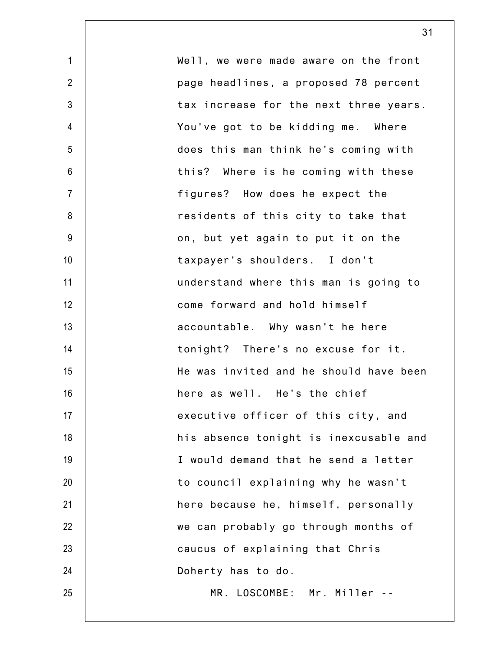| $\mathbf{1}$   | Well, we were made aware on the front  |
|----------------|----------------------------------------|
| $\overline{2}$ | page headlines, a proposed 78 percent  |
| 3              | tax increase for the next three years. |
| 4              | You've got to be kidding me. Where     |
| 5              | does this man think he's coming with   |
| 6              | this? Where is he coming with these    |
| $\overline{7}$ | figures? How does he expect the        |
| 8              | residents of this city to take that    |
| 9              | on, but yet again to put it on the     |
| 10             | taxpayer's shoulders. I don't          |
| 11             | understand where this man is going to  |
| 12             | come forward and hold himself          |
| 13             | accountable. Why wasn't he here        |
| 14             | tonight? There's no excuse for it.     |
| 15             | He was invited and he should have been |
| 16             | here as well. He's the chief           |
| 17             | executive officer of this city, and    |
| 18             | his absence tonight is inexcusable and |
| 19             | I would demand that he send a letter   |
| 20             | to council explaining why he wasn't    |
| 21             | here because he, himself, personally   |
| 22             | we can probably go through months of   |
| 23             | caucus of explaining that Chris        |
| 24             | Doherty has to do.                     |
| 25             | MR. LOSCOMBE: Mr. Miller --            |
|                |                                        |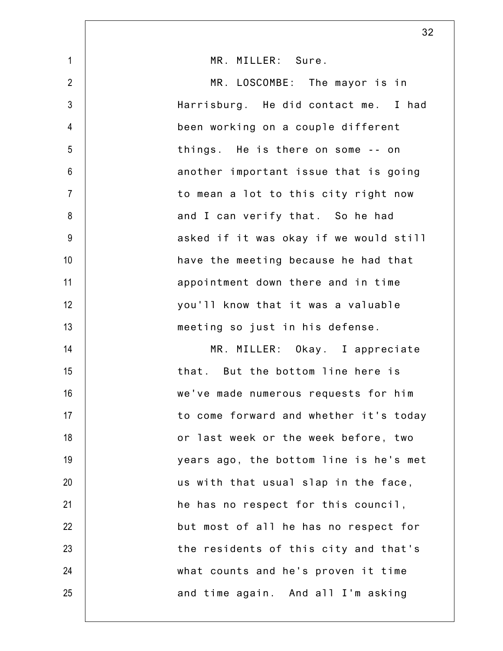|                | 32                                     |
|----------------|----------------------------------------|
| $\mathbf{1}$   | MR. MILLER: Sure.                      |
| $\overline{2}$ | MR. LOSCOMBE: The mayor is in          |
| $\mathfrak{Z}$ | Harrisburg. He did contact me. I had   |
| $\overline{4}$ | been working on a couple different     |
| 5              | things. He is there on some -- on      |
| $6\,$          | another important issue that is going  |
| $\overline{7}$ | to mean a lot to this city right now   |
| 8              | and I can verify that. So he had       |
| $9\,$          | asked if it was okay if we would still |
| 10             | have the meeting because he had that   |
| 11             | appointment down there and in time     |
| 12             | you'll know that it was a valuable     |
| 13             | meeting so just in his defense.        |
| 14             | MR. MILLER: Okay. I appreciate         |
| 15             | that. But the bottom line here is      |
| 16             | we've made numerous requests for him   |
| 17             | to come forward and whether it's today |
| 18             | or last week or the week before, two   |
| 19             | years ago, the bottom line is he's met |
| 20             | us with that usual slap in the face,   |
| 21             | he has no respect for this council,    |
| 22             | but most of all he has no respect for  |
| 23             | the residents of this city and that's  |
| 24             | what counts and he's proven it time    |
| 25             | and time again. And all I'm asking     |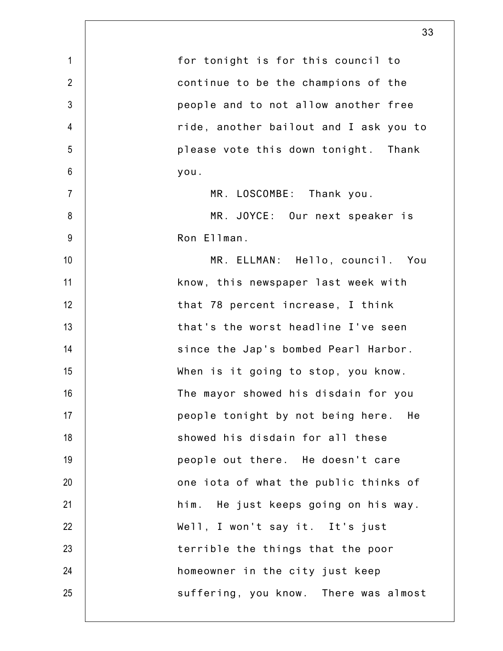|                | 33                                      |
|----------------|-----------------------------------------|
| $\mathbf{1}$   | for tonight is for this council to      |
| $\overline{2}$ | continue to be the champions of the     |
| $\mathfrak{Z}$ | people and to not allow another free    |
| 4              | ride, another bailout and I ask you to  |
| 5              | please vote this down tonight. Thank    |
| 6              | you.                                    |
| $\overline{7}$ | MR. LOSCOMBE: Thank you.                |
| 8              | MR. JOYCE: Our next speaker is          |
| $9\,$          | Ron Ellman.                             |
| 10             | MR. ELLMAN: Hello, council. You         |
| 11             | know, this newspaper last week with     |
| 12             | that 78 percent increase, I think       |
| 13             | that's the worst headline I've seen     |
| 14             | since the Jap's bombed Pearl Harbor.    |
| 15             | When is it going to stop, you know.     |
| 16             | The mayor showed his disdain for you    |
| 17             | people tonight by not being here.<br>He |
| 18             | showed his disdain for all these        |
| 19             | people out there. He doesn't care       |
| 20             | one iota of what the public thinks of   |
| 21             | him. He just keeps going on his way.    |
| 22             | Well, I won't say it. It's just         |
| 23             | terrible the things that the poor       |
| 24             | homeowner in the city just keep         |
| 25             | suffering, you know. There was almost   |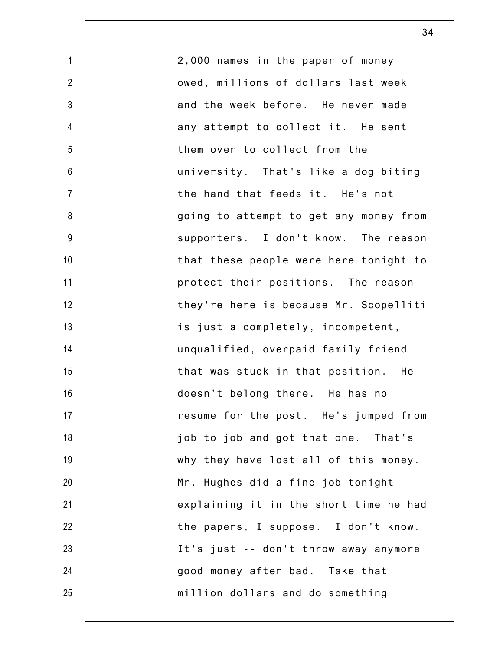| $\mathbf 1$     | 2,000 names in the paper of money      |
|-----------------|----------------------------------------|
| $\overline{2}$  | owed, millions of dollars last week    |
| 3               | and the week before. He never made     |
| $\overline{4}$  | any attempt to collect it. He sent     |
| 5               | them over to collect from the          |
| 6               | university. That's like a dog biting   |
| $\overline{7}$  | the hand that feeds it. He's not       |
| 8               | going to attempt to get any money from |
| 9               | supporters. I don't know. The reason   |
| 10 <sup>1</sup> | that these people were here tonight to |
| 11              | protect their positions. The reason    |
| 12              | they're here is because Mr. Scopelliti |
| 13              | is just a completely, incompetent,     |
| 14              | unqualified, overpaid family friend    |
| 15              | that was stuck in that position. He    |
| 16              | doesn't belong there. He has no        |
| 17              | resume for the post. He's jumped from  |
| 18              | job to job and got that one. That's    |
| 19              | why they have lost all of this money.  |
| 20              | Mr. Hughes did a fine job tonight      |
| 21              | explaining it in the short time he had |
| 22              | the papers, I suppose. I don't know.   |
| 23              | It's just -- don't throw away anymore  |
| 24              | good money after bad. Take that        |
| 25              | million dollars and do something       |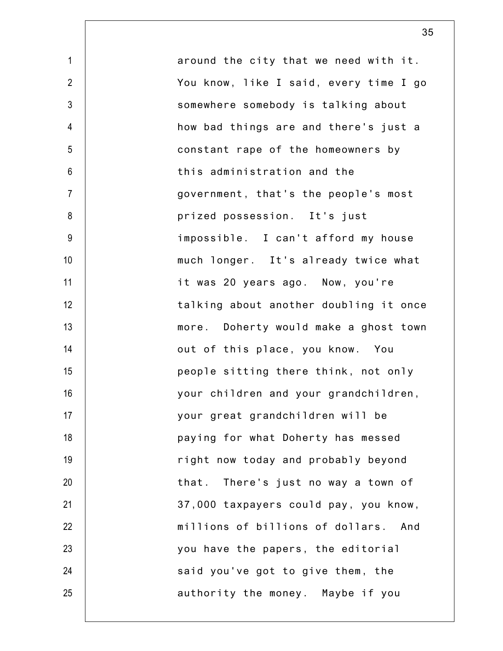1 2 3 4 5 6 7 8 9 10 11 12 13 14 15 16 17 18 19 20 21 22 23 24 25 around the city that we need with it. You know, like I said, every time I go somewhere somebody is talking about how bad things are and there's just a constant rape of the homeowners by this administration and the government, that's the people's most prized possession. It's just impossible. I can't afford my house much longer. It's already twice what it was 20 years ago. Now, you're talking about another doubling it once more. Doherty would make a ghost town out of this place, you know. You people sitting there think, not only your children and your grandchildren, your great grandchildren will be paying for what Doherty has messed right now today and probably beyond that. There's just no way a town of 37,000 taxpayers could pay, you know, millions of billions of dollars. And you have the papers, the editorial said you've got to give them, the authority the money. Maybe if you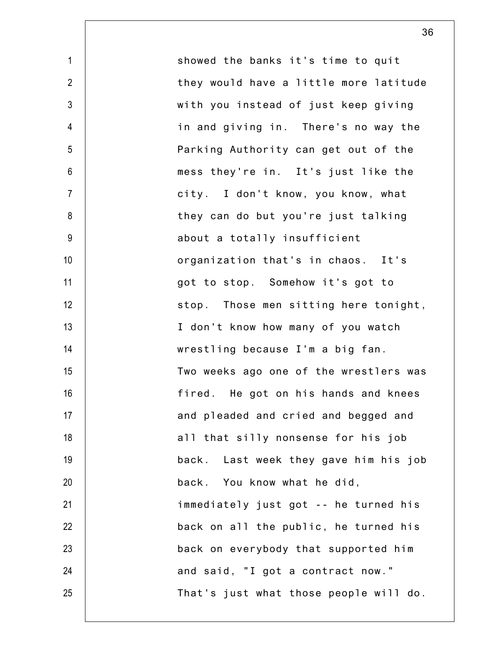1 2 3 4 5 6 7 8 9 10 11 12 13 14 15 16 17 18 19 20 21 22 23 24 25 showed the banks it's time to quit they would have a little more latitude with you instead of just keep giving in and giving in. There's no way the Parking Authority can get out of the mess they're in. It's just like the city. I don't know, you know, what they can do but you're just talking about a totally insufficient organization that's in chaos. It's got to stop. Somehow it's got to stop. Those men sitting here tonight, I don't know how many of you watch wrestling because I'm a big fan. Two weeks ago one of the wrestlers was fired. He got on his hands and knees and pleaded and cried and begged and all that silly nonsense for his job back. Last week they gave him his job back. You know what he did, immediately just got -- he turned his back on all the public, he turned his back on everybody that supported him and said, "I got a contract now." That's just what those people will do.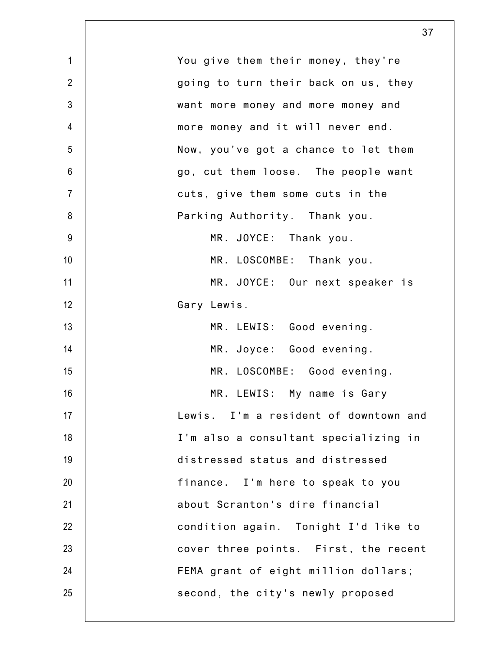| $\mathbf{1}$   | You give them their money, they're    |
|----------------|---------------------------------------|
| $\overline{2}$ | going to turn their back on us, they  |
| $\mathfrak{Z}$ | want more money and more money and    |
| $\overline{4}$ | more money and it will never end.     |
| 5              | Now, you've got a chance to let them  |
| $6\,$          | go, cut them loose. The people want   |
| $\overline{7}$ | cuts, give them some cuts in the      |
| 8              | Parking Authority. Thank you.         |
| 9              | MR. JOYCE: Thank you.                 |
| 10             | MR. LOSCOMBE: Thank you.              |
| 11             | MR. JOYCE: Our next speaker is        |
| 12             | Gary Lewis.                           |
| 13             | MR. LEWIS: Good evening.              |
| 14             | MR. Joyce: Good evening.              |
| 15             | MR. LOSCOMBE: Good evening.           |
| 16             | MR. LEWIS: My name is Gary            |
| 17             | Lewis. I'm a resident of downtown and |
| 18             | I'm also a consultant specializing in |
| 19             | distressed status and distressed      |
| 20             | finance. I'm here to speak to you     |
| 21             | about Scranton's dire financial       |
| 22             | condition again. Tonight I'd like to  |
| 23             | cover three points. First, the recent |
| 24             | FEMA grant of eight million dollars;  |
| 25             | second, the city's newly proposed     |
|                |                                       |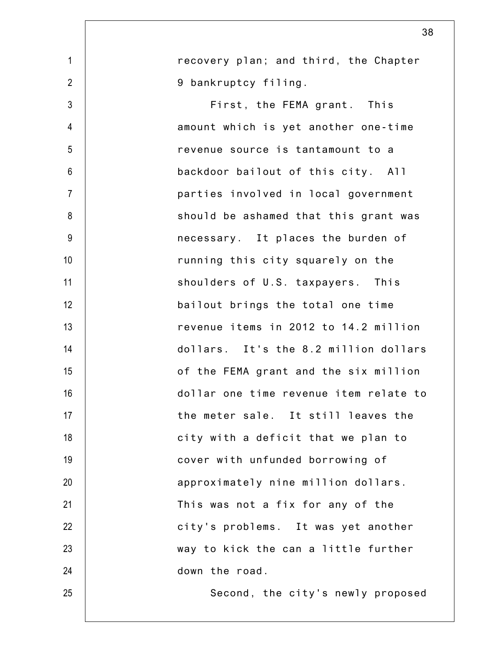|                 | 38                                     |
|-----------------|----------------------------------------|
| $\mathbf 1$     | recovery plan; and third, the Chapter  |
| $\overline{2}$  | 9 bankruptcy filing.                   |
| $\mathfrak{Z}$  | First, the FEMA grant. This            |
| $\overline{4}$  | amount which is yet another one-time   |
| 5               | revenue source is tantamount to a      |
| $6\phantom{1}6$ | backdoor bailout of this city. All     |
| $\overline{7}$  | parties involved in local government   |
| 8               | should be ashamed that this grant was  |
| 9               | necessary. It places the burden of     |
| 10              | running this city squarely on the      |
| 11              | shoulders of U.S. taxpayers. This      |
| 12              | bailout brings the total one time      |
| 13              | revenue items in 2012 to 14.2 million  |
| 14              | dollars. It's the 8.2 million dollars  |
| 15              | of the FEMA grant and the six million  |
| 16              | dollar one time revenue item relate to |
| 17              | the meter sale. It still leaves the    |
| 18              | city with a deficit that we plan to    |
| 19              | cover with unfunded borrowing of       |
| 20              | approximately nine million dollars.    |
| 21              | This was not a fix for any of the      |
| 22              | city's problems. It was yet another    |
| 23              | way to kick the can a little further   |
| 24              | down the road.                         |
| 25              | Second, the city's newly proposed      |
|                 |                                        |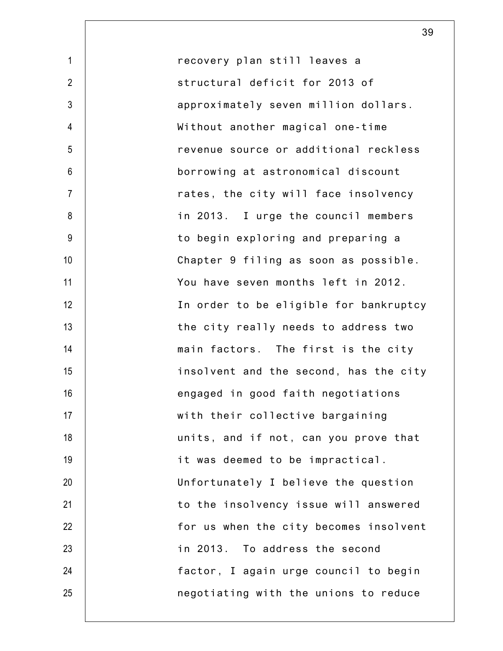1 2 3 4 5 6 7 8 9 10 11 12 13 14 15 16 17 18 19 20 21 22 23 24 25 recovery plan still leaves a structural deficit for 2013 of approximately seven million dollars. Without another magical one-time revenue source or additional reckless borrowing at astronomical discount rates, the city will face insolvency in 2013. I urge the council members to begin exploring and preparing a Chapter 9 filing as soon as possible. You have seven months left in 2012. In order to be eligible for bankruptcy the city really needs to address two main factors. The first is the city insolvent and the second, has the city engaged in good faith negotiations with their collective bargaining units, and if not, can you prove that it was deemed to be impractical. Unfortunately I believe the question to the insolvency issue will answered for us when the city becomes insolvent in 2013. To address the second factor, I again urge council to begin negotiating with the unions to reduce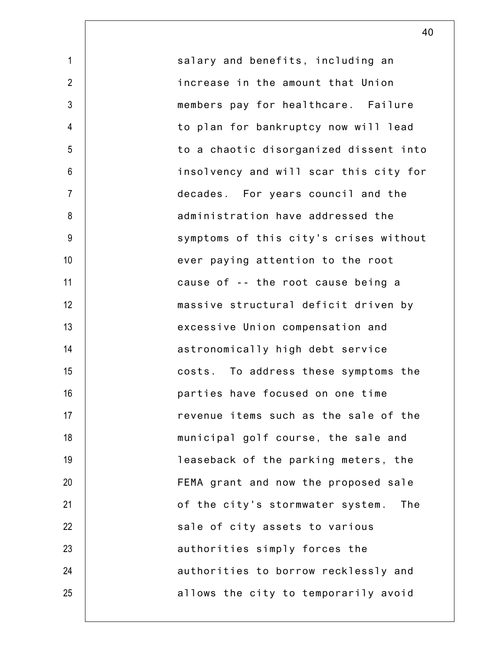1 2 3 4 5 6 7 8 9 10 11 12 13 14 15 16 17 18 19 20 21 22 23 24 25 salary and benefits, including an increase in the amount that Union members pay for healthcare. Failure to plan for bankruptcy now will lead to a chaotic disorganized dissent into insolvency and will scar this city for decades. For years council and the administration have addressed the symptoms of this city's crises without ever paying attention to the root cause of -- the root cause being a massive structural deficit driven by excessive Union compensation and astronomically high debt service costs. To address these symptoms the parties have focused on one time revenue items such as the sale of the municipal golf course, the sale and leaseback of the parking meters, the FEMA grant and now the proposed sale of the city's stormwater system. The sale of city assets to various authorities simply forces the authorities to borrow recklessly and allows the city to temporarily avoid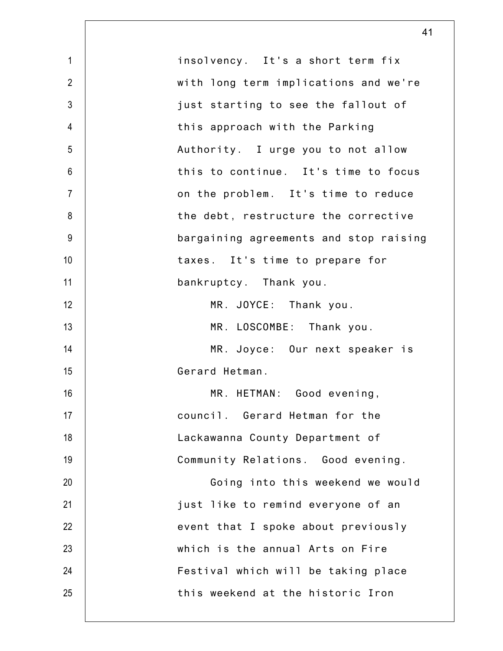|                 | 41                                     |
|-----------------|----------------------------------------|
| $\mathbf{1}$    | insolvency. It's a short term fix      |
| $\overline{2}$  | with long term implications and we're  |
| $\mathfrak{Z}$  | just starting to see the fallout of    |
| $\overline{4}$  | this approach with the Parking         |
| 5               | Authority. I urge you to not allow     |
| $6\phantom{.}6$ | this to continue. It's time to focus   |
| $\overline{7}$  | on the problem. It's time to reduce    |
| 8               | the debt, restructure the corrective   |
| 9               | bargaining agreements and stop raising |
| 10              | taxes. It's time to prepare for        |
| 11              | bankruptcy. Thank you.                 |
| 12              | MR. JOYCE: Thank you.                  |
| 13              | MR. LOSCOMBE: Thank you.               |
| 14              | MR. Joyce: Our next speaker is         |
| 15              | Gerard Hetman.                         |
| 16              | MR. HETMAN: Good evening,              |
| 17              | council. Gerard Hetman for the         |
| 18              | Lackawanna County Department of        |
| 19              | Community Relations. Good evening.     |
| 20              | Going into this weekend we would       |
| 21              | just like to remind everyone of an     |
| 22              | event that I spoke about previously    |
| 23              | which is the annual Arts on Fire       |
| 24              | Festival which will be taking place    |
| 25              | this weekend at the historic Iron      |
|                 |                                        |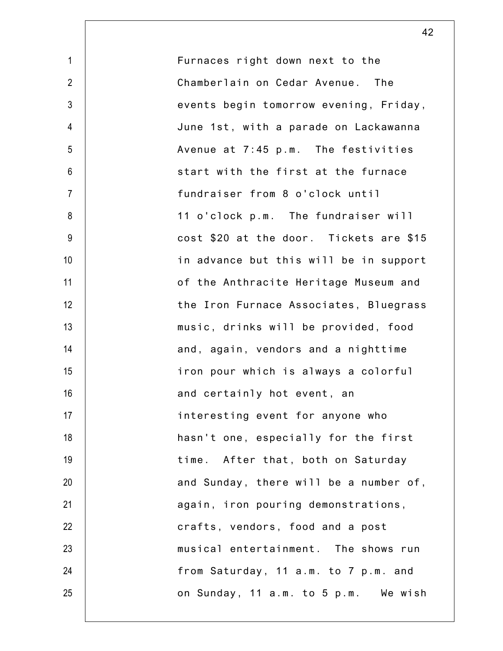| $\mathbf{1}$   | Furnaces right down next to the         |
|----------------|-----------------------------------------|
| $\overline{2}$ | Chamberlain on Cedar Avenue. The        |
| $\mathfrak{Z}$ | events begin tomorrow evening, Friday,  |
| 4              | June 1st, with a parade on Lackawanna   |
| 5              | Avenue at 7:45 p.m. The festivities     |
| $6\,$          | start with the first at the furnace     |
| $\overline{7}$ | fundraiser from 8 o'clock until         |
| 8              | 11 o'clock p.m. The fundraiser will     |
| $9\,$          | cost \$20 at the door. Tickets are \$15 |
| 10             | in advance but this will be in support  |
| 11             | of the Anthracite Heritage Museum and   |
| 12             | the Iron Furnace Associates, Bluegrass  |
| 13             | music, drinks will be provided, food    |
| 14             | and, again, vendors and a nighttime     |
| 15             | iron pour which is always a colorful    |
| 16             | and certainly hot event, an             |
| 17             | interesting event for anyone who        |
| 18             | hasn't one, especially for the first    |
| 19             | time. After that, both on Saturday      |
| 20             | and Sunday, there will be a number of,  |
| 21             | again, iron pouring demonstrations,     |
| 22             | crafts, vendors, food and a post        |
| 23             | musical entertainment. The shows run    |
| 24             | from Saturday, 11 a.m. to 7 p.m. and    |
| 25             | on Sunday, 11 a.m. to 5 p.m. We wish    |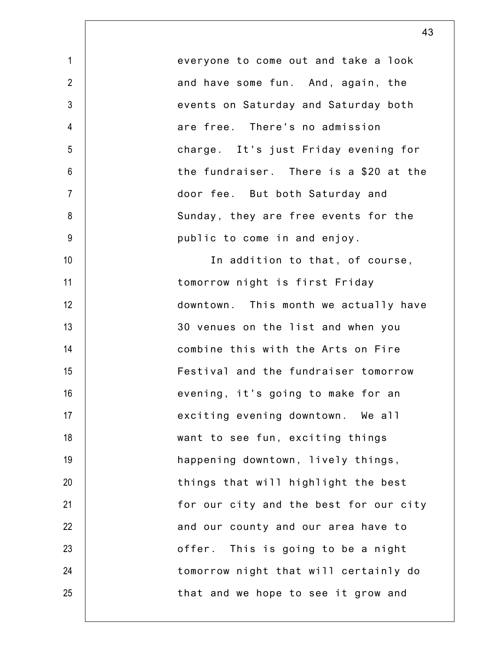everyone to come out and take a look and have some fun. And, again, the events on Saturday and Saturday both are free. There's no admission charge. It's just Friday evening for the fundraiser. There is a \$20 at the door fee. But both Saturday and Sunday, they are free events for the public to come in and enjoy. In addition to that, of course, tomorrow night is first Friday downtown. This month we actually have 30 venues on the list and when you combine this with the Arts on Fire Festival and the fundraiser tomorrow evening, it's going to make for an exciting evening downtown. We all want to see fun, exciting things happening downtown, lively things, things that will highlight the best for our city and the best for our city and our county and our area have to offer. This is going to be a night tomorrow night that will certainly do that and we hope to see it grow and

1

2

3

4

5

6

7

8

9

10

11

12

13

14

15

16

17

18

19

20

21

22

23

24

25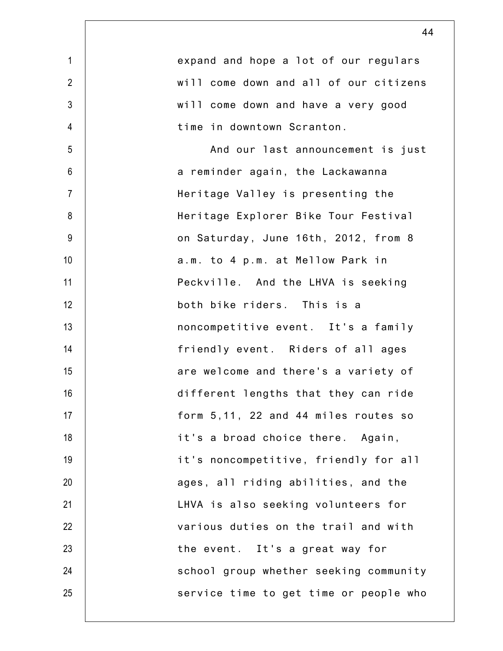|                | 44                                     |
|----------------|----------------------------------------|
| $\mathbf{1}$   | expand and hope a lot of our regulars  |
| $\overline{2}$ | will come down and all of our citizens |
| $\mathfrak{Z}$ | will come down and have a very good    |
| $\overline{4}$ | time in downtown Scranton.             |
| 5              | And our last announcement is just      |
| $6\phantom{1}$ | a reminder again, the Lackawanna       |
| $\overline{7}$ | Heritage Valley is presenting the      |
| 8              | Heritage Explorer Bike Tour Festival   |
| 9              | on Saturday, June 16th, 2012, from 8   |
| 10             | a.m. to 4 p.m. at Mellow Park in       |
| 11             | Peckville. And the LHVA is seeking     |
| 12             | both bike riders. This is a            |
| 13             | noncompetitive event. It's a family    |
| 14             | friendly event. Riders of all ages     |
| 15             | are welcome and there's a variety of   |
| 16             | different lengths that they can ride   |
| 17             | form 5,11, 22 and 44 miles routes so   |
| 18             | it's a broad choice there. Again,      |
| 19             | it's noncompetitive, friendly for all  |
| 20             | ages, all riding abilities, and the    |
| 21             | LHVA is also seeking volunteers for    |
| 22             | various duties on the trail and with   |
| 23             | the event. It's a great way for        |
| 24             | school group whether seeking community |
| 25             | service time to get time or people who |
|                |                                        |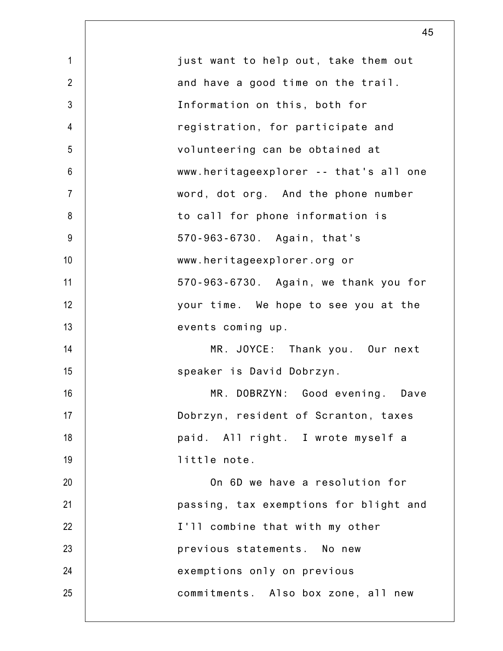| $\mathbf{1}$    | just want to help out, take them out   |
|-----------------|----------------------------------------|
| $\overline{2}$  | and have a good time on the trail.     |
| $\mathfrak{Z}$  | Information on this, both for          |
| $\overline{4}$  | registration, for participate and      |
| 5               | volunteering can be obtained at        |
| $6\phantom{.}6$ | www.heritageexplorer -- that's all one |
| $\overline{7}$  | word, dot org. And the phone number    |
| $\bf 8$         | to call for phone information is       |
| $9\,$           | 570-963-6730. Again, that's            |
| 10              | www.heritageexplorer.org or            |
| 11              | 570-963-6730. Again, we thank you for  |
| 12              | your time. We hope to see you at the   |
| 13              | events coming up.                      |
| 14              | MR. JOYCE: Thank you. Our next         |
| 15              | speaker is David Dobrzyn.              |
| 16              | MR. DOBRZYN: Good evening. Dave        |
| 17              | Dobrzyn, resident of Scranton, taxes   |
| 18              | paid. All right. I wrote myself a      |
| 19              | little note.                           |
| 20              | On 6D we have a resolution for         |
| 21              | passing, tax exemptions for blight and |
| 22              | I'll combine that with my other        |
| 23              | previous statements. No new            |
| 24              | exemptions only on previous            |
| 25              | commitments. Also box zone, all new    |
|                 |                                        |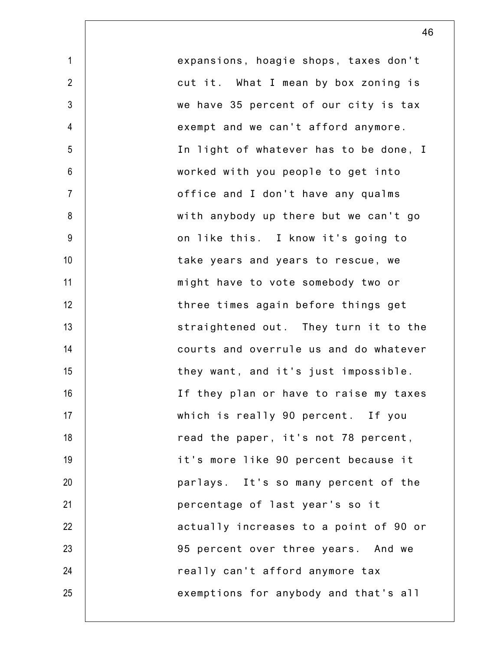expansions, hoagie shops, taxes don't cut it. What I mean by box zoning is we have 35 percent of our city is tax exempt and we can't afford anymore. In light of whatever has to be done, I worked with you people to get into office and I don't have any qualms with anybody up there but we can't go on like this. I know it's going to take years and years to rescue, we might have to vote somebody two or three times again before things get straightened out. They turn it to the courts and overrule us and do whatever they want, and it's just impossible. If they plan or have to raise my taxes which is really 90 percent. If you read the paper, it's not 78 percent, it's more like 90 percent because it parlays. It's so many percent of the percentage of last year's so it actually increases to a point of 90 or 95 percent over three years. And we really can't afford anymore tax exemptions for anybody and that's all

1

2

3

4

5

6

7

8

9

10

11

12

13

14

15

16

17

18

19

20

21

22

23

24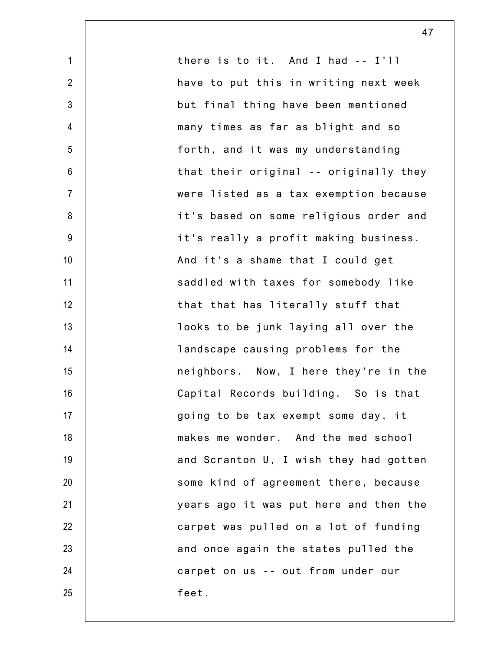1 2 3 4 5 6 7 8 9 10 11 12 13 14 15 16 17 18 19 20 21 22 23 24 25 there is to it. And I had -- I'll have to put this in writing next week but final thing have been mentioned many times as far as blight and so forth, and it was my understanding that their original -- originally they were listed as a tax exemption because it's based on some religious order and it's really a profit making business. And it's a shame that I could get saddled with taxes for somebody like that that has literally stuff that looks to be junk laying all over the landscape causing problems for the neighbors. Now, I here they're in the Capital Records building. So is that going to be tax exempt some day, it makes me wonder. And the med school and Scranton U, I wish they had gotten some kind of agreement there, because years ago it was put here and then the carpet was pulled on a lot of funding and once again the states pulled the carpet on us -- out from under our feet.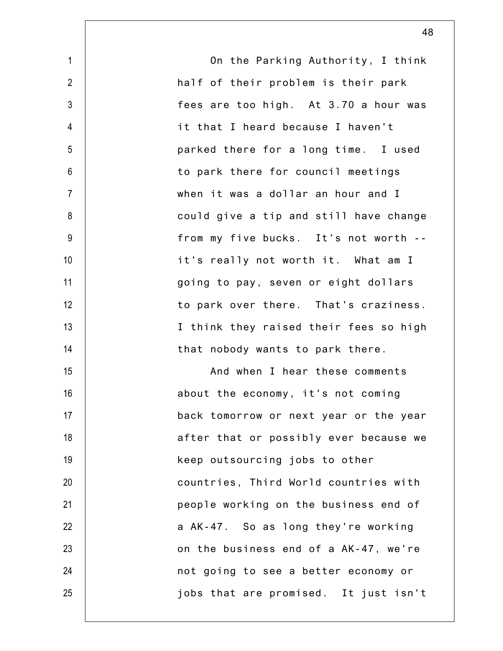| $\mathbf{1}$    | On the Parking Authority, I think      |
|-----------------|----------------------------------------|
| $\overline{2}$  | half of their problem is their park    |
| $\mathfrak{Z}$  | fees are too high. At 3.70 a hour was  |
| $\overline{4}$  | it that I heard because I haven't      |
| 5               | parked there for a long time. I used   |
| 6               | to park there for council meetings     |
| $\overline{7}$  | when it was a dollar an hour and I     |
| 8               | could give a tip and still have change |
| 9               | from my five bucks. It's not worth --  |
| 10 <sup>1</sup> | it's really not worth it. What am I    |
| 11              | going to pay, seven or eight dollars   |
| 12              | to park over there. That's craziness.  |
| 13              | I think they raised their fees so high |
| 14              | that nobody wants to park there.       |
| 15              | And when I hear these comments         |
| 16              | about the economy, it's not coming     |
| 17              | back tomorrow or next year or the year |
| 18              | after that or possibly ever because we |
| 19              | keep outsourcing jobs to other         |
| 20              | countries, Third World countries with  |
| 21              | people working on the business end of  |
| 22              | a AK-47. So as long they're working    |
| 23              | on the business end of a AK-47, we're  |
| 24              | not going to see a better economy or   |
| 25              | jobs that are promised. It just isn't  |
|                 |                                        |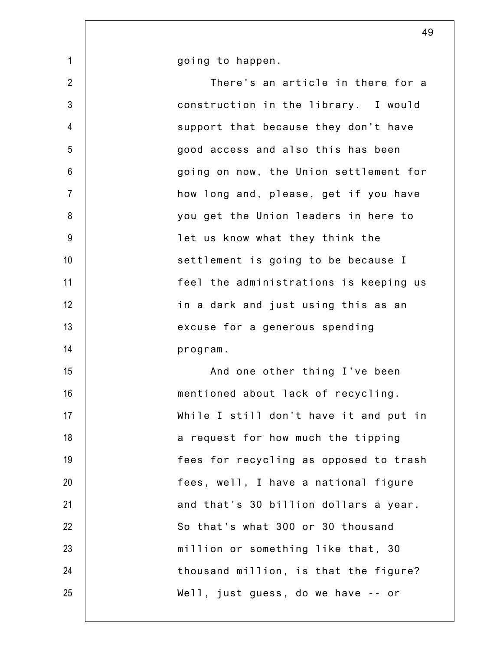going to happen.

1

2 3 4 5 6 7 8 9 10 11 12 13 14 15 16 17 18 19 20 21 22 23 24 25 There's an article in there for a construction in the library. I would support that because they don't have good access and also this has been going on now, the Union settlement for how long and, please, get if you have you get the Union leaders in here to let us know what they think the settlement is going to be because I feel the administrations is keeping us in a dark and just using this as an excuse for a generous spending program. And one other thing I've been mentioned about lack of recycling. While I still don't have it and put in a request for how much the tipping fees for recycling as opposed to trash fees, well, I have a national figure and that's 30 billion dollars a year. So that's what 300 or 30 thousand million or something like that, 30 thousand million, is that the figure? Well, just guess, do we have -- or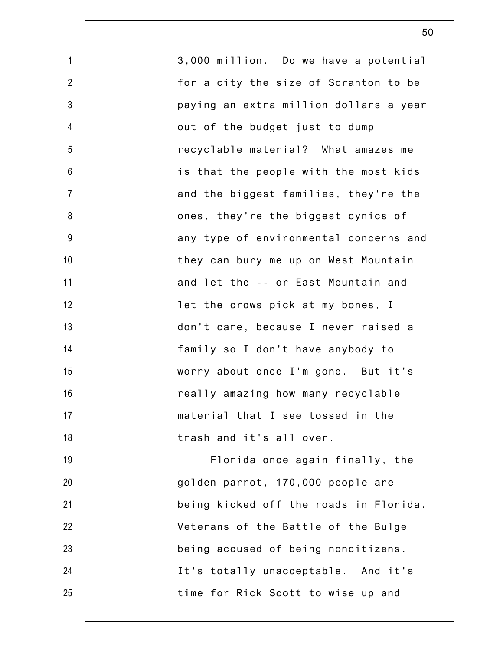| $\mathbf 1$    | 3,000 million. Do we have a potential  |
|----------------|----------------------------------------|
| $\overline{2}$ | for a city the size of Scranton to be  |
| $\mathfrak{Z}$ | paying an extra million dollars a year |
| 4              | out of the budget just to dump         |
| 5              | recyclable material? What amazes me    |
| 6              | is that the people with the most kids  |
| $\overline{7}$ | and the biggest families, they're the  |
| 8              | ones, they're the biggest cynics of    |
| $9\,$          | any type of environmental concerns and |
| 10             | they can bury me up on West Mountain   |
| 11             | and let the -- or East Mountain and    |
| 12             | let the crows pick at my bones, I      |
| 13             | don't care, because I never raised a   |
| 14             | family so I don't have anybody to      |
| 15             | worry about once I'm gone. But it's    |
| 16             | really amazing how many recyclable     |
| 17             | material that I see tossed in the      |
| 18             | trash and it's all over.               |
| 19             | Florida once again finally, the        |
| 20             | golden parrot, 170,000 people are      |
| 21             | being kicked off the roads in Florida. |
| 22             | Veterans of the Battle of the Bulge    |
| 23             | being accused of being noncitizens.    |
| 24             | It's totally unacceptable. And it's    |
| 25             | time for Rick Scott to wise up and     |
|                |                                        |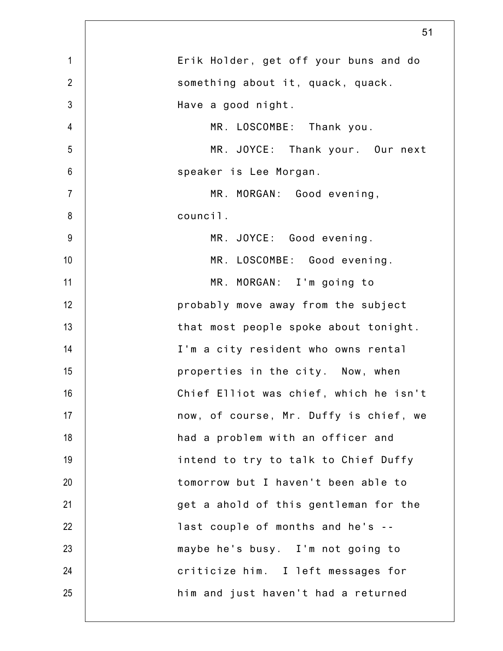|                          | 51                                     |
|--------------------------|----------------------------------------|
| $\mathbf{1}$             | Erik Holder, get off your buns and do  |
| $\overline{2}$           | something about it, quack, quack.      |
| $\mathfrak{Z}$           | Have a good night.                     |
| $\overline{\mathcal{A}}$ | MR. LOSCOMBE: Thank you.               |
| 5                        | MR. JOYCE: Thank your. Our next        |
| $6\,$                    | speaker is Lee Morgan.                 |
| $\overline{7}$           | MR. MORGAN: Good evening,              |
| 8                        | council.                               |
| $9\,$                    | MR. JOYCE: Good evening.               |
| 10                       | MR. LOSCOMBE: Good evening.            |
| 11                       | MR. MORGAN: I'm going to               |
| 12                       | probably move away from the subject    |
| 13                       | that most people spoke about tonight.  |
| 14                       | I'm a city resident who owns rental    |
| 15                       | properties in the city. Now, when      |
| 16                       | Chief Elliot was chief, which he isn't |
| 17                       | now, of course, Mr. Duffy is chief, we |
| 18                       | had a problem with an officer and      |
| 19                       | intend to try to talk to Chief Duffy   |
| 20                       | tomorrow but I haven't been able to    |
| 21                       | get a ahold of this gentleman for the  |
| 22                       | last couple of months and he's --      |
| 23                       | maybe he's busy. I'm not going to      |
| 24                       | criticize him. I left messages for     |
| 25                       | him and just haven't had a returned    |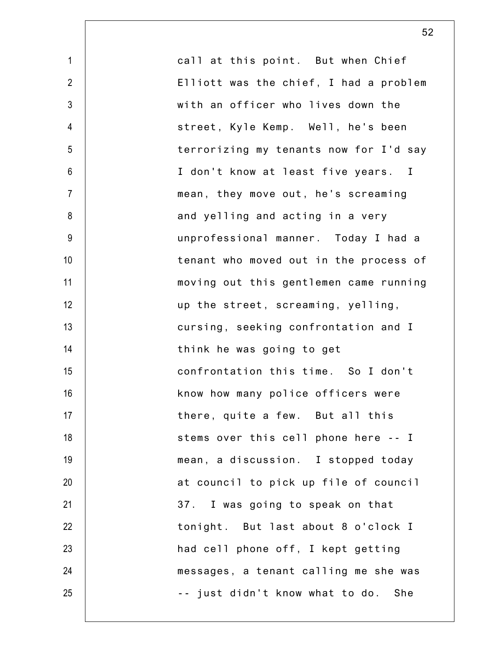| $\mathbf 1$     | call at this point. But when Chief     |
|-----------------|----------------------------------------|
| $\overline{2}$  | Elliott was the chief, I had a problem |
| $\mathfrak{Z}$  | with an officer who lives down the     |
| 4               | street, Kyle Kemp. Well, he's been     |
| 5               | terrorizing my tenants now for I'd say |
| 6               | I don't know at least five years. I    |
| $\overline{7}$  | mean, they move out, he's screaming    |
| 8               | and yelling and acting in a very       |
| 9               | unprofessional manner. Today I had a   |
| 10 <sup>1</sup> | tenant who moved out in the process of |
| 11              | moving out this gentlemen came running |
| 12              | up the street, screaming, yelling,     |
| 13              | cursing, seeking confrontation and I   |
| 14              | think he was going to get              |
| 15              | confrontation this time. So I don't    |
| 16              | know how many police officers were     |
| 17              | there, quite a few. But all this       |
| 18              | stems over this cell phone here -- I   |
| 19              | mean, a discussion. I stopped today    |
| 20              | at council to pick up file of council  |
| 21              | 37. I was going to speak on that       |
| 22              | tonight. But last about 8 o'clock I    |
| 23              | had cell phone off, I kept getting     |
| 24              | messages, a tenant calling me she was  |
| 25              | -- just didn't know what to do. She    |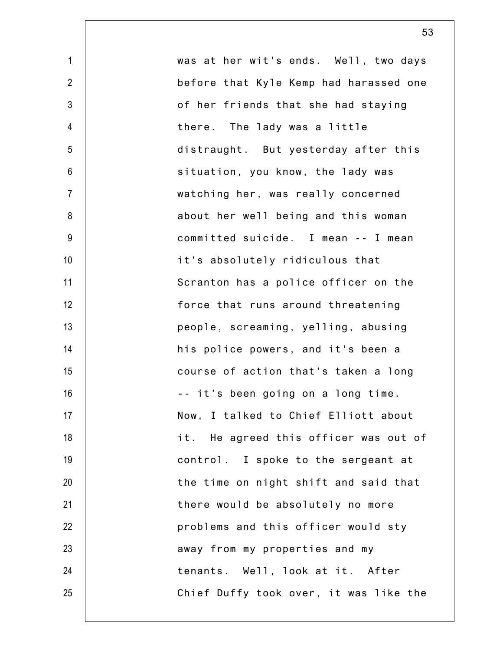1 2 3 4 5 6 7 8 9 10 11 12 13 14 15 16 17 18 19 20 21 22 23 24 25 was at her wit's ends. Well, two days before that Kyle Kemp had harassed one of her friends that she had staying there. The lady was a little distraught. But yesterday after this situation, you know, the lady was watching her, was really concerned about her well being and this woman committed suicide. I mean -- I mean it's absolutely ridiculous that Scranton has a police officer on the force that runs around threatening people, screaming, yelling, abusing his police powers, and it's been a course of action that's taken a long -- it's been going on a long time. Now, I talked to Chief Elliott about it. He agreed this officer was out of control. I spoke to the sergeant at the time on night shift and said that there would be absolutely no more problems and this officer would sty away from my properties and my tenants. Well, look at it. After Chief Duffy took over, it was like the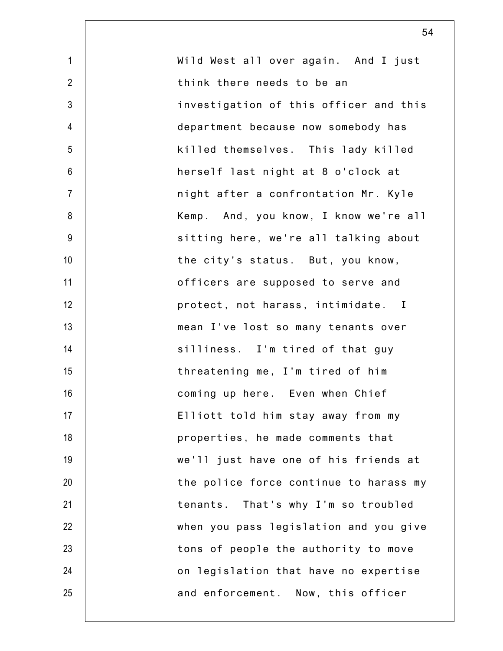| $\mathbf{1}$   | Wild West all over again. And I just   |
|----------------|----------------------------------------|
| $\overline{2}$ | think there needs to be an             |
| $\mathfrak{Z}$ |                                        |
|                | investigation of this officer and this |
| $\overline{4}$ | department because now somebody has    |
| 5              | killed themselves. This lady killed    |
| $6\,$          | herself last night at 8 o'clock at     |
| $\overline{7}$ | night after a confrontation Mr. Kyle   |
| 8              | Kemp. And, you know, I know we're all  |
| $9\,$          | sitting here, we're all talking about  |
| 10             | the city's status. But, you know,      |
| 11             | officers are supposed to serve and     |
| 12             | protect, not harass, intimidate. I     |
| 13             | mean I've lost so many tenants over    |
| 14             | silliness. I'm tired of that guy       |
| 15             | threatening me, I'm tired of him       |
| 16             | coming up here. Even when Chief        |
| 17             | Elliott told him stay away from my     |
| 18             | properties, he made comments that      |
| 19             | we'll just have one of his friends at  |
| 20             | the police force continue to harass my |
| 21             | That's why I'm so troubled<br>tenants. |
| 22             | when you pass legislation and you give |
| 23             | tons of people the authority to move   |
| 24             | on legislation that have no expertise  |
| 25             | and enforcement. Now, this officer     |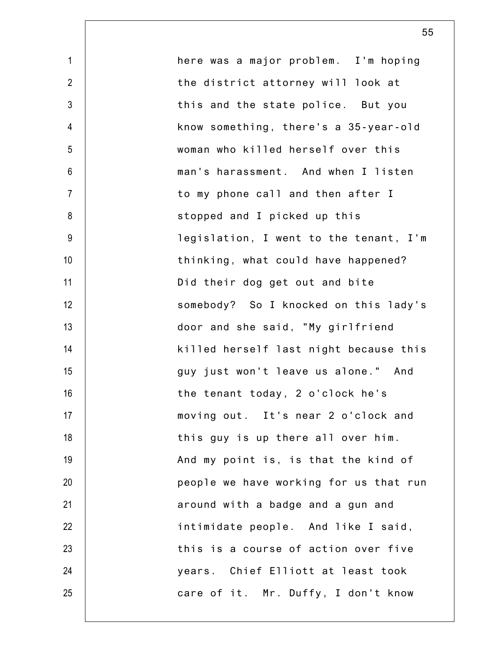| $\mathbf{1}$   | here was a major problem. I'm hoping   |
|----------------|----------------------------------------|
| $\overline{2}$ | the district attorney will look at     |
| $\mathfrak{Z}$ | this and the state police. But you     |
| $\overline{4}$ | know something, there's a 35-year-old  |
| 5              | woman who killed herself over this     |
| $\,6$          | man's harassment. And when I listen    |
| $\overline{7}$ | to my phone call and then after I      |
| 8              | stopped and I picked up this           |
| $9\,$          | legislation, I went to the tenant, I'm |
| 10             | thinking, what could have happened?    |
| 11             | Did their dog get out and bite         |
| 12             | somebody? So I knocked on this lady's  |
| 13             | door and she said, "My girlfriend      |
| 14             | killed herself last night because this |
| 15             | guy just won't leave us alone." And    |
| 16             | the tenant today, 2 o'clock he's       |
| 17             | moving out. It's near 2 o'clock and    |
| 18             | this guy is up there all over him.     |
| 19             | And my point is, is that the kind of   |
| 20             | people we have working for us that run |
| 21             | around with a badge and a gun and      |
| 22             | intimidate people. And like I said,    |
| 23             | this is a course of action over five   |
| 24             | years. Chief Elliott at least took     |
| 25             | care of it. Mr. Duffy, I don't know    |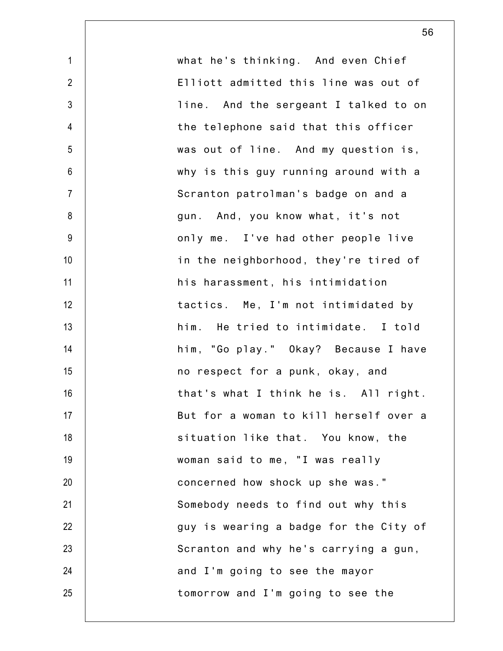| $\mathbf{1}$    | what he's thinking. And even Chief     |
|-----------------|----------------------------------------|
| $\overline{2}$  | Elliott admitted this line was out of  |
| $\mathfrak{Z}$  | line. And the sergeant I talked to on  |
| $\overline{4}$  | the telephone said that this officer   |
| 5               | was out of line. And my question is,   |
| $6\phantom{.}6$ | why is this guy running around with a  |
| $\overline{7}$  | Scranton patrolman's badge on and a    |
| 8               | gun. And, you know what, it's not      |
| 9               | only me. I've had other people live    |
| 10              | in the neighborhood, they're tired of  |
| 11              | his harassment, his intimidation       |
| 12              | tactics. Me, I'm not intimidated by    |
| 13              | him. He tried to intimidate. I told    |
| 14              | him, "Go play." Okay? Because I have   |
| 15              | no respect for a punk, okay, and       |
| 16              | that's what I think he is. All right.  |
| 17              | But for a woman to kill herself over a |
| 18              | situation like that. You know, the     |
| 19              | woman said to me, "I was really        |
| 20              | concerned how shock up she was."       |
| 21              | Somebody needs to find out why this    |
| 22              | guy is wearing a badge for the City of |
| 23              | Scranton and why he's carrying a gun,  |
| 24              | and I'm going to see the mayor         |
| 25              | tomorrow and I'm going to see the      |
|                 |                                        |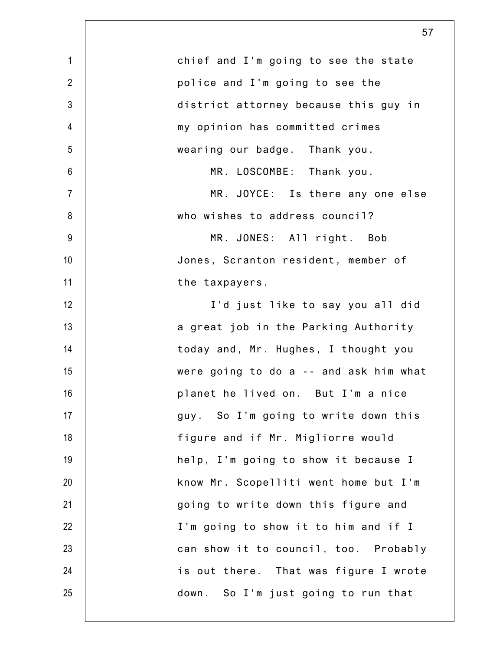|                | 57                                     |
|----------------|----------------------------------------|
| $\mathbf{1}$   | chief and I'm going to see the state   |
| $\overline{2}$ | police and I'm going to see the        |
| $\mathfrak{Z}$ | district attorney because this guy in  |
| 4              | my opinion has committed crimes        |
| 5              | wearing our badge. Thank you.          |
| $6\phantom{1}$ | MR. LOSCOMBE: Thank you.               |
| $\overline{7}$ | MR. JOYCE: Is there any one else       |
| 8              | who wishes to address council?         |
| $9\,$          | MR. JONES: All right. Bob              |
| 10             | Jones, Scranton resident, member of    |
| 11             | the taxpayers.                         |
| 12             | I'd just like to say you all did       |
| 13             | a great job in the Parking Authority   |
| 14             | today and, Mr. Hughes, I thought you   |
| 15             | were going to do a -- and ask him what |
| 16             | planet he lived on. But I'm a nice     |
| 17             | guy. So I'm going to write down this   |
| 18             | figure and if Mr. Migliorre would      |
| 19             | help, I'm going to show it because I   |
| 20             | know Mr. Scopelliti went home but I'm  |
| 21             | going to write down this figure and    |
| 22             | I'm going to show it to him and if I   |
| 23             | can show it to council, too. Probably  |
| 24             | is out there. That was figure I wrote  |
| 25             | down. So I'm just going to run that    |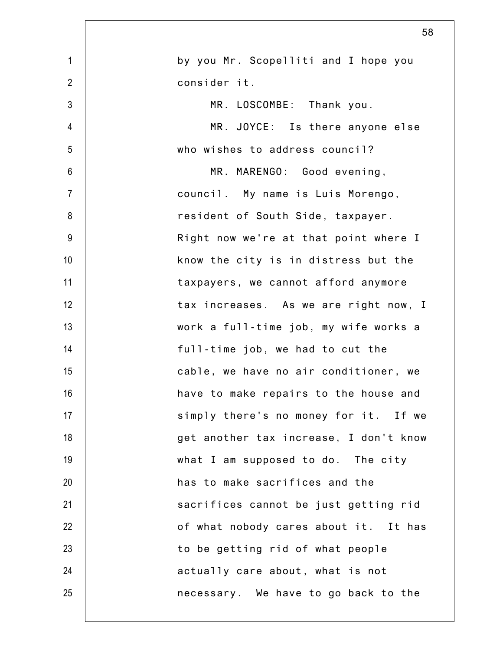|                | 58                                     |
|----------------|----------------------------------------|
| $\mathbf{1}$   | by you Mr. Scopelliti and I hope you   |
| $\overline{2}$ | consider it.                           |
| $\mathfrak{Z}$ | MR. LOSCOMBE: Thank you.               |
| 4              | MR. JOYCE: Is there anyone else        |
| 5              | who wishes to address council?         |
| 6              | MR. MARENGO: Good evening,             |
| $\overline{7}$ | council. My name is Luis Morengo,      |
| 8              | resident of South Side, taxpayer.      |
| $9\,$          | Right now we're at that point where I  |
| 10             | know the city is in distress but the   |
| 11             | taxpayers, we cannot afford anymore    |
| 12             | tax increases. As we are right now, I  |
| 13             | work a full-time job, my wife works a  |
| 14             | full-time job, we had to cut the       |
| 15             | cable, we have no air conditioner, we  |
| 16             | have to make repairs to the house and  |
| 17             | simply there's no money for it. If we  |
| 18             | get another tax increase, I don't know |
| 19             | what I am supposed to do. The city     |
| 20             | has to make sacrifices and the         |
| 21             | sacrifices cannot be just getting rid  |
| 22             | of what nobody cares about it. It has  |
| 23             | to be getting rid of what people       |
| 24             | actually care about, what is not       |
| 25             | necessary. We have to go back to the   |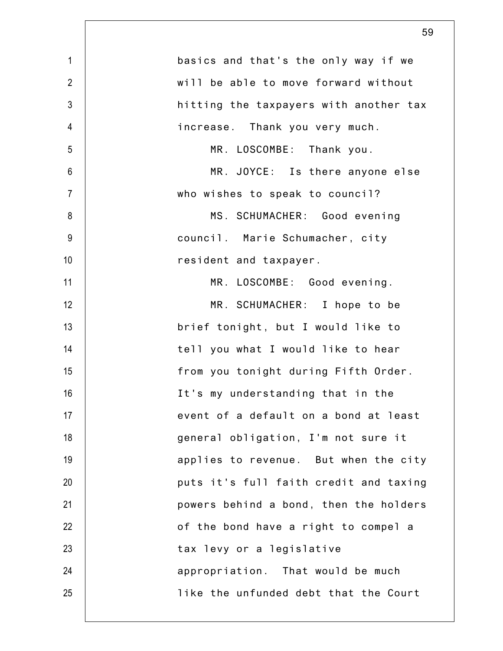|                | 59                                     |
|----------------|----------------------------------------|
| $\mathbf{1}$   | basics and that's the only way if we   |
| $\overline{2}$ | will be able to move forward without   |
| $\mathfrak{Z}$ | hitting the taxpayers with another tax |
| $\overline{4}$ | increase. Thank you very much.         |
| 5              | MR. LOSCOMBE: Thank you.               |
| $6\phantom{1}$ | MR. JOYCE: Is there anyone else        |
| $\overline{7}$ | who wishes to speak to council?        |
| 8              | MS. SCHUMACHER: Good evening           |
| $9\,$          | council. Marie Schumacher, city        |
| 10             | resident and taxpayer.                 |
| 11             | MR. LOSCOMBE: Good evening.            |
| 12             | MR. SCHUMACHER: I hope to be           |
| 13             | brief tonight, but I would like to     |
| 14             | tell you what I would like to hear     |
| 15             | from you tonight during Fifth Order.   |
| 16             | It's my understanding that in the      |
| 17             | event of a default on a bond at least  |
| 18             | general obligation, I'm not sure it    |
| 19             | applies to revenue. But when the city  |
| 20             | puts it's full faith credit and taxing |
| 21             | powers behind a bond, then the holders |
| 22             | of the bond have a right to compel a   |
| 23             | tax levy or a legislative              |
| 24             | appropriation. That would be much      |
| 25             | like the unfunded debt that the Court  |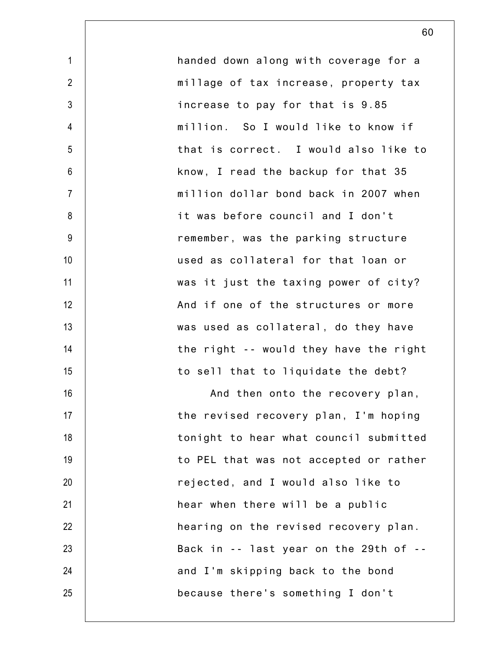| $\mathbf{1}$   | handed down along with coverage for a  |
|----------------|----------------------------------------|
| $\overline{2}$ | millage of tax increase, property tax  |
| $\mathfrak{Z}$ | increase to pay for that is 9.85       |
| $\overline{4}$ | million. So I would like to know if    |
| 5              | that is correct. I would also like to  |
| $6\,$          | know, I read the backup for that 35    |
| $\overline{7}$ | million dollar bond back in 2007 when  |
| 8              | it was before council and I don't      |
| 9              | remember, was the parking structure    |
| 10             | used as collateral for that loan or    |
| 11             | was it just the taxing power of city?  |
| 12             | And if one of the structures or more   |
| 13             | was used as collateral, do they have   |
| 14             | the right -- would they have the right |
| 15             | to sell that to liquidate the debt?    |
| 16             | And then onto the recovery plan,       |
| 17             | the revised recovery plan, I'm hoping  |
| 18             | tonight to hear what council submitted |
| 19             | to PEL that was not accepted or rather |
| 20             | rejected, and I would also like to     |
| 21             | hear when there will be a public       |
| 22             | hearing on the revised recovery plan.  |
| 23             | Back in -- last year on the 29th of -- |
| 24             | and I'm skipping back to the bond      |
| 25             | because there's something I don't      |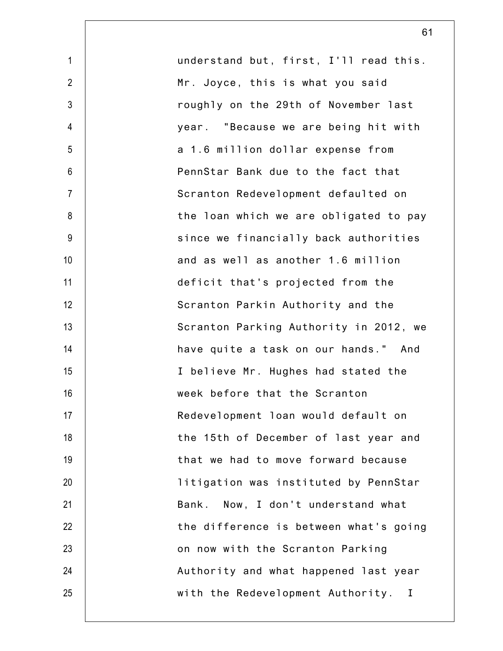| $\mathbf{1}$    | understand but, first, I'll read this. |
|-----------------|----------------------------------------|
| $\overline{2}$  | Mr. Joyce, this is what you said       |
| $\mathfrak{Z}$  | roughly on the 29th of November last   |
| $\overline{4}$  | year. "Because we are being hit with   |
| 5               | a 1.6 million dollar expense from      |
| $6\phantom{1}6$ | PennStar Bank due to the fact that     |
| $\overline{7}$  | Scranton Redevelopment defaulted on    |
| 8               | the loan which we are obligated to pay |
| 9               | since we financially back authorities  |
| 10              | and as well as another 1.6 million     |
| 11              | deficit that's projected from the      |
| 12              | Scranton Parkin Authority and the      |
| 13              | Scranton Parking Authority in 2012, we |
| 14              | have quite a task on our hands." And   |
| 15              | I believe Mr. Hughes had stated the    |
| 16              | week before that the Scranton          |
| 17              | Redevelopment loan would default on    |
| 18              | the 15th of December of last year and  |
| 19              | that we had to move forward because    |
| 20              | litigation was instituted by PennStar  |
| 21              | Now, I don't understand what<br>Bank.  |
| 22              | the difference is between what's going |
| 23              | on now with the Scranton Parking       |
| 24              | Authority and what happened last year  |
| 25              | with the Redevelopment Authority.<br>T |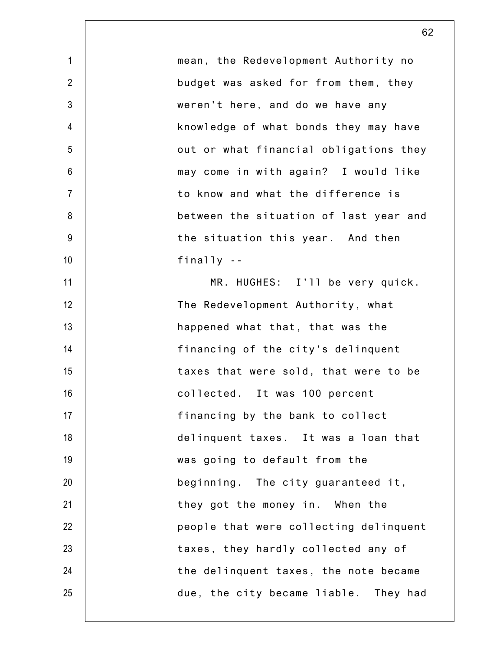| mean, the Redevelopment Authority no   |
|----------------------------------------|
| budget was asked for from them, they   |
| weren't here, and do we have any       |
| knowledge of what bonds they may have  |
| out or what financial obligations they |
| may come in with again? I would like   |
| to know and what the difference is     |
| between the situation of last year and |
| the situation this year. And then      |
| finally $-$                            |
| MR. HUGHES: I'll be very quick.        |
| The Redevelopment Authority, what      |
| happened what that, that was the       |
| financing of the city's delinquent     |
| taxes that were sold, that were to be  |
| collected. It was 100 percent          |
| financing by the bank to collect       |
| delinquent taxes. It was a loan that   |
| was going to default from the          |
| beginning. The city guaranteed it,     |
| they got the money in. When the        |
| people that were collecting delinquent |
| taxes, they hardly collected any of    |
| the delinquent taxes, the note became  |
| due, the city became liable. They had  |
|                                        |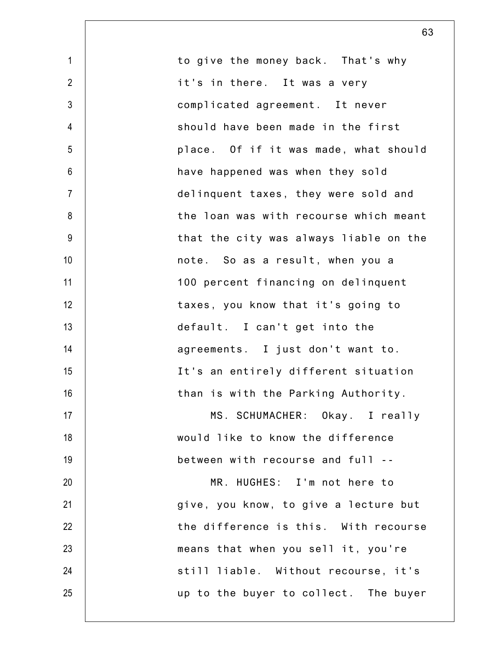| to give the money back. That's why     |
|----------------------------------------|
| it's in there. It was a very           |
| complicated agreement. It never        |
| should have been made in the first     |
| place. Of if it was made, what should  |
| have happened was when they sold       |
| delinquent taxes, they were sold and   |
| the loan was with recourse which meant |
| that the city was always liable on the |
| note. So as a result, when you a       |
| 100 percent financing on delinquent    |
| taxes, you know that it's going to     |
| default. I can't get into the          |
| agreements. I just don't want to.      |
| It's an entirely different situation   |
| than is with the Parking Authority.    |
| MS. SCHUMACHER: Okay. I really         |
| would like to know the difference      |
| between with recourse and full --      |
| MR. HUGHES: I'm not here to            |
| give, you know, to give a lecture but  |
| the difference is this. With recourse  |
| means that when you sell it, you're    |
| still liable. Without recourse, it's   |
| up to the buyer to collect. The buyer  |
|                                        |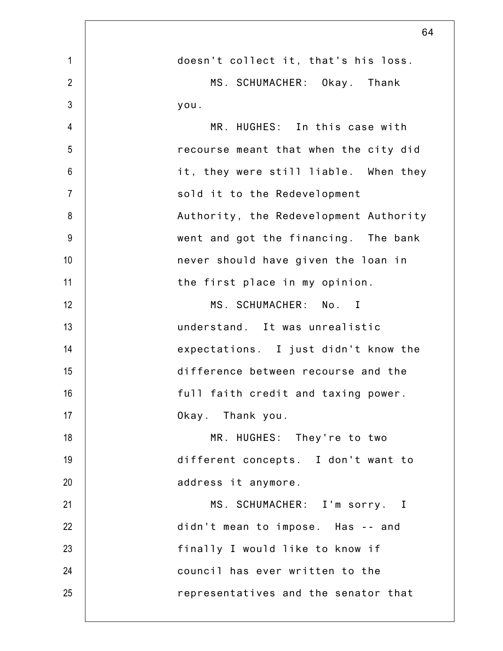|                | 64                                     |
|----------------|----------------------------------------|
| $\mathbf{1}$   | doesn't collect it, that's his loss.   |
| $\overline{2}$ | MS. SCHUMACHER: Okay. Thank            |
| $\mathfrak{Z}$ | you.                                   |
| 4              | MR. HUGHES: In this case with          |
| 5              | recourse meant that when the city did  |
| $6\phantom{1}$ | it, they were still liable. When they  |
| $\overline{7}$ | sold it to the Redevelopment           |
| 8              | Authority, the Redevelopment Authority |
| $9\,$          | went and got the financing. The bank   |
| 10             | never should have given the loan in    |
| 11             | the first place in my opinion.         |
| 12             | MS. SCHUMACHER: No. I                  |
| 13             | understand. It was unrealistic         |
| 14             | expectations. I just didn't know the   |
| 15             | difference between recourse and the    |
| 16             | full faith credit and taxing power.    |
| 17             | Okay. Thank you.                       |
| 18             | MR. HUGHES: They're to two             |
| 19             | different concepts. I don't want to    |
| 20             | address it anymore.                    |
| 21             | MS. SCHUMACHER: I'm sorry. I           |
| 22             | didn't mean to impose. Has -- and      |
| 23             | finally I would like to know if        |
| 24             | council has ever written to the        |
| 25             | representatives and the senator that   |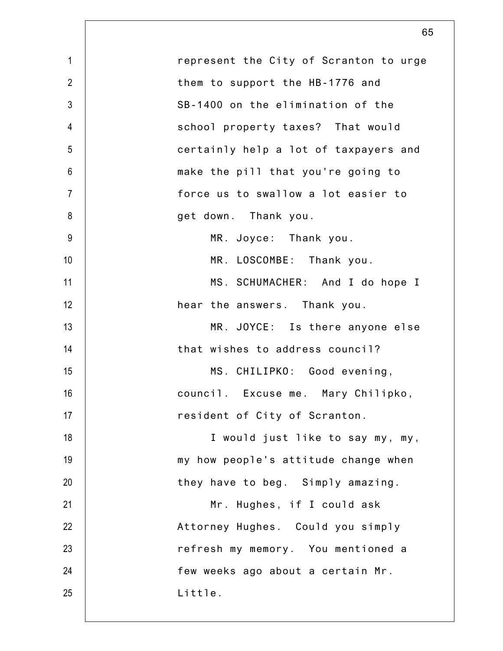| $\mathbf 1$    | represent the City of Scranton to urge |
|----------------|----------------------------------------|
| $\overline{2}$ | them to support the HB-1776 and        |
| 3              | SB-1400 on the elimination of the      |
| $\overline{4}$ | school property taxes? That would      |
| 5              | certainly help a lot of taxpayers and  |
| $6\,$          | make the pill that you're going to     |
| $\overline{7}$ | force us to swallow a lot easier to    |
| 8              | get down. Thank you.                   |
| $9\,$          | MR. Joyce: Thank you.                  |
| 10             | MR. LOSCOMBE: Thank you.               |
| 11             | MS. SCHUMACHER: And I do hope I        |
| 12             | hear the answers. Thank you.           |
| 13             | MR. JOYCE: Is there anyone else        |
| 14             | that wishes to address council?        |
| 15             | MS. CHILIPKO: Good evening,            |
| 16             | council. Excuse me. Mary Chilipko,     |
| 17             | resident of City of Scranton.          |
| 18             | I would just like to say my, my,       |
| 19             | my how people's attitude change when   |
| 20             | they have to beg. Simply amazing.      |
| 21             | Mr. Hughes, if I could ask             |
| 22             | Attorney Hughes. Could you simply      |
| 23             | refresh my memory. You mentioned a     |
| 24             | few weeks ago about a certain Mr.      |
| 25             | Little.                                |
|                |                                        |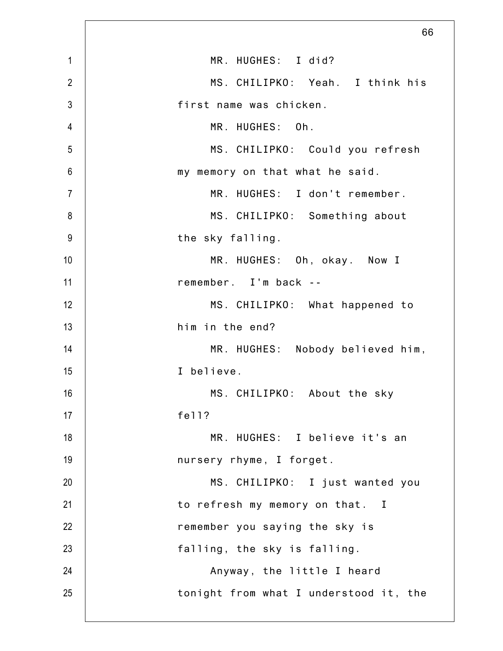|                | 66                                     |
|----------------|----------------------------------------|
| $\mathbf{1}$   | MR. HUGHES: I did?                     |
| $\overline{2}$ | MS. CHILIPKO: Yeah. I think his        |
| $\mathfrak{Z}$ | first name was chicken.                |
| $\overline{4}$ | MR. HUGHES: Oh.                        |
| 5              | MS. CHILIPKO: Could you refresh        |
| $6\phantom{1}$ | my memory on that what he said.        |
| $\overline{7}$ | MR. HUGHES: I don't remember.          |
| 8              | MS. CHILIPKO: Something about          |
| $9\,$          | the sky falling.                       |
| 10             | MR. HUGHES: Oh, okay. Now I            |
| 11             | remember. I'm back --                  |
| 12             | MS. CHILIPKO: What happened to         |
| 13             | him in the end?                        |
| 14             | MR. HUGHES: Nobody believed him,       |
| 15             | I believe.                             |
| 16             | MS. CHILIPKO: About the sky            |
| 17             | fe11?                                  |
| 18             | MR. HUGHES: I believe it's an          |
| 19             | nursery rhyme, I forget.               |
| 20             | MS. CHILIPKO: I just wanted you        |
| 21             | to refresh my memory on that. I        |
| 22             | remember you saying the sky is         |
| 23             | falling, the sky is falling.           |
| 24             | Anyway, the little I heard             |
| 25             | tonight from what I understood it, the |
|                |                                        |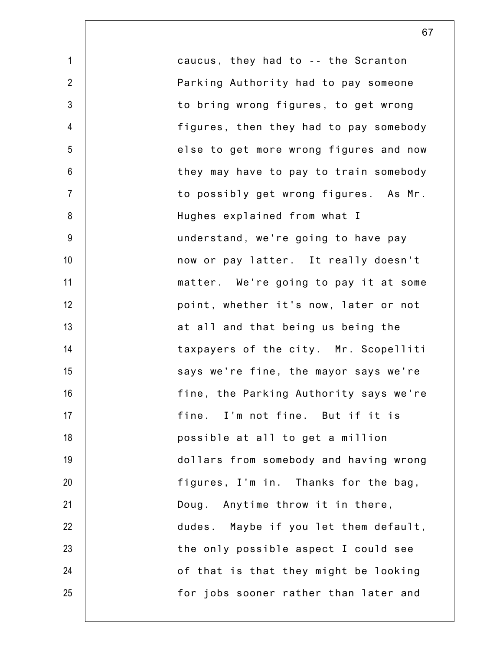1 2 3 4 5 6 7 8 9 10 11 12 13 14 15 16 17 18 19 20 21 22 23 24 25 caucus, they had to -- the Scranton Parking Authority had to pay someone to bring wrong figures, to get wrong figures, then they had to pay somebody else to get more wrong figures and now they may have to pay to train somebody to possibly get wrong figures. As Mr. Hughes explained from what I understand, we're going to have pay now or pay latter. It really doesn't matter. We're going to pay it at some point, whether it's now, later or not at all and that being us being the taxpayers of the city. Mr. Scopelliti says we're fine, the mayor says we're fine, the Parking Authority says we're fine. I'm not fine. But if it is possible at all to get a million dollars from somebody and having wrong figures, I'm in. Thanks for the bag, Doug. Anytime throw it in there, dudes. Maybe if you let them default, the only possible aspect I could see of that is that they might be looking for jobs sooner rather than later and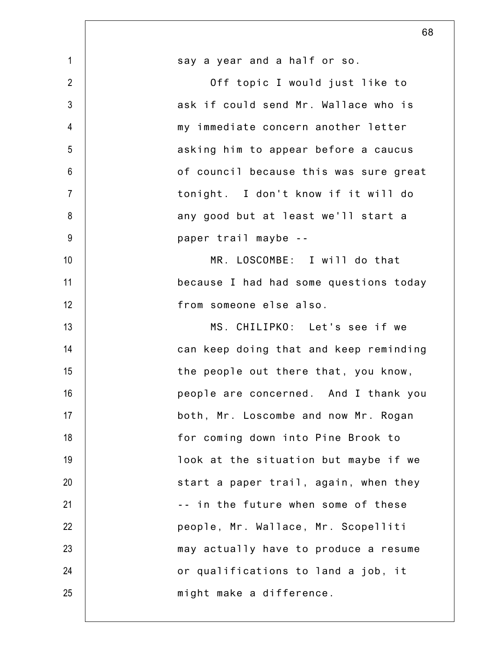|                | 68                                     |
|----------------|----------------------------------------|
| $\mathbf{1}$   | say a year and a half or so.           |
| $\overline{2}$ | Off topic I would just like to         |
| $\mathfrak{Z}$ | ask if could send Mr. Wallace who is   |
| 4              | my immediate concern another letter    |
| 5              | asking him to appear before a caucus   |
| $6\phantom{1}$ | of council because this was sure great |
| $\overline{7}$ | tonight. I don't know if it will do    |
| 8              | any good but at least we'll start a    |
| 9              | paper trail maybe --                   |
| 10             | MR. LOSCOMBE: I will do that           |
| 11             | because I had had some questions today |
| 12             | from someone else also.                |
| 13             | MS. CHILIPKO: Let's see if we          |
| 14             | can keep doing that and keep reminding |
| 15             | the people out there that, you know,   |
| 16             | people are concerned. And I thank you  |
| 17             | both, Mr. Loscombe and now Mr. Rogan   |
| 18             | for coming down into Pine Brook to     |
| 19             | look at the situation but maybe if we  |
| 20             | start a paper trail, again, when they  |
| 21             | -- in the future when some of these    |
| 22             | people, Mr. Wallace, Mr. Scopelliti    |
| 23             | may actually have to produce a resume  |
| 24             | or qualifications to land a job, it    |
| 25             | might make a difference.               |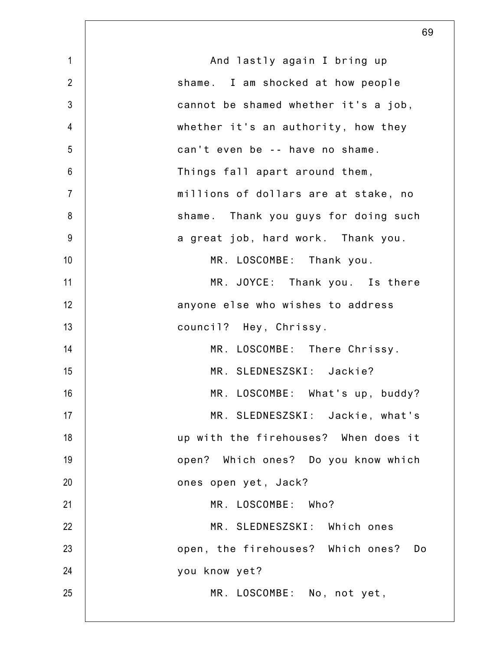| $\mathbf{1}$   | And lastly again I bring up          |
|----------------|--------------------------------------|
| $\overline{2}$ | shame. I am shocked at how people    |
| $\mathfrak{Z}$ | cannot be shamed whether it's a job, |
| $\overline{4}$ | whether it's an authority, how they  |
| 5              | can't even be -- have no shame.      |
| $6\phantom{.}$ | Things fall apart around them,       |
| $\overline{7}$ | millions of dollars are at stake, no |
| 8              | shame. Thank you guys for doing such |
| 9              | a great job, hard work. Thank you.   |
| 10             | MR. LOSCOMBE: Thank you.             |
| 11             | MR. JOYCE: Thank you. Is there       |
| 12             | anyone else who wishes to address    |
| 13             | council? Hey, Chrissy.               |
| 14             | MR. LOSCOMBE: There Chrissy.         |
| 15             | MR. SLEDNESZSKI: Jackie?             |
| 16             | MR. LOSCOMBE: What's up, buddy?      |
| 17             | MR. SLEDNESZSKI: Jackie, what's      |
| 18             | up with the firehouses? When does it |
| 19             | open? Which ones? Do you know which  |
| 20             | ones open yet, Jack?                 |
| 21             | MR. LOSCOMBE: Who?                   |
| 22             | MR. SLEDNESZSKI: Which ones          |
| 23             | open, the firehouses? Which ones? Do |
| 24             | you know yet?                        |
| 25             | MR. LOSCOMBE: No, not yet,           |
|                |                                      |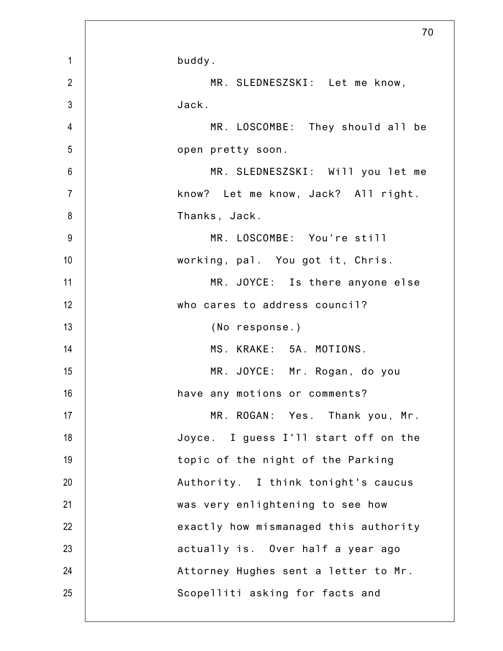|                | 70                                    |
|----------------|---------------------------------------|
| $\mathbf{1}$   | buddy.                                |
| $\overline{2}$ | MR. SLEDNESZSKI: Let me know,         |
| $\mathfrak{Z}$ | Jack.                                 |
| 4              | MR. LOSCOMBE: They should all be      |
| 5              | open pretty soon.                     |
| 6              | MR. SLEDNESZSKI: Will you let me      |
| $\overline{7}$ | know? Let me know, Jack? All right.   |
| 8              | Thanks, Jack.                         |
| 9              | MR. LOSCOMBE: You're still            |
| 10             | working, pal. You got it, Chris.      |
| 11             | MR. JOYCE: Is there anyone else       |
| 12             | who cares to address council?         |
| 13             | (No response.)                        |
| 14             | MS. KRAKE: 5A. MOTIONS.               |
| 15             | MR. JOYCE: Mr. Rogan, do you          |
| 16             | have any motions or comments?         |
| 17             | MR. ROGAN: Yes. Thank you, Mr.        |
| 18             | Joyce. I guess I'll start off on the  |
| 19             | topic of the night of the Parking     |
| 20             | Authority. I think tonight's caucus   |
| 21             | was very enlightening to see how      |
| 22             | exactly how mismanaged this authority |
| 23             | actually is. Over half a year ago     |
| 24             | Attorney Hughes sent a letter to Mr.  |
| 25             | Scopelliti asking for facts and       |
|                |                                       |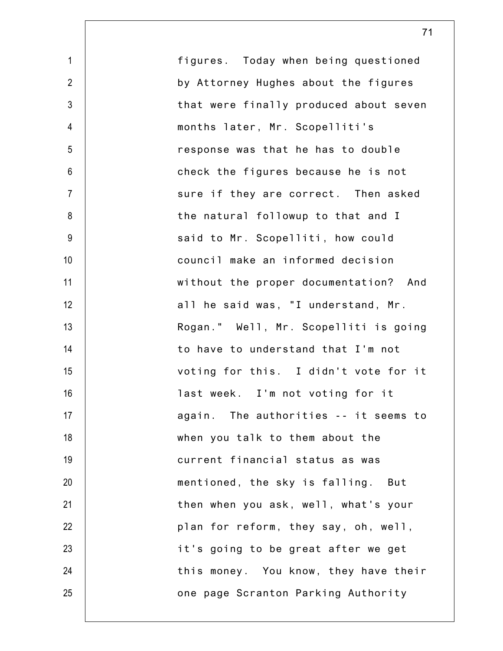1 2 3 4 5 6 7 8 9 10 11 12 13 14 15 16 17 18 19 20 21 22 23 24 25 figures. Today when being questioned by Attorney Hughes about the figures that were finally produced about seven months later, Mr. Scopelliti's response was that he has to double check the figures because he is not sure if they are correct. Then asked the natural followup to that and I said to Mr. Scopelliti, how could council make an informed decision without the proper documentation? And all he said was, "I understand, Mr. Rogan." Well, Mr. Scopelliti is going to have to understand that I'm not voting for this. I didn't vote for it last week. I'm not voting for it again. The authorities -- it seems to when you talk to them about the current financial status as was mentioned, the sky is falling. But then when you ask, well, what's your plan for reform, they say, oh, well, it's going to be great after we get this money. You know, they have their one page Scranton Parking Authority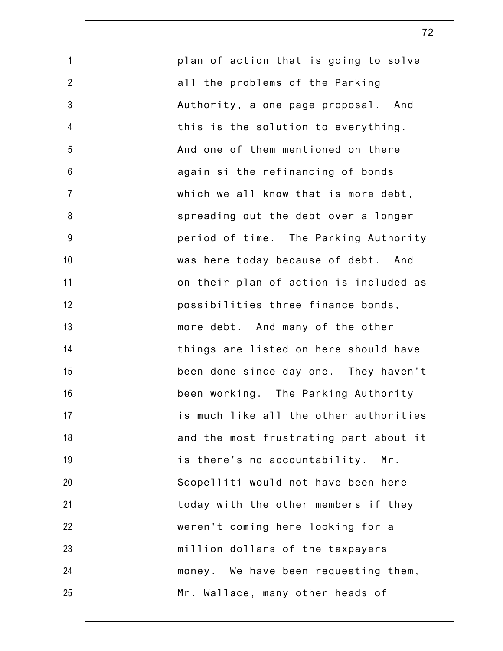| $\mathbf{1}$   | plan of action that is going to solve  |
|----------------|----------------------------------------|
| $\overline{2}$ | all the problems of the Parking        |
| $\mathfrak{Z}$ | Authority, a one page proposal. And    |
| $\overline{4}$ | this is the solution to everything.    |
| 5              | And one of them mentioned on there     |
| $\,6$          | again si the refinancing of bonds      |
| $\overline{7}$ | which we all know that is more debt,   |
| 8              | spreading out the debt over a longer   |
| $9\,$          | period of time. The Parking Authority  |
| 10             | was here today because of debt. And    |
| 11             | on their plan of action is included as |
| 12             | possibilities three finance bonds,     |
| 13             | more debt. And many of the other       |
| 14             | things are listed on here should have  |
| 15             | been done since day one. They haven't  |
| 16             | been working. The Parking Authority    |
| 17             | is much like all the other authorities |
| 18             | and the most frustrating part about it |
| 19             | is there's no accountability. Mr.      |
| 20             | Scopelliti would not have been here    |
| 21             | today with the other members if they   |
| 22             | weren't coming here looking for a      |
| 23             | million dollars of the taxpayers       |
| 24             | money. We have been requesting them,   |
| 25             | Mr. Wallace, many other heads of       |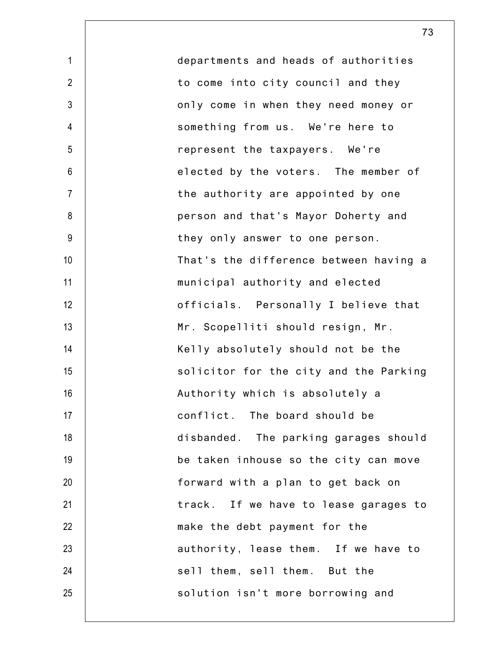1 2 3 4 5 6 7 8 9 10 11 12 13 14 15 16 17 18 19 20 21 22 23 24 25 departments and heads of authorities to come into city council and they only come in when they need money or something from us. We're here to represent the taxpayers. We're elected by the voters. The member of the authority are appointed by one person and that's Mayor Doherty and they only answer to one person. That's the difference between having a municipal authority and elected officials. Personally I believe that Mr. Scopelliti should resign, Mr. Kelly absolutely should not be the solicitor for the city and the Parking Authority which is absolutely a conflict. The board should be disbanded. The parking garages should be taken inhouse so the city can move forward with a plan to get back on track. If we have to lease garages to make the debt payment for the authority, lease them. If we have to sell them, sell them. But the solution isn't more borrowing and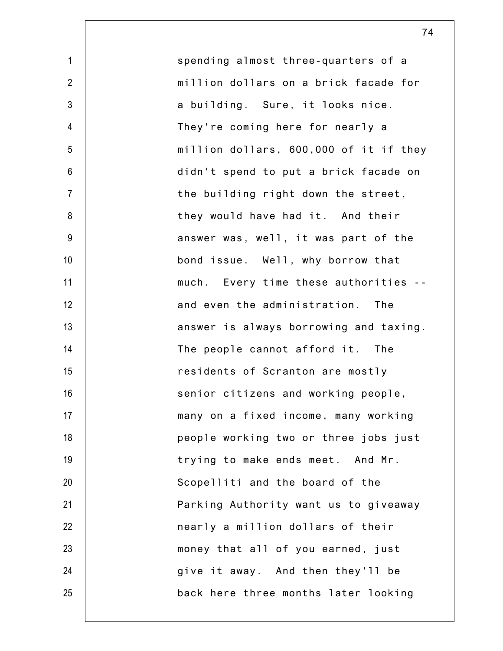1 2 3 4 5 6 7 8 9 10 11 12 13 14 15 16 17 18 19 20 21 22 23 24 25 spending almost three-quarters of a million dollars on a brick facade for a building. Sure, it looks nice. They're coming here for nearly a million dollars, 600,000 of it if they didn't spend to put a brick facade on the building right down the street, they would have had it. And their answer was, well, it was part of the bond issue. Well, why borrow that much. Every time these authorities - and even the administration. The answer is always borrowing and taxing. The people cannot afford it. The residents of Scranton are mostly senior citizens and working people, many on a fixed income, many working people working two or three jobs just trying to make ends meet. And Mr. Scopelliti and the board of the Parking Authority want us to giveaway nearly a million dollars of their money that all of you earned, just give it away. And then they'll be back here three months later looking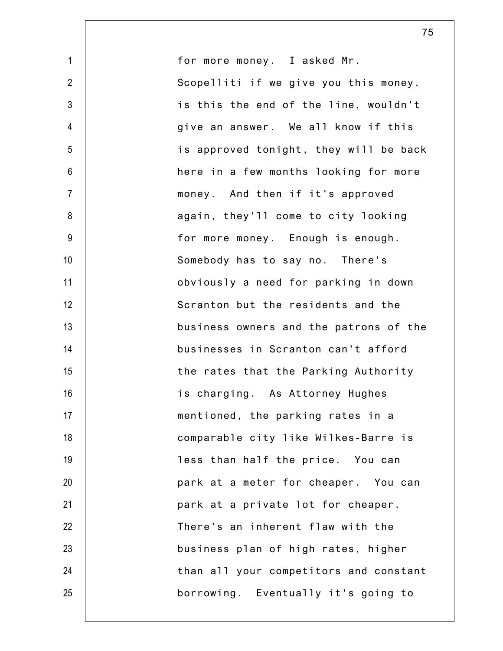1 2 3 4 5 6 7 8 9 10 11 12 13 14 15 16 17 18 19 20 21 22 23 24 25 for more money. I asked Mr. Scopelliti if we give you this money, is this the end of the line, wouldn't give an answer. We all know if this is approved tonight, they will be back here in a few months looking for more money. And then if it's approved again, they'll come to city looking for more money. Enough is enough. Somebody has to say no. There's obviously a need for parking in down Scranton but the residents and the business owners and the patrons of the businesses in Scranton can't afford the rates that the Parking Authority is charging. As Attorney Hughes mentioned, the parking rates in a comparable city like Wilkes-Barre is less than half the price. You can park at a meter for cheaper. You can park at a private lot for cheaper. There's an inherent flaw with the business plan of high rates, higher than all your competitors and constant borrowing. Eventually it's going to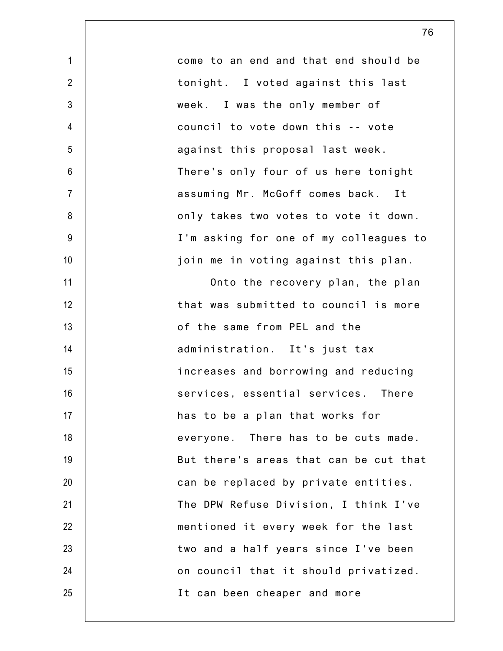| $\mathbf{1}$   | come to an end and that end should be  |
|----------------|----------------------------------------|
| $\overline{2}$ | tonight. I voted against this last     |
| $\mathfrak{Z}$ | week. I was the only member of         |
| $\overline{4}$ | council to vote down this -- vote      |
| 5              | against this proposal last week.       |
| $6\,$          | There's only four of us here tonight   |
| $\overline{7}$ | assuming Mr. McGoff comes back. It     |
| 8              | only takes two votes to vote it down.  |
| $9\,$          | I'm asking for one of my colleagues to |
| 10             | join me in voting against this plan.   |
| 11             | Onto the recovery plan, the plan       |
| 12             | that was submitted to council is more  |
| 13             | of the same from PEL and the           |
| 14             | administration. It's just tax          |
| 15             | increases and borrowing and reducing   |
| 16             | services, essential services. There    |
| 17             | has to be a plan that works for        |
| 18             | everyone. There has to be cuts made.   |
| 19             | But there's areas that can be cut that |
| 20             | can be replaced by private entities.   |
| 21             | The DPW Refuse Division, I think I've  |
| 22             | mentioned it every week for the last   |
| 23             | two and a half years since I've been   |
| 24             | on council that it should privatized.  |
| 25             | It can been cheaper and more           |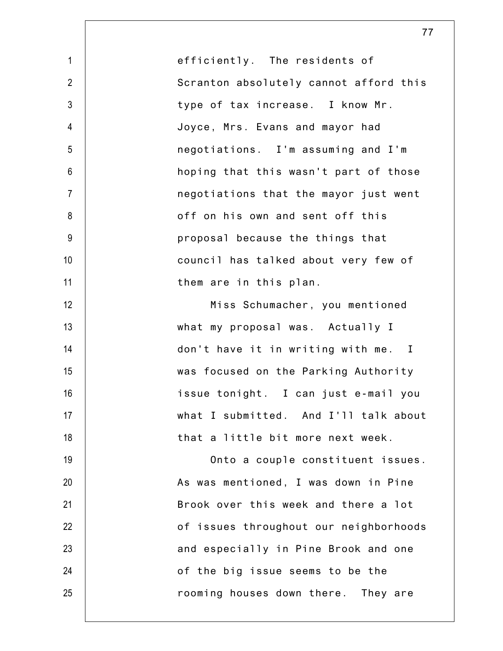1 2 3 4 5 6 7 8 9 10 11 12 13 14 15 16 17 18 19 20 21 22 23 24 25 efficiently. The residents of Scranton absolutely cannot afford this type of tax increase. I know Mr. Joyce, Mrs. Evans and mayor had negotiations. I'm assuming and I'm hoping that this wasn't part of those negotiations that the mayor just went off on his own and sent off this proposal because the things that council has talked about very few of them are in this plan. Miss Schumacher, you mentioned what my proposal was. Actually I don't have it in writing with me. I was focused on the Parking Authority issue tonight. I can just e-mail you what I submitted. And I'll talk about that a little bit more next week. Onto a couple constituent issues. As was mentioned, I was down in Pine Brook over this week and there a lot of issues throughout our neighborhoods and especially in Pine Brook and one of the big issue seems to be the rooming houses down there. They are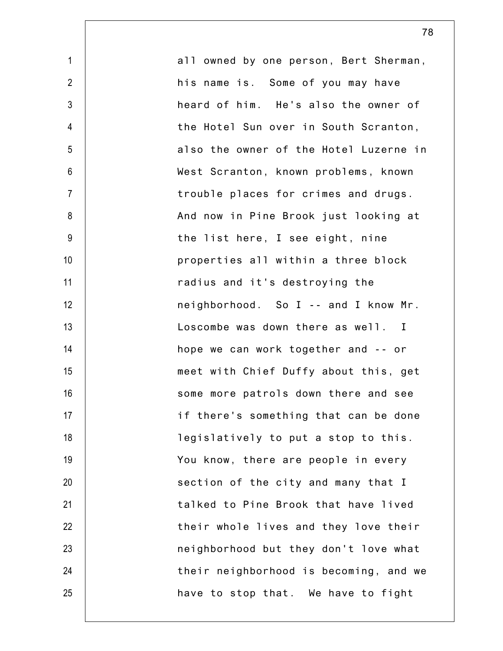| $\mathbf{1}$    | all owned by one person, Bert Sherman, |
|-----------------|----------------------------------------|
| $\overline{2}$  | his name is. Some of you may have      |
| $\mathfrak{Z}$  | heard of him. He's also the owner of   |
| 4               | the Hotel Sun over in South Scranton,  |
| 5               | also the owner of the Hotel Luzerne in |
| $6\phantom{1}$  | West Scranton, known problems, known   |
| $\overline{7}$  | trouble places for crimes and drugs.   |
| 8               | And now in Pine Brook just looking at  |
| 9               | the list here, I see eight, nine       |
| 10              | properties all within a three block    |
| 11              | radius and it's destroying the         |
| 12              | neighborhood. So I -- and I know Mr.   |
| 13              | Loscombe was down there as well. I     |
| 14              | hope we can work together and -- or    |
| 15              | meet with Chief Duffy about this, get  |
| 16              | some more patrols down there and see   |
| 17 <sup>2</sup> | if there's something that can be done  |
| 18              | legislatively to put a stop to this.   |
| 19              | You know, there are people in every    |
| 20              | section of the city and many that I    |
| 21              | talked to Pine Brook that have lived   |
| 22              | their whole lives and they love their  |
| 23              | neighborhood but they don't love what  |
| 24              | their neighborhood is becoming, and we |
| 25              | have to stop that. We have to fight    |
|                 |                                        |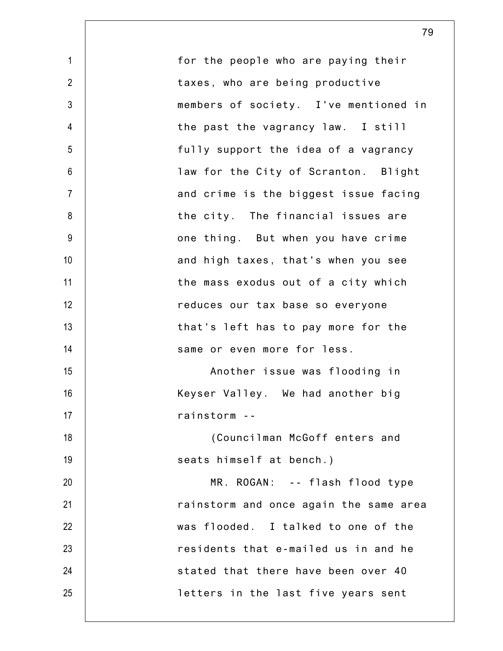1 2 3 4 5 6 7 8 9 10 11 12 13 14 15 16 17 18 19 20 21 22 23 24 25 for the people who are paying their taxes, who are being productive members of society. I've mentioned in the past the vagrancy law. I still fully support the idea of a vagrancy law for the City of Scranton. Blight and crime is the biggest issue facing the city. The financial issues are one thing. But when you have crime and high taxes, that's when you see the mass exodus out of a city which reduces our tax base so everyone that's left has to pay more for the same or even more for less. Another issue was flooding in Keyser Valley. We had another big rainstorm -- (Councilman McGoff enters and seats himself at bench.) MR. ROGAN: -- flash flood type rainstorm and once again the same area was flooded. I talked to one of the residents that e-mailed us in and he stated that there have been over 40 letters in the last five years sent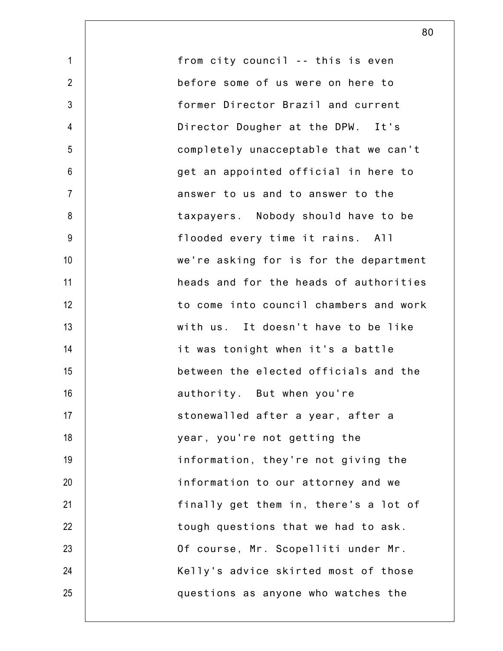1 2 3 4 5 6 7 8 9 10 11 12 13 14 15 16 17 18 19 20 21 22 23 24 25 from city council -- this is even before some of us were on here to former Director Brazil and current Director Dougher at the DPW. It's completely unacceptable that we can't get an appointed official in here to answer to us and to answer to the taxpayers. Nobody should have to be flooded every time it rains. All we're asking for is for the department heads and for the heads of authorities to come into council chambers and work with us. It doesn't have to be like it was tonight when it's a battle between the elected officials and the authority. But when you're stonewalled after a year, after a year, you're not getting the information, they're not giving the information to our attorney and we finally get them in, there's a lot of tough questions that we had to ask. Of course, Mr. Scopelliti under Mr. Kelly's advice skirted most of those questions as anyone who watches the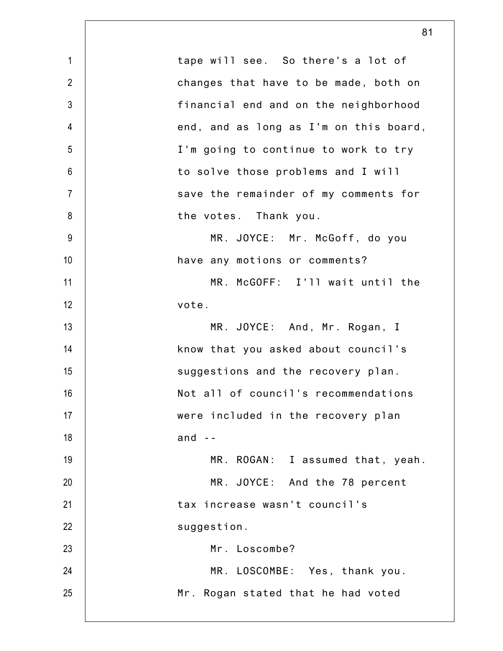1 2 3 4 5 6 7 8 9 10 11 12 13 14 15 16 17 18 19 20 21 22 23 24 25 tape will see. So there's a lot of changes that have to be made, both on financial end and on the neighborhood end, and as long as I'm on this board, I'm going to continue to work to try to solve those problems and I will save the remainder of my comments for the votes. Thank you. MR. JOYCE: Mr. McGoff, do you have any motions or comments? MR. McGOFF: I'll wait until the vote. MR. JOYCE: And, Mr. Rogan, I know that you asked about council's suggestions and the recovery plan. Not all of council's recommendations were included in the recovery plan and  $-$ MR. ROGAN: I assumed that, yeah. MR. JOYCE: And the 78 percent tax increase wasn't council's suggestion. Mr. Loscombe? MR. LOSCOMBE: Yes, thank you. Mr. Rogan stated that he had voted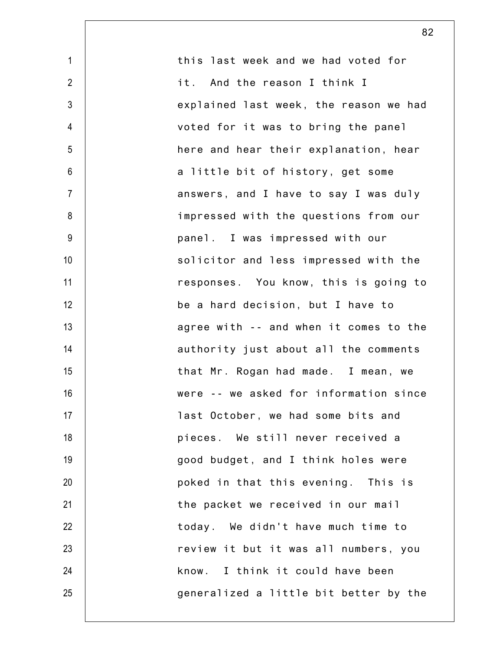| $\mathbf 1$     | this last week and we had voted for    |
|-----------------|----------------------------------------|
| $\overline{2}$  | it. And the reason I think I           |
| $\mathfrak{Z}$  | explained last week, the reason we had |
| 4               | voted for it was to bring the panel    |
| 5               | here and hear their explanation, hear  |
| $6\phantom{1}$  | a little bit of history, get some      |
| $\overline{7}$  | answers, and I have to say I was duly  |
| 8               | impressed with the questions from our  |
| 9               | panel. I was impressed with our        |
| 10 <sup>1</sup> | solicitor and less impressed with the  |
| 11              | responses. You know, this is going to  |
| 12              | be a hard decision, but I have to      |
| 13              | agree with -- and when it comes to the |
| 14              | authority just about all the comments  |
| 15              | that Mr. Rogan had made. I mean, we    |
| 16              | were -- we asked for information since |
| 17              | last October, we had some bits and     |
| 18              | pieces. We still never received a      |
| 19              | good budget, and I think holes were    |
| 20              | poked in that this evening. This is    |
| 21              | the packet we received in our mail     |
| 22              | today. We didn't have much time to     |
| 23              | review it but it was all numbers, you  |
| 24              | know. I think it could have been       |
| 25              | generalized a little bit better by the |
|                 |                                        |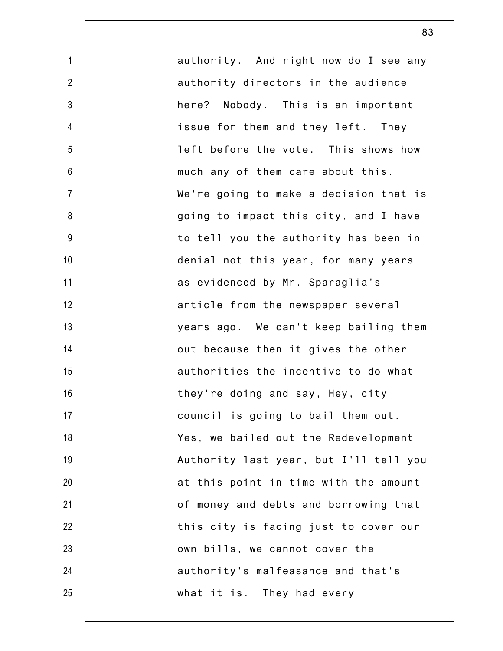1 2 3 4 5 6 7 8 9 10 11 12 13 14 15 16 17 18 19 20 21 22 23 24 25 authority. And right now do I see any authority directors in the audience here? Nobody. This is an important issue for them and they left. They left before the vote. This shows how much any of them care about this. We're going to make a decision that is going to impact this city, and I have to tell you the authority has been in denial not this year, for many years as evidenced by Mr. Sparaglia's article from the newspaper several years ago. We can't keep bailing them out because then it gives the other authorities the incentive to do what they're doing and say, Hey, city council is going to bail them out. Yes, we bailed out the Redevelopment Authority last year, but I'll tell you at this point in time with the amount of money and debts and borrowing that this city is facing just to cover our own bills, we cannot cover the authority's malfeasance and that's what it is. They had every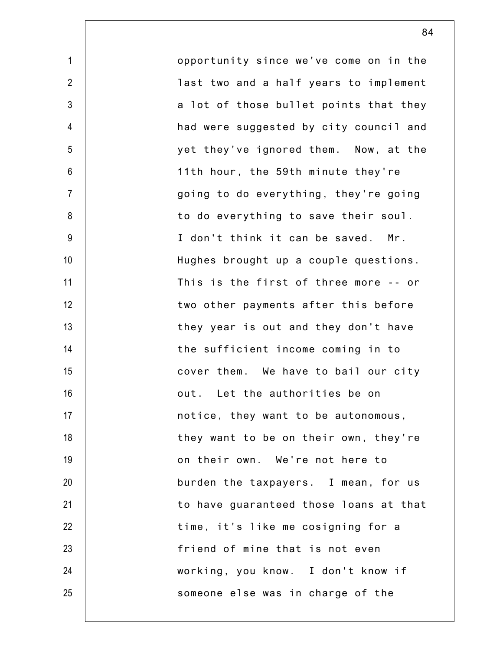2 3 7 8 9 10 12 13 14 15 16 17 18 19 20 22 23 24 25 opportunity since we've come on in the last two and a half years to implement a lot of those bullet points that they had were suggested by city council and yet they've ignored them. Now, at the 11th hour, the 59th minute they're going to do everything, they're going to do everything to save their soul. I don't think it can be saved. Mr. Hughes brought up a couple questions. This is the first of three more -- or two other payments after this before they year is out and they don't have the sufficient income coming in to cover them. We have to bail our city out. Let the authorities be on notice, they want to be autonomous, they want to be on their own, they're on their own. We're not here to burden the taxpayers. I mean, for us to have guaranteed those loans at that time, it's like me cosigning for a friend of mine that is not even working, you know. I don't know if someone else was in charge of the

1

4

5

6

11

21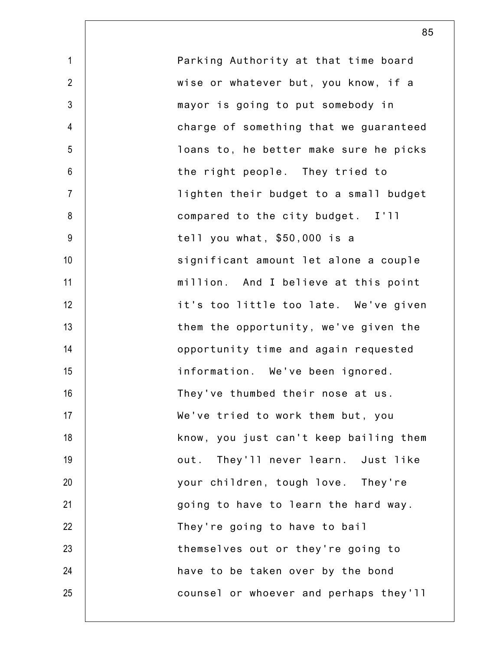| Parking Authority at that time board   |
|----------------------------------------|
| wise or whatever but, you know, if a   |
| mayor is going to put somebody in      |
| charge of something that we guaranteed |
| loans to, he better make sure he picks |
| the right people. They tried to        |
| lighten their budget to a small budget |
| compared to the city budget. I'll      |
| tell you what, \$50,000 is a           |
| significant amount let alone a couple  |
| million. And I believe at this point   |
| it's too little too late. We've given  |
| them the opportunity, we've given the  |
| opportunity time and again requested   |
| information. We've been ignored.       |
| They've thumbed their nose at us.      |
| We've tried to work them but, you      |
| know, you just can't keep bailing them |
| out. They'll never learn. Just like    |
| your children, tough love. They're     |
| going to have to learn the hard way.   |
| They're going to have to bail          |
| themselves out or they're going to     |
| have to be taken over by the bond      |
| counsel or whoever and perhaps they'll |
|                                        |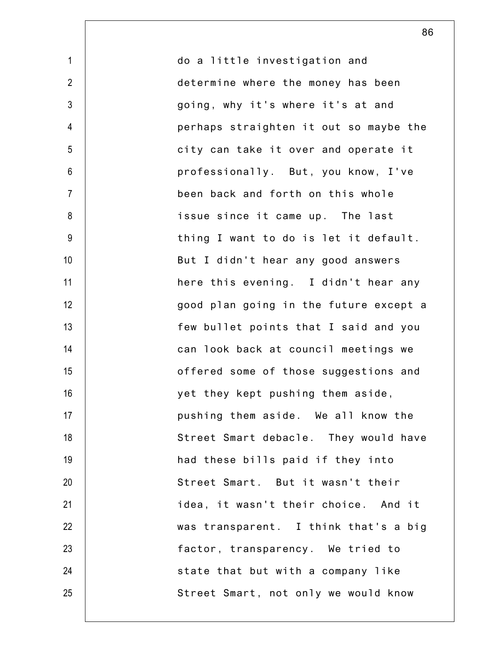1 2 3 4 5 6 7 8 9 10 11 12 13 14 15 16 17 18 19 20 21 22 23 24 25 do a little investigation and determine where the money has been going, why it's where it's at and perhaps straighten it out so maybe the city can take it over and operate it professionally. But, you know, I've been back and forth on this whole issue since it came up. The last thing I want to do is let it default. But I didn't hear any good answers here this evening. I didn't hear any good plan going in the future except a few bullet points that I said and you can look back at council meetings we offered some of those suggestions and yet they kept pushing them aside, pushing them aside. We all know the Street Smart debacle. They would have had these bills paid if they into Street Smart. But it wasn't their idea, it wasn't their choice. And it was transparent. I think that's a big factor, transparency. We tried to state that but with a company like Street Smart, not only we would know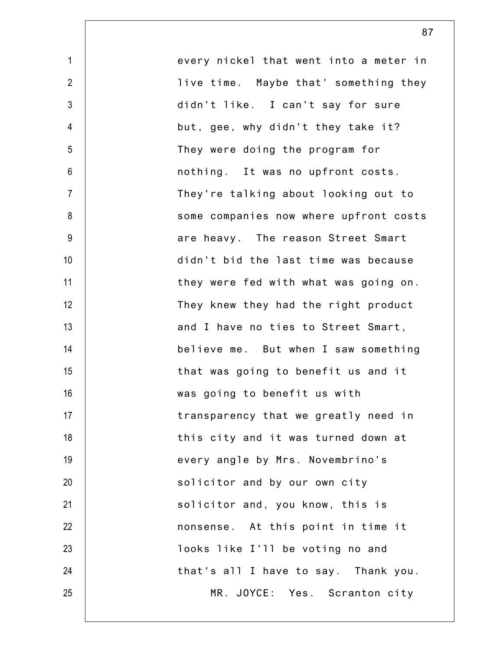| $\mathbf{1}$     | every nickel that went into a meter in |
|------------------|----------------------------------------|
| $\overline{2}$   |                                        |
|                  | live time. Maybe that' something they  |
| $\mathfrak{Z}$   | didn't like. I can't say for sure      |
| $\overline{4}$   | but, gee, why didn't they take it?     |
| 5                | They were doing the program for        |
| $\boldsymbol{6}$ | nothing. It was no upfront costs.      |
| $\overline{7}$   | They're talking about looking out to   |
| 8                | some companies now where upfront costs |
| $9\,$            | are heavy. The reason Street Smart     |
| 10               | didn't bid the last time was because   |
| 11               | they were fed with what was going on.  |
| 12               | They knew they had the right product   |
| 13               | and I have no ties to Street Smart,    |
| 14               | believe me. But when I saw something   |
| 15               | that was going to benefit us and it    |
| 16               | was going to benefit us with           |
| 17               | transparency that we greatly need in   |
| 18               | this city and it was turned down at    |
| 19               | every angle by Mrs. Novembrino's       |
| 20               | solicitor and by our own city          |
| 21               | solicitor and, you know, this is       |
| 22               | nonsense. At this point in time it     |
| 23               | looks like I'll be voting no and       |
| 24               | that's all I have to say. Thank you.   |
| 25               | MR. JOYCE: Yes. Scranton city          |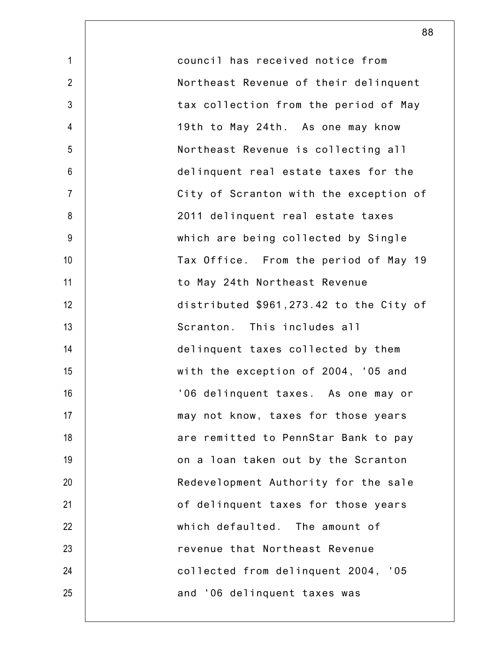| council has received notice from        |
|-----------------------------------------|
| Northeast Revenue of their delinquent   |
| tax collection from the period of May   |
| 19th to May 24th. As one may know       |
| Northeast Revenue is collecting all     |
| delinquent real estate taxes for the    |
| City of Scranton with the exception of  |
| 2011 delinquent real estate taxes       |
| which are being collected by Single     |
| Tax Office. From the period of May 19   |
| to May 24th Northeast Revenue           |
| distributed \$961,273.42 to the City of |
| Scranton. This includes all             |
| delinquent taxes collected by them      |
| with the exception of 2004, '05 and     |
| '06 delinquent taxes. As one may or     |
| may not know, taxes for those years     |
| are remitted to PennStar Bank to pay    |
| on a loan taken out by the Scranton     |
| Redevelopment Authority for the sale    |
| of delinquent taxes for those years     |
| which defaulted. The amount of          |
| revenue that Northeast Revenue          |
| collected from delinquent 2004, '05     |
| and '06 delinquent taxes was            |
|                                         |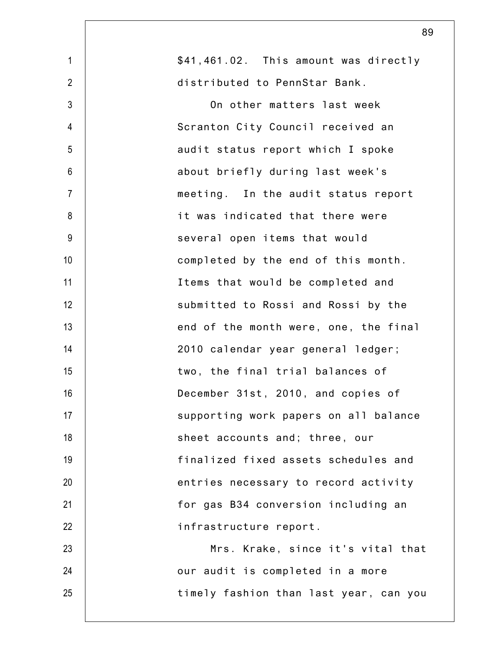| $\mathbf{1}$   | \$41,461.02. This amount was directly  |
|----------------|----------------------------------------|
| $\overline{2}$ | distributed to PennStar Bank.          |
| $\mathfrak{Z}$ | On other matters last week             |
| 4              | Scranton City Council received an      |
| 5              | audit status report which I spoke      |
| $6\,$          | about briefly during last week's       |
| $\overline{7}$ | meeting. In the audit status report    |
| 8              | it was indicated that there were       |
| $9\,$          | several open items that would          |
| 10             | completed by the end of this month.    |
| 11             | Items that would be completed and      |
| 12             | submitted to Rossi and Rossi by the    |
| 13             | end of the month were, one, the final  |
| 14             | 2010 calendar year general ledger;     |
| 15             | two, the final trial balances of       |
| 16             | December 31st, 2010, and copies of     |
| 17             | supporting work papers on all balance  |
| 18             | sheet accounts and; three, our         |
| 19             | finalized fixed assets schedules and   |
| 20             | entries necessary to record activity   |
| 21             | for gas B34 conversion including an    |
| 22             | infrastructure report.                 |
| 23             | Mrs. Krake, since it's vital that      |
| 24             | our audit is completed in a more       |
| 25             | timely fashion than last year, can you |
|                |                                        |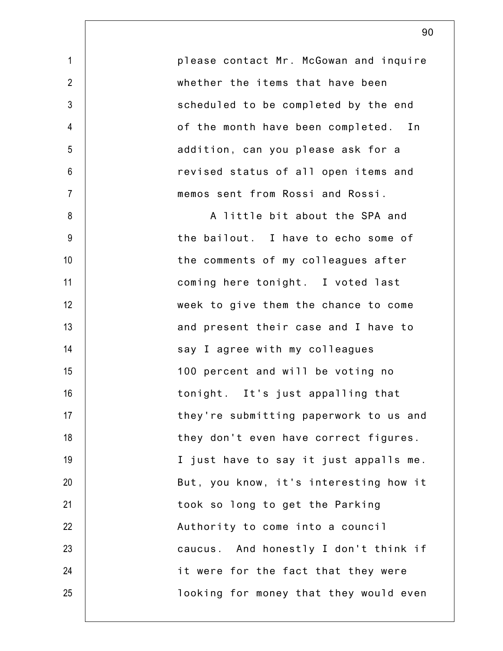please contact Mr. McGowan and inquire whether the items that have been scheduled to be completed by the end of the month have been completed. In addition, can you please ask for a revised status of all open items and memos sent from Rossi and Rossi.

1

2

3

4

5

6

7

8

9

10

11

12

13

14

15

16

17

18

19

20

21

22

23

24

25

A little bit about the SPA and the bailout. I have to echo some of the comments of my colleagues after coming here tonight. I voted last week to give them the chance to come and present their case and I have to say I agree with my colleagues 100 percent and will be voting no tonight. It's just appalling that they're submitting paperwork to us and they don't even have correct figures. I just have to say it just appalls me. But, you know, it's interesting how it took so long to get the Parking Authority to come into a council caucus. And honestly I don't think if it were for the fact that they were looking for money that they would even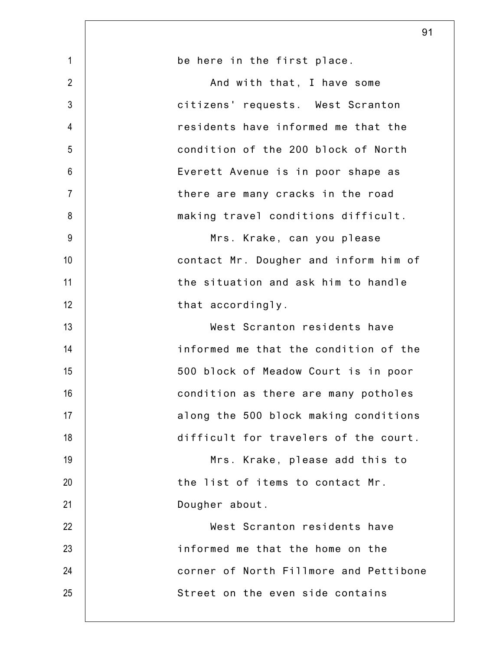|                | 91                                     |
|----------------|----------------------------------------|
| $\mathbf{1}$   | be here in the first place.            |
| $\overline{2}$ | And with that, I have some             |
| $\mathfrak{Z}$ | citizens' requests. West Scranton      |
| $\overline{4}$ | residents have informed me that the    |
| 5              | condition of the 200 block of North    |
| $6\phantom{1}$ | Everett Avenue is in poor shape as     |
| $\overline{7}$ | there are many cracks in the road      |
| 8              | making travel conditions difficult.    |
| 9              | Mrs. Krake, can you please             |
| 10             | contact Mr. Dougher and inform him of  |
| 11             | the situation and ask him to handle    |
| 12             | that accordingly.                      |
| 13             | West Scranton residents have           |
| 14             | informed me that the condition of the  |
| 15             | 500 block of Meadow Court is in poor   |
| 16             | condition as there are many potholes   |
| 17             | along the 500 block making conditions  |
| 18             | difficult for travelers of the court.  |
| 19             | Mrs. Krake, please add this to         |
| 20             | the list of items to contact Mr.       |
| 21             | Dougher about.                         |
| 22             | West Scranton residents have           |
| 23             | informed me that the home on the       |
| 24             | corner of North Fillmore and Pettibone |
| 25             | Street on the even side contains       |
|                |                                        |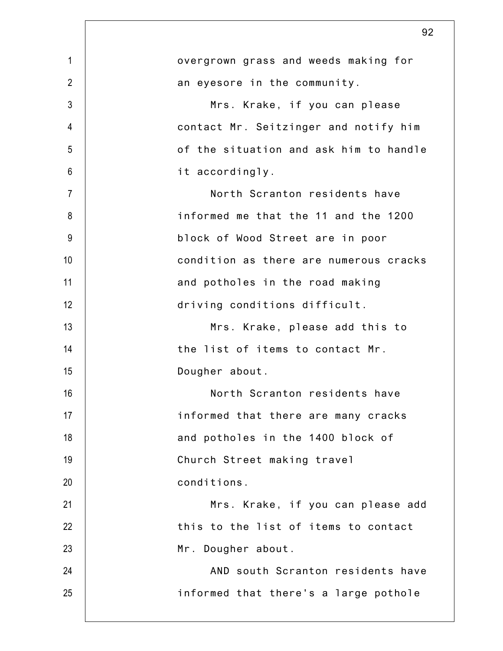|                 | 92                                     |
|-----------------|----------------------------------------|
| $\mathbf{1}$    | overgrown grass and weeds making for   |
| $\overline{2}$  | an eyesore in the community.           |
| 3               | Mrs. Krake, if you can please          |
| 4               | contact Mr. Seitzinger and notify him  |
| 5               | of the situation and ask him to handle |
| $6\phantom{.}6$ | it accordingly.                        |
| $\overline{7}$  | North Scranton residents have          |
| 8               | informed me that the 11 and the 1200   |
| $9\,$           | block of Wood Street are in poor       |
| 10              | condition as there are numerous cracks |
| 11              | and potholes in the road making        |
| 12              | driving conditions difficult.          |
| 13              | Mrs. Krake, please add this to         |
| 14              | the list of items to contact Mr.       |
| 15              | Dougher about.                         |
| 16              | North Scranton residents have          |
| 17              | informed that there are many cracks    |
| 18              | and potholes in the 1400 block of      |
| 19              | Church Street making travel            |
| 20              | conditions.                            |
| 21              | Mrs. Krake, if you can please add      |
| 22              | this to the list of items to contact   |
| 23              | Mr. Dougher about.                     |
| 24              | AND south Scranton residents have      |
| 25              | informed that there's a large pothole  |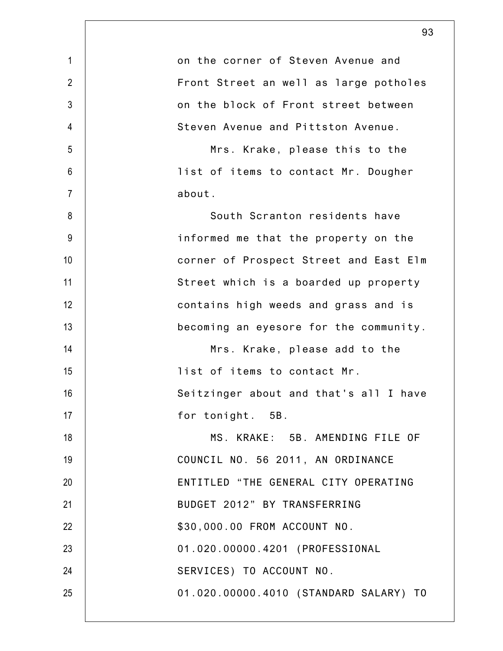|                | 93                                     |
|----------------|----------------------------------------|
| $\mathbf{1}$   | on the corner of Steven Avenue and     |
| $\overline{2}$ | Front Street an well as large potholes |
| $\mathfrak{Z}$ | on the block of Front street between   |
| 4              | Steven Avenue and Pittston Avenue.     |
| 5              | Mrs. Krake, please this to the         |
| 6              | list of items to contact Mr. Dougher   |
| $\overline{7}$ | about.                                 |
| 8              | South Scranton residents have          |
| 9              | informed me that the property on the   |
| 10             | corner of Prospect Street and East Elm |
| 11             | Street which is a boarded up property  |
| 12             | contains high weeds and grass and is   |
| 13             | becoming an eyesore for the community. |
| 14             | Mrs. Krake, please add to the          |
| 15             | list of items to contact Mr.           |
| 16             | Seitzinger about and that's all I have |
| 17             | for tonight. 5B.                       |
| 18             | MS. KRAKE: 5B. AMENDING FILE OF        |
| 19             | COUNCIL NO. 56 2011, AN ORDINANCE      |
| 20             | ENTITLED "THE GENERAL CITY OPERATING   |
| 21             | BUDGET 2012" BY TRANSFERRING           |
| 22             | \$30,000.00 FROM ACCOUNT NO.           |
| 23             | 01.020.00000.4201 (PROFESSIONAL        |
| 24             | SERVICES) TO ACCOUNT NO.               |
| 25             | 01.020.00000.4010 (STANDARD SALARY) TO |
|                |                                        |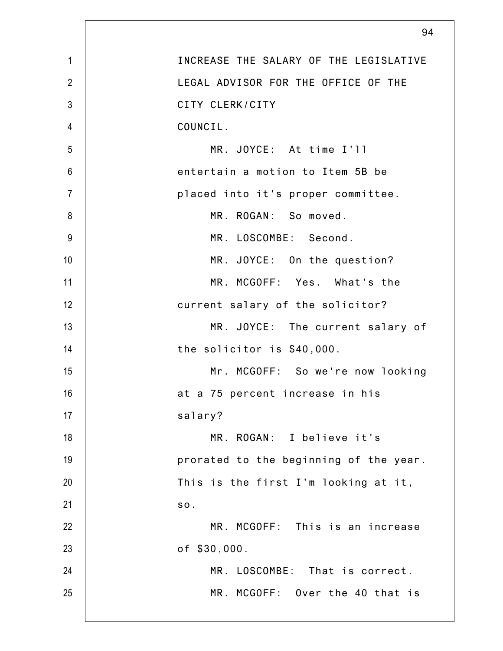|                | 94                                     |
|----------------|----------------------------------------|
| $\mathbf{1}$   | INCREASE THE SALARY OF THE LEGISLATIVE |
| $\overline{2}$ | LEGAL ADVISOR FOR THE OFFICE OF THE    |
| $\mathfrak{Z}$ | CITY CLERK/CITY                        |
| $\overline{4}$ | COUNCIL.                               |
| 5              | MR. JOYCE: At time I'll                |
| $6\phantom{1}$ | entertain a motion to Item 5B be       |
| $\overline{7}$ | placed into it's proper committee.     |
| 8              | MR. ROGAN: So moved.                   |
| 9              | MR. LOSCOMBE: Second.                  |
| 10             | MR. JOYCE: On the question?            |
| 11             | MR. MCGOFF: Yes. What's the            |
| 12             | current salary of the solicitor?       |
| 13             | MR. JOYCE: The current salary of       |
| 14             | the solicitor is \$40,000.             |
| 15             | Mr. MCGOFF: So we're now looking       |
| 16             | at a 75 percent increase in his        |
| 17             | salary?                                |
| 18             | MR. ROGAN: I believe it's              |
| 19             | prorated to the beginning of the year. |
| 20             | This is the first I'm looking at it,   |
| 21             | SO.                                    |
| 22             | MR. MCGOFF: This is an increase        |
| 23             | of \$30,000.                           |
| 24             | MR. LOSCOMBE: That is correct.         |
| 25             | MR. MCGOFF: Over the 40 that is        |
|                |                                        |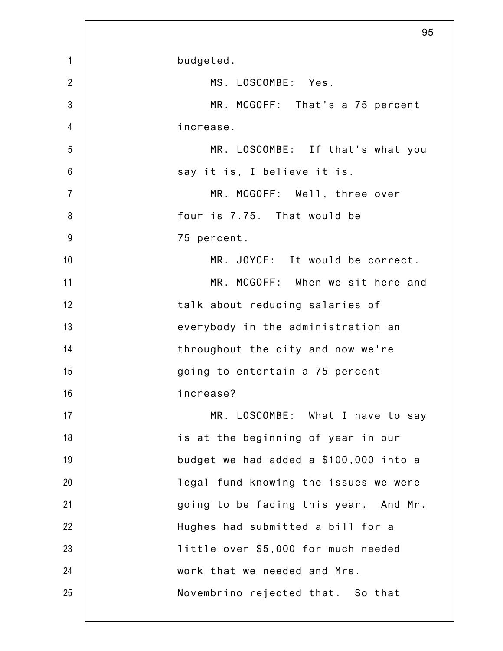|                | 95                                     |
|----------------|----------------------------------------|
| $\mathbf{1}$   | budgeted.                              |
| $\overline{2}$ | MS. LOSCOMBE: Yes.                     |
| $\mathfrak{Z}$ | MR. MCGOFF: That's a 75 percent        |
| $\overline{4}$ | increase.                              |
| 5              | MR. LOSCOMBE: If that's what you       |
| $6\phantom{1}$ | say it is, I believe it is.            |
| $\overline{7}$ | MR. MCGOFF: Well, three over           |
| 8              | four is 7.75. That would be            |
| $9\,$          | 75 percent.                            |
| 10             | MR. JOYCE: It would be correct.        |
| 11             | MR. MCGOFF: When we sit here and       |
| 12             | talk about reducing salaries of        |
| 13             | everybody in the administration an     |
| 14             | throughout the city and now we're      |
| 15             | going to entertain a 75 percent        |
| 16             | increase?                              |
| 17             | MR. LOSCOMBE: What I have to say       |
| 18             | is at the beginning of year in our     |
| 19             | budget we had added a \$100,000 into a |
| 20             | legal fund knowing the issues we were  |
| 21             | going to be facing this year. And Mr.  |
| 22             | Hughes had submitted a bill for a      |
| 23             | little over \$5,000 for much needed    |
| 24             | work that we needed and Mrs.           |
| 25             | Novembrino rejected that. So that      |
|                |                                        |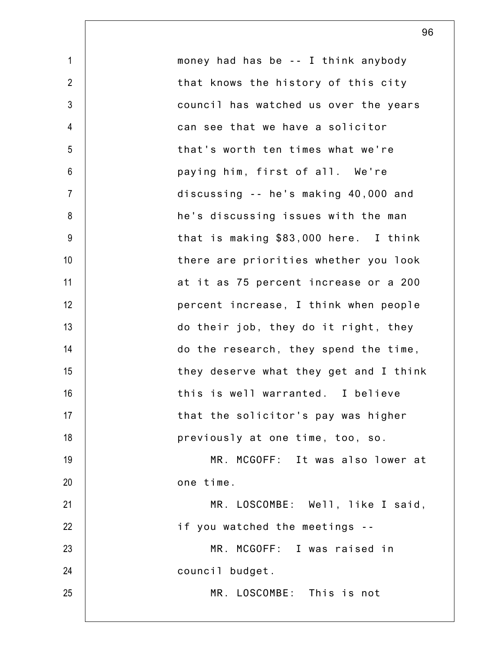1 2 3 4 5 6 7 8 9 10 11 12 13 14 15 16 17 18 19 20 21 22 23 24 25 money had has be -- I think anybody that knows the history of this city council has watched us over the years can see that we have a solicitor that's worth ten times what we're paying him, first of all. We're discussing -- he's making 40,000 and he's discussing issues with the man that is making \$83,000 here. I think there are priorities whether you look at it as 75 percent increase or a 200 percent increase, I think when people do their job, they do it right, they do the research, they spend the time, they deserve what they get and I think this is well warranted. I believe that the solicitor's pay was higher previously at one time, too, so. MR. MCGOFF: It was also lower at one time. MR. LOSCOMBE: Well, like I said, if you watched the meetings -- MR. MCGOFF: I was raised in council budget. MR. LOSCOMBE: This is not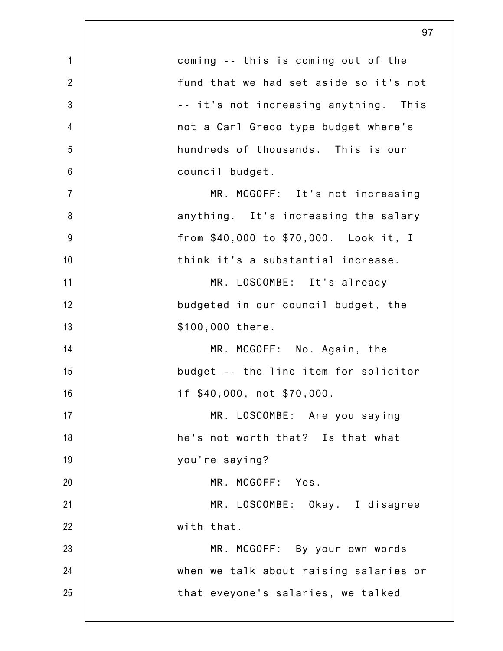| $\mathbf{1}$   | coming -- this is coming out of the    |
|----------------|----------------------------------------|
| $\overline{2}$ | fund that we had set aside so it's not |
| $\mathfrak{Z}$ | -- it's not increasing anything. This  |
| $\overline{4}$ | not a Carl Greco type budget where's   |
| 5              | hundreds of thousands. This is our     |
| $\,6$          | council budget.                        |
| $\overline{7}$ | MR. MCGOFF: It's not increasing        |
| 8              | anything. It's increasing the salary   |
| $9\,$          | from \$40,000 to \$70,000. Look it, I  |
| 10             | think it's a substantial increase.     |
| 11             | MR. LOSCOMBE: It's already             |
| 12             | budgeted in our council budget, the    |
| 13             | \$100,000 there.                       |
| 14             | MR. MCGOFF: No. Again, the             |
| 15             | budget -- the line item for solicitor  |
| 16             | if \$40,000, not \$70,000.             |
| 17             | MR. LOSCOMBE: Are you saying           |
| 18             | he's not worth that? Is that what      |
| 19             | you're saying?                         |
| 20             | MR. MCGOFF: Yes.                       |
| 21             | MR. LOSCOMBE: Okay. I disagree         |
| 22             | with that.                             |
| 23             | MR. MCGOFF: By your own words          |
| 24             | when we talk about raising salaries or |
| 25             | that eveyone's salaries, we talked     |
|                |                                        |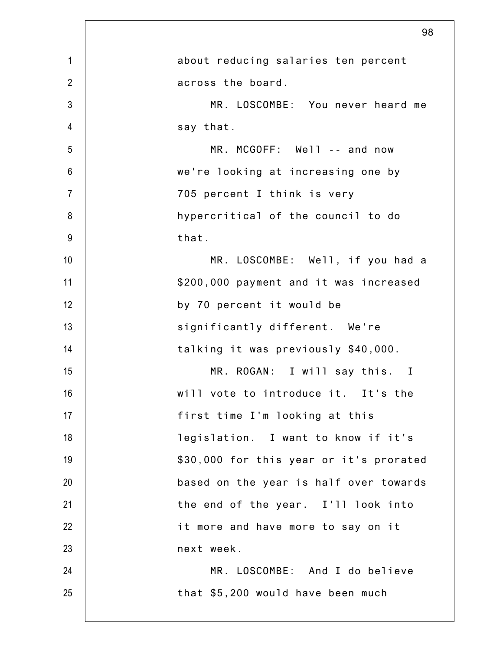|                | 98                                      |
|----------------|-----------------------------------------|
| $\mathbf 1$    | about reducing salaries ten percent     |
| $\overline{2}$ | across the board.                       |
| $\mathfrak{Z}$ | MR. LOSCOMBE: You never heard me        |
| $\overline{4}$ | say that.                               |
| 5              | MR. MCGOFF: Well -- and now             |
| $6\phantom{1}$ | we're looking at increasing one by      |
| $\overline{7}$ | 705 percent I think is very             |
| 8              | hypercritical of the council to do      |
| $9\,$          | that.                                   |
| 10             | MR. LOSCOMBE: Well, if you had a        |
| 11             | \$200,000 payment and it was increased  |
| 12             | by 70 percent it would be               |
| 13             | significantly different. We're          |
| 14             | talking it was previously \$40,000.     |
| 15             | MR. ROGAN: I will say this. I           |
| 16             | will vote to introduce it. It's the     |
| 17             | first time I'm looking at this          |
| 18             | legislation. I want to know if it's     |
| 19             | \$30,000 for this year or it's prorated |
| 20             | based on the year is half over towards  |
| 21             | the end of the year. I'll look into     |
| 22             | it more and have more to say on it      |
| 23             | next week.                              |
| 24             | MR. LOSCOMBE: And I do believe          |
| 25             | that \$5,200 would have been much       |
|                |                                         |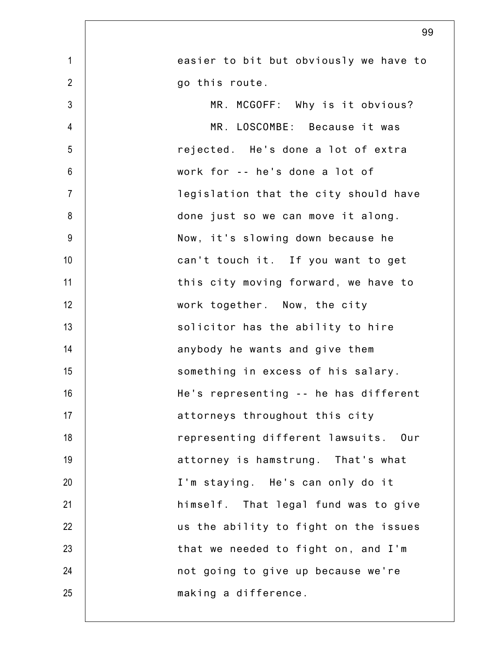|                | 99                                     |
|----------------|----------------------------------------|
| $\mathbf{1}$   | easier to bit but obviously we have to |
| $\overline{2}$ | go this route.                         |
| 3              | MR. MCGOFF: Why is it obvious?         |
| 4              | MR. LOSCOMBE: Because it was           |
| 5              | rejected. He's done a lot of extra     |
| $6\phantom{1}$ | work for -- he's done a lot of         |
| $\overline{7}$ | legislation that the city should have  |
| 8              | done just so we can move it along.     |
| $9\,$          | Now, it's slowing down because he      |
| 10             | can't touch it. If you want to get     |
| 11             | this city moving forward, we have to   |
| 12             | work together. Now, the city           |
| 13             | solicitor has the ability to hire      |
| 14             | anybody he wants and give them         |
| 15             | something in excess of his salary.     |
| 16             | He's representing -- he has different  |
| 17             | attorneys throughout this city         |
| 18             | representing different lawsuits. Our   |
| 19             | attorney is hamstrung. That's what     |
| 20             | I'm staying. He's can only do it       |
| 21             | himself. That legal fund was to give   |
| 22             | us the ability to fight on the issues  |
| 23             | that we needed to fight on, and I'm    |
| 24             | not going to give up because we're     |
| 25             | making a difference.                   |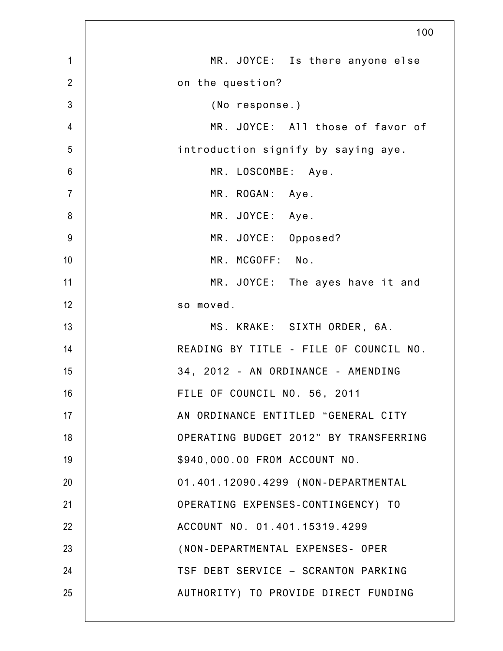|                 | 100                                    |
|-----------------|----------------------------------------|
| $\mathbf{1}$    | MR. JOYCE: Is there anyone else        |
| $\overline{2}$  | on the question?                       |
| 3               | (No response.)                         |
| $\overline{4}$  | MR. JOYCE: All those of favor of       |
| 5               | introduction signify by saying aye.    |
| $6\phantom{1}6$ | MR. LOSCOMBE: Aye.                     |
| $\overline{7}$  | MR. ROGAN: Aye.                        |
| 8               | MR. JOYCE: Aye.                        |
| 9               | MR. JOYCE: Opposed?                    |
| 10              | MR. MCGOFF: No.                        |
| 11              | MR. JOYCE: The ayes have it and        |
| 12              | so moved.                              |
| 13              | MS. KRAKE: SIXTH ORDER, 6A.            |
| 14              | READING BY TITLE - FILE OF COUNCIL NO. |
| 15              | 34, 2012 - AN ORDINANCE - AMENDING     |
| 16              | FILE OF COUNCIL NO. 56, 2011           |
| 17              | AN ORDINANCE ENTITLED "GENERAL CITY    |
| 18              | OPERATING BUDGET 2012" BY TRANSFERRING |
| 19              | \$940,000.00 FROM ACCOUNT NO.          |
| 20              | 01.401.12090.4299 (NON-DEPARTMENTAL    |
| 21              | OPERATING EXPENSES-CONTINGENCY) TO     |
| 22              | ACCOUNT NO. 01.401.15319.4299          |
| 23              | (NON-DEPARTMENTAL EXPENSES- OPER       |
| 24              | TSF DEBT SERVICE - SCRANTON PARKING    |
| 25              | AUTHORITY) TO PROVIDE DIRECT FUNDING   |
|                 |                                        |

Γ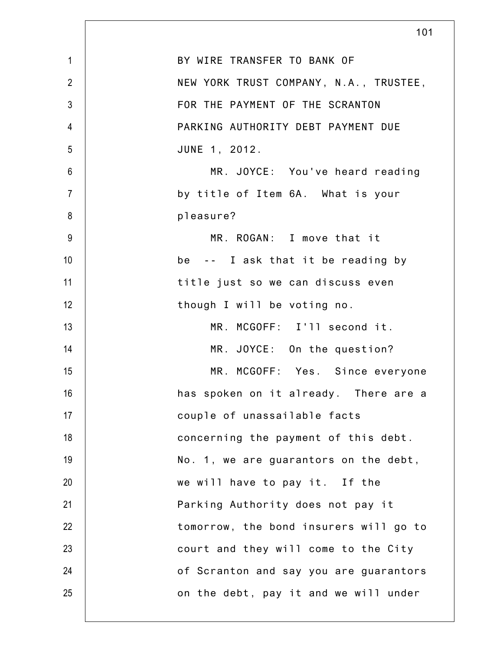| $\mathbf{1}$   | BY WIRE TRANSFER TO BANK OF            |
|----------------|----------------------------------------|
| $\overline{2}$ | NEW YORK TRUST COMPANY, N.A., TRUSTEE, |
| 3              | FOR THE PAYMENT OF THE SCRANTON        |
| $\overline{4}$ | PARKING AUTHORITY DEBT PAYMENT DUE     |
| 5              | JUNE 1, 2012.                          |
| $6\,$          | MR. JOYCE: You've heard reading        |
| $\overline{7}$ | by title of Item 6A. What is your      |
| 8              | pleasure?                              |
| 9              | MR. ROGAN: I move that it              |
| 10             | be -- I ask that it be reading by      |
| 11             | title just so we can discuss even      |
| 12             | though I will be voting no.            |
| 13             | MR. MCGOFF: I'll second it.            |
| 14             | MR. JOYCE: On the question?            |
| 15             | MR. MCGOFF: Yes. Since everyone        |
| 16             | has spoken on it already. There are a  |
| 17             | couple of unassailable facts           |
| 18             | concerning the payment of this debt.   |
| 19             | No. 1, we are guarantors on the debt,  |
| 20             | we will have to pay it. If the         |
| 21             | Parking Authority does not pay it      |
| 22             | tomorrow, the bond insurers will go to |
| 23             | court and they will come to the City   |
| 24             | of Scranton and say you are guarantors |
| 25             | on the debt, pay it and we will under  |
|                |                                        |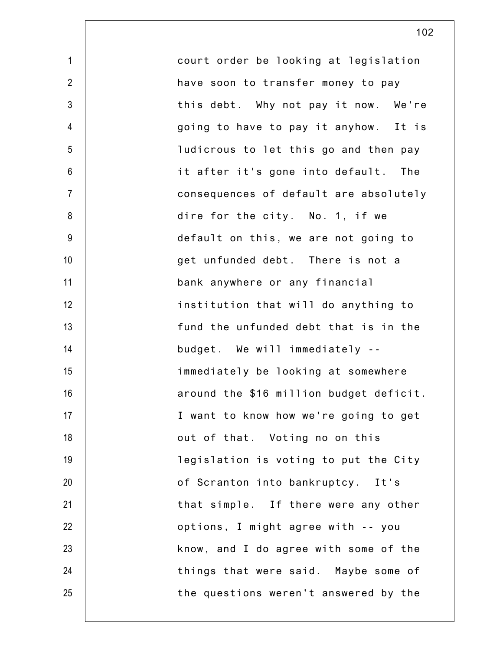| $\mathbf{1}$   | court order be looking at legislation   |
|----------------|-----------------------------------------|
| $\overline{2}$ | have soon to transfer money to pay      |
| 3              | this debt. Why not pay it now. We're    |
| $\overline{4}$ | going to have to pay it anyhow. It is   |
| 5              | ludicrous to let this go and then pay   |
| 6              | it after it's gone into default. The    |
| $\overline{7}$ | consequences of default are absolutely  |
| 8              | dire for the city. No. 1, if we         |
| $9\,$          | default on this, we are not going to    |
| 10             | get unfunded debt. There is not a       |
| 11             | bank anywhere or any financial          |
| 12             | institution that will do anything to    |
| 13             | fund the unfunded debt that is in the   |
| 14             | budget. We will immediately --          |
| 15             | immediately be looking at somewhere     |
| 16             | around the \$16 million budget deficit. |
| 17             | I want to know how we're going to get   |
| 18             | out of that. Voting no on this          |
| 19             | legislation is voting to put the City   |
| 20             | of Scranton into bankruptcy. It's       |
| 21             | that simple. If there were any other    |
| 22             | options, I might agree with -- you      |
| 23             | know, and I do agree with some of the   |
| 24             | things that were said. Maybe some of    |
| 25             | the questions weren't answered by the   |
|                |                                         |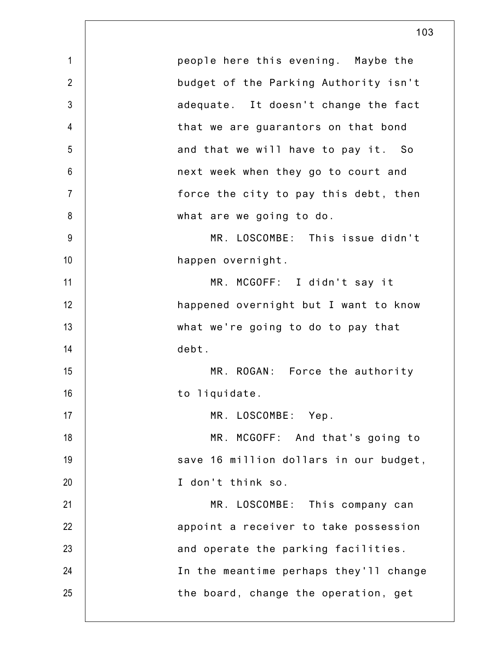|                | 103                                    |
|----------------|----------------------------------------|
| $\mathbf{1}$   | people here this evening. Maybe the    |
| $\overline{2}$ | budget of the Parking Authority isn't  |
| 3              | adequate. It doesn't change the fact   |
| $\overline{4}$ | that we are guarantors on that bond    |
| 5              | and that we will have to pay it. So    |
| $6\,$          | next week when they go to court and    |
| $\overline{7}$ | force the city to pay this debt, then  |
| 8              | what are we going to do.               |
| 9              | MR. LOSCOMBE: This issue didn't        |
| 10             | happen overnight.                      |
| 11             | MR. MCGOFF: I didn't say it            |
| 12             | happened overnight but I want to know  |
| 13             | what we're going to do to pay that     |
| 14             | debt.                                  |
| 15             | MR. ROGAN: Force the authority         |
| 16             | to liquidate.                          |
| 17             | MR. LOSCOMBE: Yep.                     |
| 18             | MR. MCGOFF: And that's going to        |
| 19             | save 16 million dollars in our budget, |
| 20             | I don't think so.                      |
| 21             | MR. LOSCOMBE: This company can         |
| 22             | appoint a receiver to take possession  |
| 23             | and operate the parking facilities.    |
| 24             | In the meantime perhaps they'll change |
| 25             | the board, change the operation, get   |
|                |                                        |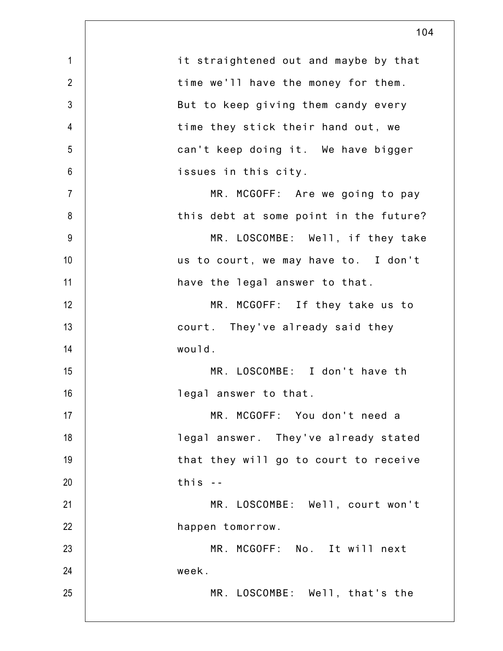| $\mathbf{1}$   | it straightened out and maybe by that  |
|----------------|----------------------------------------|
| $\overline{2}$ | time we'll have the money for them.    |
| 3              | But to keep giving them candy every    |
| $\overline{4}$ | time they stick their hand out, we     |
| 5              | can't keep doing it. We have bigger    |
| $6\,$          | issues in this city.                   |
| $\overline{7}$ | MR. MCGOFF: Are we going to pay        |
| 8              | this debt at some point in the future? |
| $9\,$          | MR. LOSCOMBE: Well, if they take       |
| 10             | us to court, we may have to. I don't   |
| 11             | have the legal answer to that.         |
| 12             | MR. MCGOFF: If they take us to         |
| 13             | court. They've already said they       |
| 14             | would.                                 |
| 15             | MR. LOSCOMBE: I don't have th          |
| 16             | legal answer to that.                  |
| 17             | MR. MCGOFF: You don't need a           |
| 18             | legal answer. They've already stated   |
| 19             | that they will go to court to receive  |
| 20             | this $-$                               |
| 21             | MR. LOSCOMBE: Well, court won't        |
| 22             | happen tomorrow.                       |
| 23             | MR. MCGOFF: No. It will next           |
| 24             | week.                                  |
| 25             | MR. LOSCOMBE: Well, that's the         |
|                |                                        |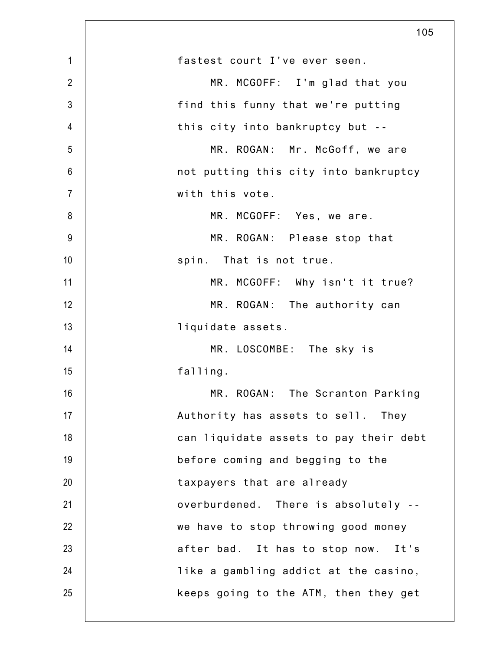|                | 105                                    |
|----------------|----------------------------------------|
| $\mathbf{1}$   | fastest court I've ever seen.          |
| $\overline{2}$ | MR. MCGOFF: I'm glad that you          |
| $\mathfrak{Z}$ | find this funny that we're putting     |
| 4              | this city into bankruptcy but --       |
| 5              | MR. ROGAN: Mr. McGoff, we are          |
| 6              | not putting this city into bankruptcy  |
| $\overline{7}$ | with this vote.                        |
| 8              | MR. MCGOFF: Yes, we are.               |
| $9\,$          | MR. ROGAN: Please stop that            |
| 10             | spin. That is not true.                |
| 11             | MR. MCGOFF: Why isn't it true?         |
| 12             | MR. ROGAN: The authority can           |
| 13             | liquidate assets.                      |
| 14             | MR. LOSCOMBE: The sky is               |
| 15             | falling.                               |
| 16             | MR. ROGAN: The Scranton Parking        |
| 17             | Authority has assets to sell. They     |
| 18             | can liquidate assets to pay their debt |
| 19             | before coming and begging to the       |
| 20             | taxpayers that are already             |
| 21             | overburdened. There is absolutely --   |
| 22             | we have to stop throwing good money    |
| 23             | after bad. It has to stop now. It's    |
| 24             | like a gambling addict at the casino,  |
| 25             | keeps going to the ATM, then they get  |
|                |                                        |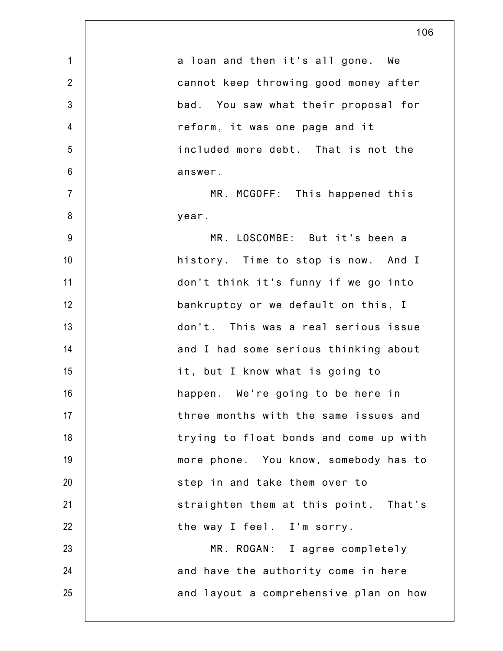|                | 106                                    |
|----------------|----------------------------------------|
| $\mathbf{1}$   | a loan and then it's all gone. We      |
| $\overline{2}$ | cannot keep throwing good money after  |
| $\mathfrak{Z}$ | bad. You saw what their proposal for   |
| 4              | reform, it was one page and it         |
| 5              | included more debt. That is not the    |
| $6\,$          | answer.                                |
| $\overline{7}$ | MR. MCGOFF: This happened this         |
| 8              | year.                                  |
| 9              | MR. LOSCOMBE: But it's been a          |
| 10             | history. Time to stop is now. And I    |
| 11             | don't think it's funny if we go into   |
| 12             | bankruptcy or we default on this, I    |
| 13             | don't. This was a real serious issue   |
| 14             | and I had some serious thinking about  |
| 15             | it, but I know what is going to        |
| 16             | happen. We're going to be here in      |
| 17             | three months with the same issues and  |
| 18             | trying to float bonds and come up with |
| 19             | more phone. You know, somebody has to  |
| 20             | step in and take them over to          |
| 21             | straighten them at this point. That's  |
| 22             | the way I feel. I'm sorry.             |
| 23             | MR. ROGAN: I agree completely          |
| 24             | and have the authority come in here    |
| 25             | and layout a comprehensive plan on how |

 $\mathsf{l}$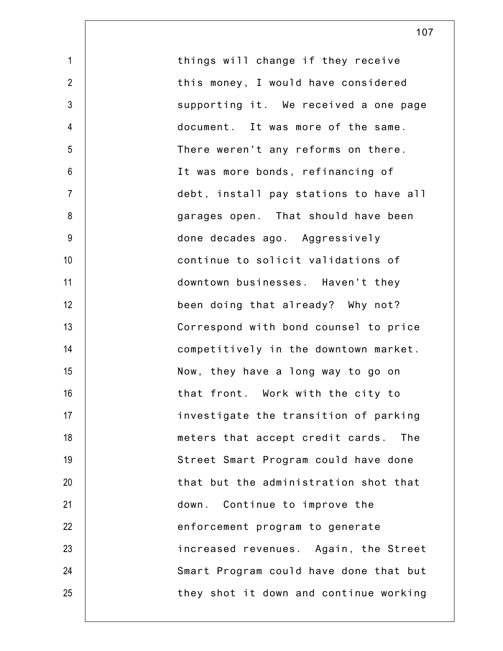| $\mathbf{1}$   | things will change if they receive      |
|----------------|-----------------------------------------|
| $\overline{2}$ | this money, I would have considered     |
| $\mathfrak{Z}$ | supporting it. We received a one page   |
| $\overline{4}$ | document. It was more of the same.      |
| 5              | There weren't any reforms on there.     |
| 6              | It was more bonds, refinancing of       |
| $\overline{7}$ | debt, install pay stations to have all  |
| 8              | garages open. That should have been     |
| $9\,$          | done decades ago. Aggressively          |
| 10             | continue to solicit validations of      |
| 11             | downtown businesses. Haven't they       |
| 12             | been doing that already? Why not?       |
| 13             | Correspond with bond counsel to price   |
| 14             | competitively in the downtown market.   |
| 15             | Now, they have a long way to go on      |
| 16             | that front. Work with the city to       |
| 17             | investigate the transition of parking   |
| 18             | meters that accept credit cards.<br>The |
| 19             | Street Smart Program could have done    |
| 20             | that but the administration shot that   |
| 21             | down. Continue to improve the           |
| 22             | enforcement program to generate         |
| 23             | increased revenues. Again, the Street   |
| 24             | Smart Program could have done that but  |
| 25             | they shot it down and continue working  |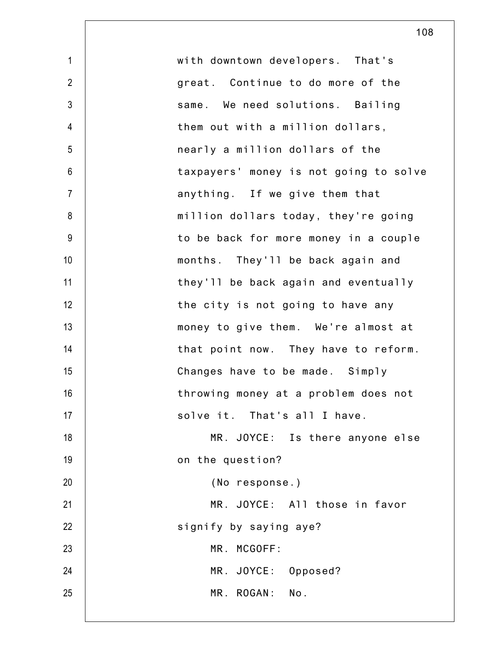| $\mathbf{1}$   | with downtown developers. That's       |
|----------------|----------------------------------------|
| $\overline{2}$ | great. Continue to do more of the      |
| 3              | same. We need solutions. Bailing       |
| $\overline{4}$ | them out with a million dollars,       |
| 5              | nearly a million dollars of the        |
| $6\,$          | taxpayers' money is not going to solve |
| $\overline{7}$ | anything. If we give them that         |
| 8              | million dollars today, they're going   |
| 9              | to be back for more money in a couple  |
| 10             | months. They'll be back again and      |
| 11             | they'll be back again and eventually   |
| 12             | the city is not going to have any      |
| 13             | money to give them. We're almost at    |
| 14             | that point now. They have to reform.   |
| 15             | Changes have to be made. Simply        |
| 16             | throwing money at a problem does not   |
| 17             | solve it. That's all I have.           |
| 18             | MR. JOYCE: Is there anyone else        |
| 19             | on the question?                       |
| 20             | (No response.)                         |
| 21             | MR. JOYCE: All those in favor          |
| 22             | signify by saying aye?                 |
| 23             | MR. MCGOFF:                            |
| 24             | MR. JOYCE: Opposed?                    |
| 25             | MR. ROGAN: No.                         |
|                |                                        |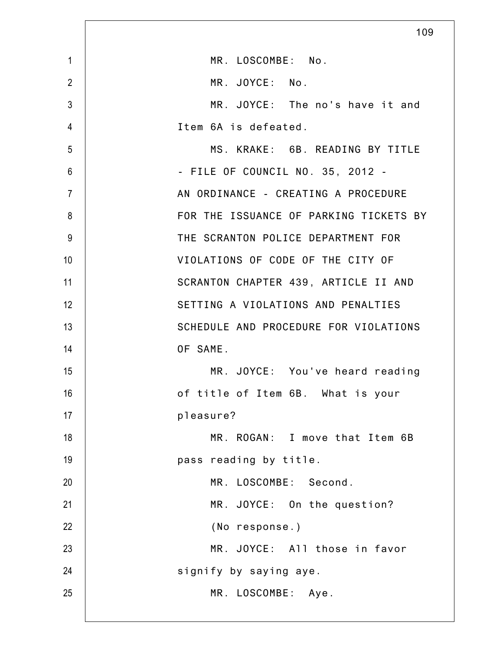|                | 109                                    |
|----------------|----------------------------------------|
| $\mathbf{1}$   | MR. LOSCOMBE: No.                      |
| $\overline{2}$ | MR. JOYCE: No.                         |
| 3              | MR. JOYCE: The no's have it and        |
| 4              | Item 6A is defeated.                   |
| 5              | MS. KRAKE: 6B. READING BY TITLE        |
| 6              | - FILE OF COUNCIL NO. 35, 2012 -       |
| $\overline{7}$ | AN ORDINANCE - CREATING A PROCEDURE    |
| 8              | FOR THE ISSUANCE OF PARKING TICKETS BY |
| 9              | THE SCRANTON POLICE DEPARTMENT FOR     |
| 10             | VIOLATIONS OF CODE OF THE CITY OF      |
| 11             | SCRANTON CHAPTER 439, ARTICLE II AND   |
| 12             | SETTING A VIOLATIONS AND PENALTIES     |
| 13             | SCHEDULE AND PROCEDURE FOR VIOLATIONS  |
| 14             | OF SAME.                               |
| 15             | MR. JOYCE: You've heard reading        |
| 16             | of title of Item 6B. What is your      |
| 17             | pleasure?                              |
| 18             | MR. ROGAN: I move that Item 6B         |
| 19             | pass reading by title.                 |
| 20             | MR. LOSCOMBE: Second.                  |
| 21             | MR. JOYCE: On the question?            |
| 22             | (No response.)                         |
| 23             | MR. JOYCE: All those in favor          |
| 24             | signify by saying aye.                 |
| 25             | MR. LOSCOMBE: Aye.                     |
|                |                                        |

 $\mathbf l$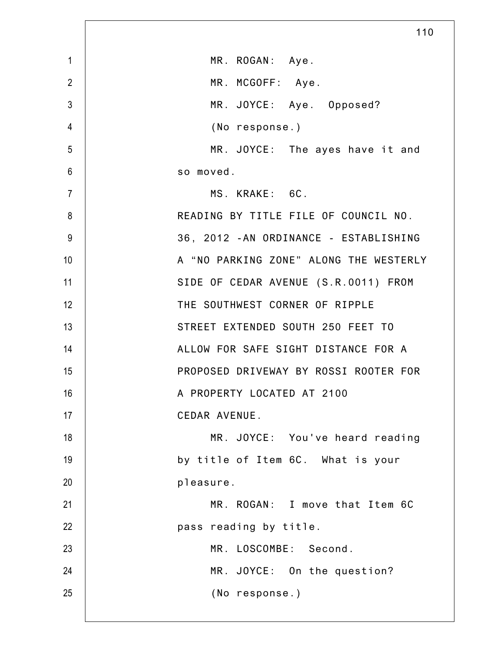|                 | 110                                    |
|-----------------|----------------------------------------|
| $\mathbf{1}$    | MR. ROGAN: Aye.                        |
| $\overline{2}$  | MR. MCGOFF: Aye.                       |
| $\mathfrak{Z}$  | MR. JOYCE: Aye. Opposed?               |
| 4               | (No response.)                         |
| 5               | MR. JOYCE: The ayes have it and        |
| $6\phantom{1}6$ | so moved.                              |
| $\overline{7}$  | MS. KRAKE: 6C.                         |
| 8               | READING BY TITLE FILE OF COUNCIL NO.   |
| 9               | 36, 2012 - AN ORDINANCE - ESTABLISHING |
| 10              | A "NO PARKING ZONE" ALONG THE WESTERLY |
| 11              | SIDE OF CEDAR AVENUE (S.R.0011) FROM   |
| 12              | THE SOUTHWEST CORNER OF RIPPLE         |
| 13              | STREET EXTENDED SOUTH 250 FEET TO      |
| 14              | ALLOW FOR SAFE SIGHT DISTANCE FOR A    |
| 15              | PROPOSED DRIVEWAY BY ROSSI ROOTER FOR  |
| 16              | A PROPERTY LOCATED AT 2100             |
| 17              | CEDAR AVENUE.                          |
| 18              | MR. JOYCE: You've heard reading        |
| 19              | by title of Item 6C. What is your      |
| 20              | pleasure.                              |
| 21              | MR. ROGAN: I move that Item 6C         |
| 22              | pass reading by title.                 |
| 23              | MR. LOSCOMBE: Second.                  |
| 24              | MR. JOYCE: On the question?            |
| 25              | (No response.)                         |
|                 |                                        |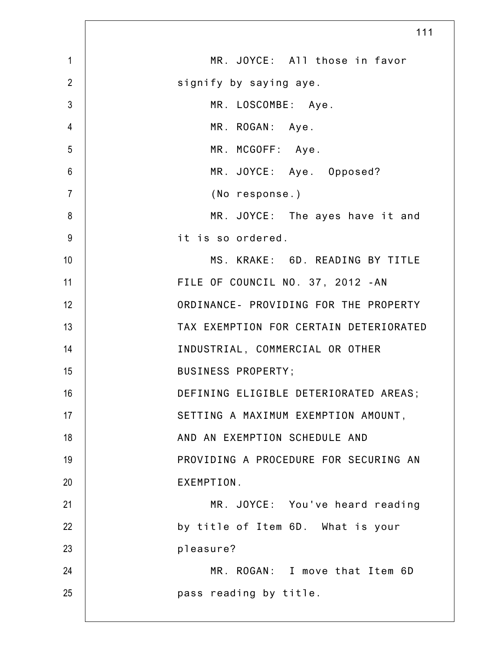|                | 111                                    |
|----------------|----------------------------------------|
| $\mathbf{1}$   | MR. JOYCE: All those in favor          |
| $\overline{2}$ | signify by saying aye.                 |
| $\mathfrak{Z}$ | MR. LOSCOMBE: Aye.                     |
| $\overline{4}$ | MR. ROGAN: Aye.                        |
| 5              | MR. MCGOFF: Aye.                       |
| $6\,$          | MR. JOYCE: Aye. Opposed?               |
| $\overline{7}$ | (No response.)                         |
| 8              | MR. JOYCE: The ayes have it and        |
| 9              | it is so ordered.                      |
| 10             | MS. KRAKE: 6D. READING BY TITLE        |
| 11             | FILE OF COUNCIL NO. 37, 2012 - AN      |
| 12             | ORDINANCE- PROVIDING FOR THE PROPERTY  |
| 13             | TAX EXEMPTION FOR CERTAIN DETERIORATED |
| 14             | INDUSTRIAL, COMMERCIAL OR OTHER        |
| 15             | BUSINESS PROPERTY;                     |
| 16             | DEFINING ELIGIBLE DETERIORATED AREAS;  |
| 17             | SETTING A MAXIMUM EXEMPTION AMOUNT,    |
| 18             | AND AN EXEMPTION SCHEDULE AND          |
| 19             | PROVIDING A PROCEDURE FOR SECURING AN  |
| 20             | EXEMPTION.                             |
| 21             | MR. JOYCE: You've heard reading        |
| 22             | by title of Item 6D. What is your      |
| 23             | pleasure?                              |
| 24             | MR. ROGAN: I move that Item 6D         |
| 25             | pass reading by title.                 |
|                |                                        |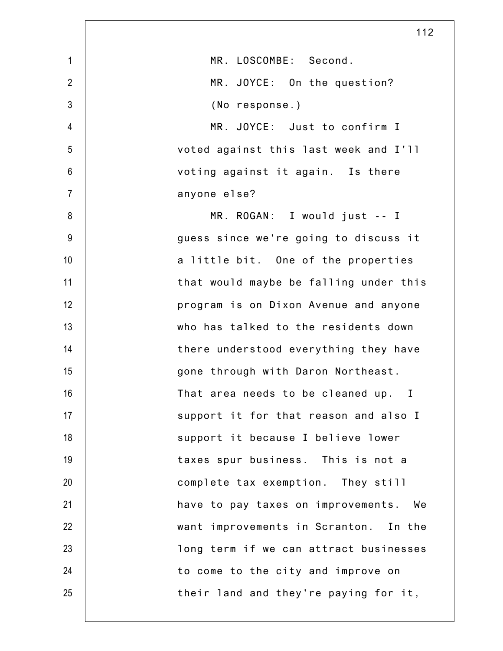|                | 112                                      |
|----------------|------------------------------------------|
| $\mathbf{1}$   | MR. LOSCOMBE: Second.                    |
| $\overline{2}$ | MR. JOYCE: On the question?              |
| $\mathfrak{Z}$ | (No response.)                           |
| $\overline{4}$ | MR. JOYCE: Just to confirm I             |
| 5              | voted against this last week and I'll    |
| $6\,$          | voting against it again. Is there        |
| $\overline{7}$ | anyone else?                             |
| 8              | MR. ROGAN: I would just -- I             |
| $9\,$          | guess since we're going to discuss it    |
| 10             | a little bit. One of the properties      |
| 11             | that would maybe be falling under this   |
| 12             | program is on Dixon Avenue and anyone    |
| 13             | who has talked to the residents down     |
| 14             | there understood everything they have    |
| 15             | gone through with Daron Northeast.       |
| 16             | That area needs to be cleaned up. I      |
| 17             | support it for that reason and also I    |
| 18             | support it because I believe lower       |
| 19             | taxes spur business. This is not a       |
| 20             | complete tax exemption. They still       |
| 21             | have to pay taxes on improvements.<br>We |
| 22             | want improvements in Scranton. In the    |
| 23             | long term if we can attract businesses   |
| 24             | to come to the city and improve on       |
| 25             | their land and they're paying for it,    |
|                |                                          |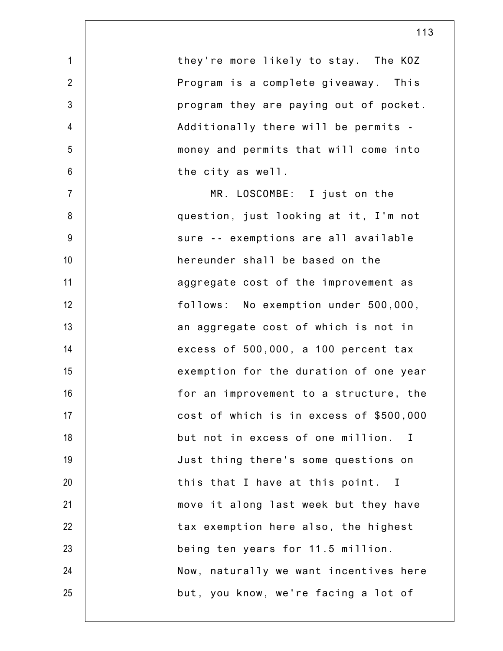| $\mathbf{1}$   | they're more likely to stay. The KOZ    |
|----------------|-----------------------------------------|
| $\overline{2}$ | Program is a complete giveaway. This    |
| $\mathfrak{Z}$ | program they are paying out of pocket.  |
| 4              | Additionally there will be permits -    |
| 5              | money and permits that will come into   |
| 6              | the city as well.                       |
| $\overline{7}$ | MR. LOSCOMBE: I just on the             |
| 8              | question, just looking at it, I'm not   |
| 9              | sure -- exemptions are all available    |
| 10             | hereunder shall be based on the         |
| 11             | aggregate cost of the improvement as    |
| 12             | follows: No exemption under 500,000,    |
| 13             | an aggregate cost of which is not in    |
| 14             | excess of 500,000, a 100 percent tax    |
| 15             | exemption for the duration of one year  |
| 16             | for an improvement to a structure, the  |
| 17             | cost of which is in excess of \$500,000 |
| 18             | but not in excess of one million. I     |
| 19             | Just thing there's some questions on    |
| 20             | this that I have at this point. I       |
| 21             | move it along last week but they have   |
| 22             | tax exemption here also, the highest    |
| 23             | being ten years for 11.5 million.       |
| 24             | Now, naturally we want incentives here  |
| 25             | but, you know, we're facing a lot of    |

113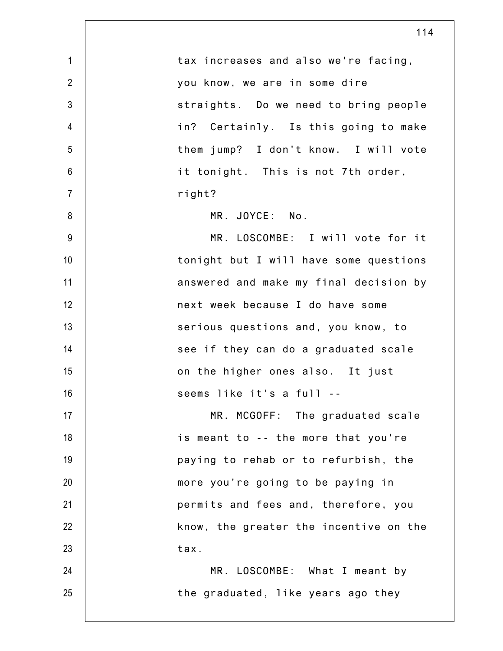|                | 114                                    |
|----------------|----------------------------------------|
| $\mathbf{1}$   | tax increases and also we're facing,   |
| $\overline{2}$ | you know, we are in some dire          |
| $\mathfrak{Z}$ | straights. Do we need to bring people  |
| $\overline{4}$ | in? Certainly. Is this going to make   |
| 5              | them jump? I don't know. I will vote   |
| $6\,$          | it tonight. This is not 7th order,     |
| $\overline{7}$ | right?                                 |
| 8              | MR. JOYCE: No.                         |
| 9              | MR. LOSCOMBE: I will vote for it       |
| 10             | tonight but I will have some questions |
| 11             | answered and make my final decision by |
| 12             | next week because I do have some       |
| 13             | serious questions and, you know, to    |
| 14             | see if they can do a graduated scale   |
| 15             | on the higher ones also. It just       |
| 16             | seems like it's a full --              |
| 17             | MR. MCGOFF: The graduated scale        |
| 18             | is meant to -- the more that you're    |
| 19             | paying to rehab or to refurbish, the   |
| 20             | more you're going to be paying in      |
| 21             | permits and fees and, therefore, you   |
| 22             | know, the greater the incentive on the |
| 23             | tax.                                   |
| 24             | MR. LOSCOMBE: What I meant by          |
| 25             | the graduated, like years ago they     |
|                |                                        |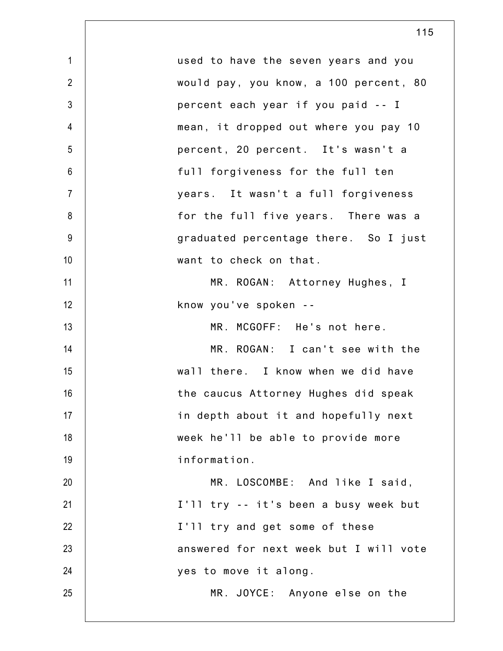| $\mathbf{1}$   | used to have the seven years and you   |
|----------------|----------------------------------------|
| $\overline{2}$ | would pay, you know, a 100 percent, 80 |
| $\mathfrak{Z}$ | percent each year if you paid -- I     |
| $\overline{4}$ | mean, it dropped out where you pay 10  |
| 5              | percent, 20 percent. It's wasn't a     |
| $6\phantom{.}$ | full forgiveness for the full ten      |
| $\overline{7}$ | years. It wasn't a full forgiveness    |
| 8              | for the full five years. There was a   |
| 9              | graduated percentage there. So I just  |
| 10             | want to check on that.                 |
| 11             | MR. ROGAN: Attorney Hughes, I          |
| 12             | know you've spoken --                  |
| 13             | MR. MCGOFF: He's not here.             |
| 14             | MR. ROGAN: I can't see with the        |
| 15             | wall there. I know when we did have    |
| 16             | the caucus Attorney Hughes did speak   |
| 17             | in depth about it and hopefully next   |
| 18             | week he'll be able to provide more     |
| 19             | information.                           |
| 20             | MR. LOSCOMBE: And like I said,         |
| 21             | I'll try -- it's been a busy week but  |
| 22             | I'll try and get some of these         |
| 23             | answered for next week but I will vote |
| 24             | yes to move it along.                  |
| 25             | MR. JOYCE: Anyone else on the          |
|                |                                        |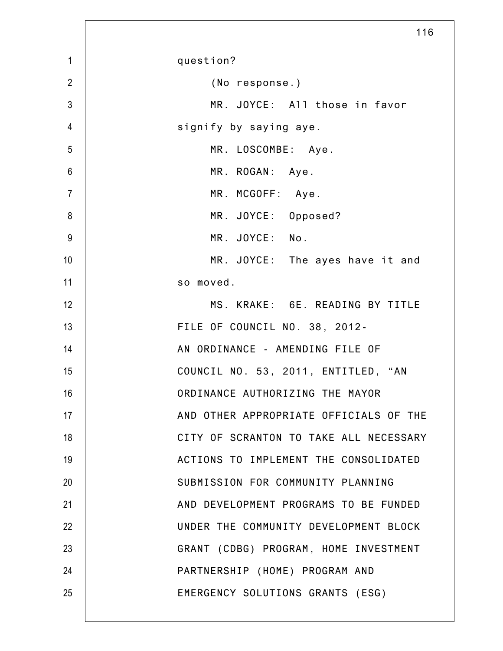|                | 116                                    |
|----------------|----------------------------------------|
| $\mathbf{1}$   | question?                              |
| $\overline{2}$ | (No response.)                         |
| 3              | MR. JOYCE: All those in favor          |
| $\overline{4}$ | signify by saying aye.                 |
| 5              | MR. LOSCOMBE: Aye.                     |
| $6\,$          | MR. ROGAN: Aye.                        |
| $\overline{7}$ | MR. MCGOFF: Aye.                       |
| 8              | MR. JOYCE: Opposed?                    |
| 9              | MR. JOYCE: No.                         |
| 10             | MR. JOYCE: The ayes have it and        |
| 11             | so moved.                              |
| 12             | MS. KRAKE: 6E. READING BY TITLE        |
| 13             | FILE OF COUNCIL NO. 38, 2012-          |
| 14             | AN ORDINANCE - AMENDING FILE OF        |
| 15             | COUNCIL NO. 53, 2011, ENTITLED, "AN    |
| 16             | ORDINANCE AUTHORIZING THE MAYOR        |
| 17             | AND OTHER APPROPRIATE OFFICIALS OF THE |
| 18             | CITY OF SCRANTON TO TAKE ALL NECESSARY |
| 19             | ACTIONS TO IMPLEMENT THE CONSOLIDATED  |
| 20             | SUBMISSION FOR COMMUNITY PLANNING      |
| 21             | AND DEVELOPMENT PROGRAMS TO BE FUNDED  |
| 22             | UNDER THE COMMUNITY DEVELOPMENT BLOCK  |
| 23             | GRANT (CDBG) PROGRAM, HOME INVESTMENT  |
| 24             | PARTNERSHIP (HOME) PROGRAM AND         |
| 25             | EMERGENCY SOLUTIONS GRANTS (ESG)       |
|                |                                        |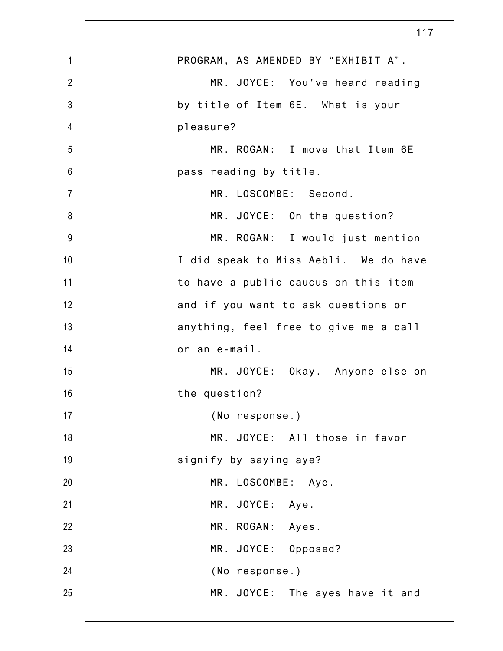|                | 117                                   |
|----------------|---------------------------------------|
| $\mathbf{1}$   | PROGRAM, AS AMENDED BY "EXHIBIT A".   |
| $\overline{2}$ | MR. JOYCE: You've heard reading       |
| $\mathfrak{Z}$ | by title of Item 6E. What is your     |
| 4              | pleasure?                             |
| 5              | MR. ROGAN: I move that Item 6E        |
| 6              | pass reading by title.                |
| $\overline{7}$ | MR. LOSCOMBE: Second.                 |
| 8              | MR. JOYCE: On the question?           |
| 9              | MR. ROGAN: I would just mention       |
| 10             | I did speak to Miss Aebli. We do have |
| 11             | to have a public caucus on this item  |
| 12             | and if you want to ask questions or   |
| 13             | anything, feel free to give me a call |
| 14             | or an e-mail.                         |
| 15             | MR. JOYCE: Okay. Anyone else on       |
| 16             | the question?                         |
| 17             | (No response.)                        |
| 18             | MR. JOYCE: All those in favor         |
| 19             | signify by saying aye?                |
| 20             | MR. LOSCOMBE: Aye.                    |
| 21             | MR. JOYCE: Aye.                       |
| 22             | MR. ROGAN: Ayes.                      |
| 23             | MR. JOYCE: Opposed?                   |
| 24             | (No response.)                        |
| 25             | MR. JOYCE: The ayes have it and       |
|                |                                       |

 $\mathsf{l}$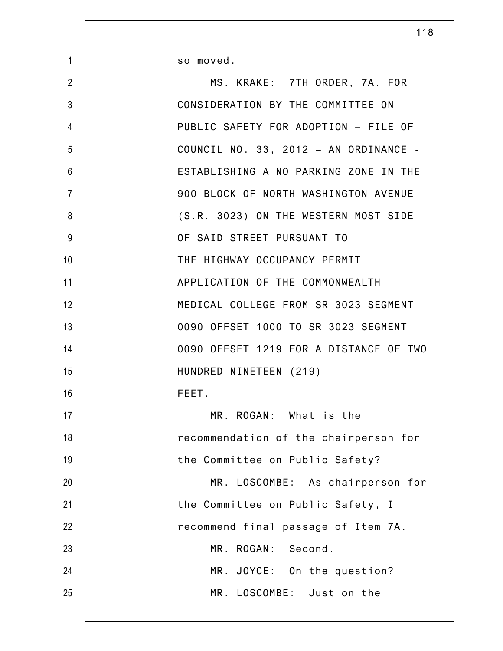so moved.

1

| $\overline{2}$  | MS. KRAKE: 7TH ORDER, 7A. FOR          |
|-----------------|----------------------------------------|
| $\mathfrak{Z}$  | CONSIDERATION BY THE COMMITTEE ON      |
| $\overline{4}$  | PUBLIC SAFETY FOR ADOPTION - FILE OF   |
| 5               | COUNCIL NO. 33, 2012 - AN ORDINANCE -  |
| $6\phantom{1}6$ | ESTABLISHING A NO PARKING ZONE IN THE  |
| $\overline{7}$  | 900 BLOCK OF NORTH WASHINGTON AVENUE   |
| 8               | (S.R. 3023) ON THE WESTERN MOST SIDE   |
| 9               | OF SAID STREET PURSUANT TO             |
| 10              | THE HIGHWAY OCCUPANCY PERMIT           |
| 11              | APPLICATION OF THE COMMONWEALTH        |
| 12              | MEDICAL COLLEGE FROM SR 3023 SEGMENT   |
| 13              | 0090 OFFSET 1000 TO SR 3023 SEGMENT    |
| 14              | 0090 OFFSET 1219 FOR A DISTANCE OF TWO |
| 15              | HUNDRED NINETEEN (219)                 |
| 16              | FEET.                                  |
| 17              | MR. ROGAN: What is the                 |
| 18              | recommendation of the chairperson for  |
| 19              | the Committee on Public Safety?        |
| 20              | MR. LOSCOMBE: As chairperson for       |
| 21              | the Committee on Public Safety, I      |
| 22              | recommend final passage of Item 7A.    |
| 23              | MR. ROGAN: Second.                     |
| 24              | MR. JOYCE: On the question?            |
| 25              | MR. LOSCOMBE: Just on the              |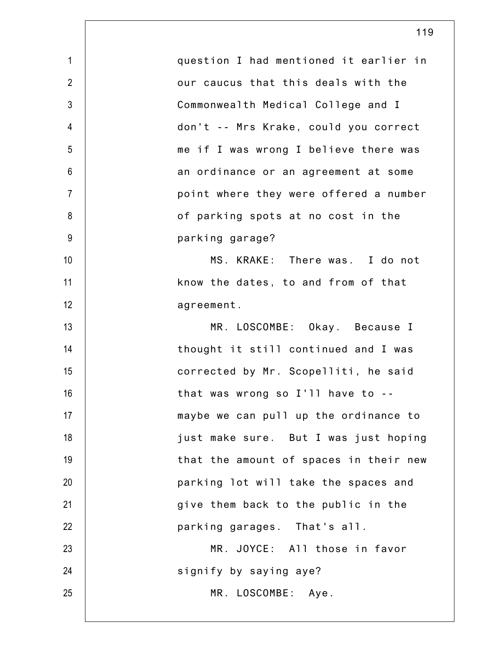| $\mathbf{1}$   | question I had mentioned it earlier in |
|----------------|----------------------------------------|
| $\overline{2}$ | our caucus that this deals with the    |
| 3              | Commonwealth Medical College and I     |
| $\overline{4}$ | don't -- Mrs Krake, could you correct  |
| 5              | me if I was wrong I believe there was  |
| $6\,$          | an ordinance or an agreement at some   |
| $\overline{7}$ | point where they were offered a number |
| 8              | of parking spots at no cost in the     |
| $9$            | parking garage?                        |
| 10             | MS. KRAKE: There was. I do not         |
| 11             | know the dates, to and from of that    |
| 12             | agreement.                             |
| 13             | MR. LOSCOMBE: Okay. Because I          |
| 14             | thought it still continued and I was   |
| 15             | corrected by Mr. Scopelliti, he said   |
| 16             | that was wrong so I'll have to --      |
| 17             | maybe we can pull up the ordinance to  |
| 18             | just make sure. But I was just hoping  |
| 19             | that the amount of spaces in their new |
| 20             | parking lot will take the spaces and   |
| 21             | give them back to the public in the    |
| 22             | parking garages. That's all.           |
| 23             | MR. JOYCE: All those in favor          |
| 24             | signify by saying aye?                 |
| 25             | MR. LOSCOMBE: Aye.                     |
|                |                                        |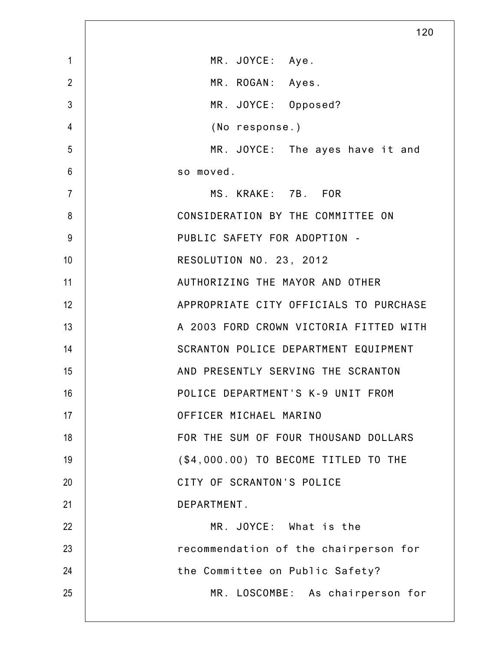|                | 120                                    |
|----------------|----------------------------------------|
| $\mathbf{1}$   | MR. JOYCE: Aye.                        |
| $\overline{2}$ | MR. ROGAN: Ayes.                       |
| 3              | MR. JOYCE: Opposed?                    |
| 4              | (No response.)                         |
| 5              | MR. JOYCE: The ayes have it and        |
| 6              | so moved.                              |
| $\overline{7}$ | MS. KRAKE: 7B. FOR                     |
| 8              | CONSIDERATION BY THE COMMITTEE ON      |
| 9              | PUBLIC SAFETY FOR ADOPTION -           |
| 10             | RESOLUTION NO. 23, 2012                |
| 11             | AUTHORIZING THE MAYOR AND OTHER        |
| 12             | APPROPRIATE CITY OFFICIALS TO PURCHASE |
| 13             | A 2003 FORD CROWN VICTORIA FITTED WITH |
| 14             | SCRANTON POLICE DEPARTMENT EQUIPMENT   |
| 15             | AND PRESENTLY SERVING THE SCRANTON     |
| 16             | POLICE DEPARTMENT'S K-9 UNIT FROM      |
| 17             | OFFICER MICHAEL MARINO                 |
| 18             | FOR THE SUM OF FOUR THOUSAND DOLLARS   |
| 19             | (\$4,000.00) TO BECOME TITLED TO THE   |
| 20             | CITY OF SCRANTON'S POLICE              |
| 21             | DEPARTMENT.                            |
| 22             | MR. JOYCE: What is the                 |
| 23             | recommendation of the chairperson for  |
| 24             | the Committee on Public Safety?        |
| 25             | MR. LOSCOMBE: As chairperson for       |
|                |                                        |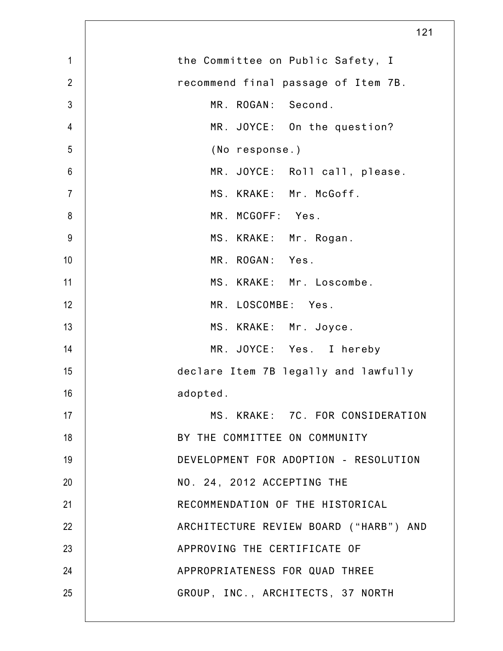|                | 121                                    |
|----------------|----------------------------------------|
| $\mathbf{1}$   | the Committee on Public Safety, I      |
| $\overline{2}$ | recommend final passage of Item 7B.    |
| 3              | MR. ROGAN: Second.                     |
| 4              | MR. JOYCE: On the question?            |
| 5              | (No response.)                         |
| $6\,$          | MR. JOYCE: Roll call, please.          |
| $\overline{7}$ | MS. KRAKE: Mr. McGoff.                 |
| 8              | MR. MCGOFF: Yes.                       |
| 9              | MS. KRAKE: Mr. Rogan.                  |
| 10             | MR. ROGAN: Yes.                        |
| 11             | MS. KRAKE: Mr. Loscombe.               |
| 12             | MR. LOSCOMBE: Yes.                     |
| 13             | MS. KRAKE: Mr. Joyce.                  |
| 14             | MR. JOYCE: Yes. I hereby               |
| 15             | declare Item 7B legally and lawfully   |
| 16             | adopted.                               |
| 17             | MS. KRAKE: 7C. FOR CONSIDERATION       |
| 18             | BY THE COMMITTEE ON COMMUNITY          |
| 19             | DEVELOPMENT FOR ADOPTION - RESOLUTION  |
| 20             | NO. 24, 2012 ACCEPTING THE             |
| 21             | RECOMMENDATION OF THE HISTORICAL       |
| 22             | ARCHITECTURE REVIEW BOARD ("HARB") AND |
| 23             | APPROVING THE CERTIFICATE OF           |
| 24             | APPROPRIATENESS FOR QUAD THREE         |
| 25             | GROUP, INC., ARCHITECTS, 37 NORTH      |
|                |                                        |

Γ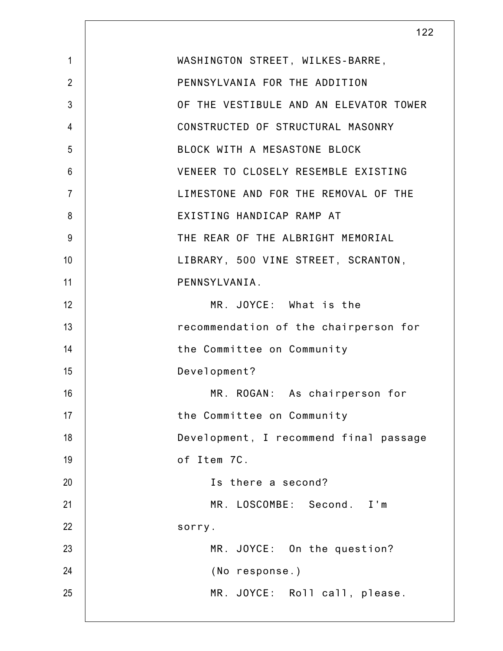|                | 122                                    |
|----------------|----------------------------------------|
| $\mathbf{1}$   | WASHINGTON STREET, WILKES-BARRE,       |
| $\overline{2}$ | PENNSYLVANIA FOR THE ADDITION          |
| $\mathfrak{Z}$ | OF THE VESTIBULE AND AN ELEVATOR TOWER |
| 4              | CONSTRUCTED OF STRUCTURAL MASONRY      |
| 5              | BLOCK WITH A MESASTONE BLOCK           |
| 6              | VENEER TO CLOSELY RESEMBLE EXISTING    |
| $\overline{7}$ | LIMESTONE AND FOR THE REMOVAL OF THE   |
| 8              | EXISTING HANDICAP RAMP AT              |
| 9              | THE REAR OF THE ALBRIGHT MEMORIAL      |
| 10             | LIBRARY, 500 VINE STREET, SCRANTON,    |
| 11             | PENNSYLVANIA.                          |
| 12             | MR. JOYCE: What is the                 |
| 13             | recommendation of the chairperson for  |
| 14             | the Committee on Community             |
| 15             | Development?                           |
| 16             | MR. ROGAN: As chairperson for          |
| 17             | the Committee on Community             |
| 18             | Development, I recommend final passage |
| 19             | of Item 7C.                            |
| 20             | Is there a second?                     |
| 21             | MR. LOSCOMBE: Second. I'm              |
| 22             | sorry.                                 |
| 23             | MR. JOYCE: On the question?            |
| 24             | (No response.)                         |
| 25             | MR. JOYCE: Roll call, please.          |
|                |                                        |

 $\mathbf l$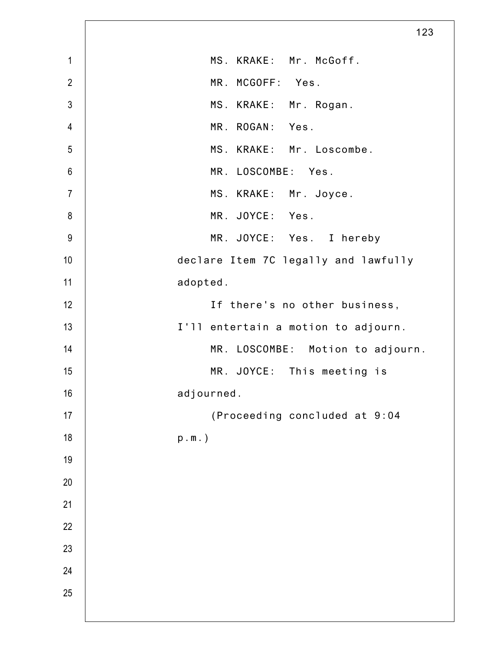|                | 123                                  |
|----------------|--------------------------------------|
| $\mathbf{1}$   | MS. KRAKE: Mr. McGoff.               |
| $\overline{2}$ | MR. MCGOFF: Yes.                     |
| $\mathfrak{Z}$ | MS. KRAKE: Mr. Rogan.                |
| $\overline{4}$ | MR. ROGAN: Yes.                      |
| 5              | MS. KRAKE: Mr. Loscombe.             |
| $6\,$          | MR. LOSCOMBE: Yes.                   |
| $\overline{7}$ | MS. KRAKE: Mr. Joyce.                |
| $\bf 8$        | MR. JOYCE: Yes.                      |
| $9\,$          | MR. JOYCE: Yes. I hereby             |
| 10             | declare Item 7C legally and lawfully |
| 11             | adopted.                             |
| 12             | If there's no other business,        |
| 13             | I'll entertain a motion to adjourn.  |
| 14             | MR. LOSCOMBE: Motion to adjourn.     |
| 15             | MR. JOYCE: This meeting is           |
| 16             | adjourned.                           |
| 17             | (Proceeding concluded at 9:04        |
| 18             | $p.m.$ )                             |
| 19             |                                      |
| 20             |                                      |
| 21             |                                      |
| 22             |                                      |
| 23             |                                      |
| 24             |                                      |
| 25             |                                      |
|                |                                      |

 $\mathsf{L}$